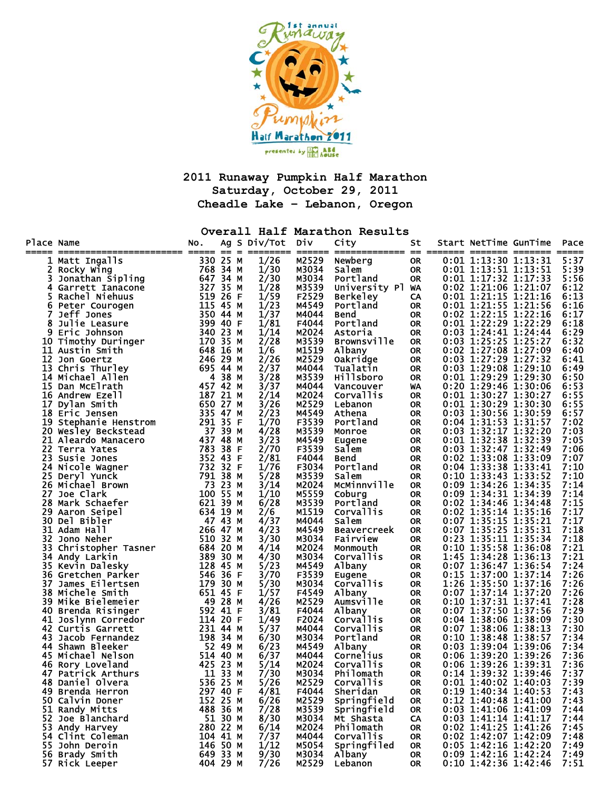

**2011 Runaway Pumpkin Half Marathon Saturday, October 29, 2011 Cheadle Lake – Lebanon, Oregon** 

**Overall Half Marathon Results** 

| Place Name |                                                                     | No.                                                                  |         | Ag S Div/Tot | Div            | City                   | St                     | Start NetTime GunTime                            | Pace         |
|------------|---------------------------------------------------------------------|----------------------------------------------------------------------|---------|--------------|----------------|------------------------|------------------------|--------------------------------------------------|--------------|
|            | Matt Ingalls                                                        | 330 25 M                                                             |         | 1/26         | M2529          | Newberg                | <b>OR</b>              | $0:01$ 1:13:30 1:13:31                           | 5:37         |
| 2.         | Rocky Wing                                                          | 350 25 M<br>768 34 M<br>647 34 M<br>519 26 F<br>519 26 F<br>115 44 M |         | 1/30         | M3034          | Salem                  | <b>OR</b>              | $0:01$ 1:13:51 1:13:51                           | 5:39         |
| 3          |                                                                     |                                                                      |         | 2/30         | M3034          | Portland               | <b>OR</b>              | $0:01$ 1:17:32 1:17:33                           | 5:56         |
|            | Nochy<br>Jonathan Sipling<br>Garrett Ianacone<br>4 Garrett Ianacone |                                                                      |         | 1/28         | M3539          | University Pl WA       |                        | 0:02 1:21:06 1:21:07                             | 6:12         |
| 5          | Rachel Niehuus                                                      |                                                                      |         | 1/59         | F2529          | <b>Berkeley</b>        | CA                     | $0:01$ 1:21:15 1:21:16                           | 6:13         |
| 6          | Peter Courogen                                                      |                                                                      |         | 1/23         | M4549          | Portland               | <b>OR</b>              | 0:01 1:21:55 1:21:56                             | 6:16         |
|            | Jeff Jones                                                          | 350 44 M                                                             |         | 1/37         | M4044          | <b>Bend</b>            | <b>OR</b>              | $0:02$ 1:22:15 1:22:16                           | 6:17         |
| 8          | Julie Leasure                                                       | 399 40 F                                                             |         | 1/81         | F4044          | Portland               | <b>OR</b>              | $0:01$ 1:22:29 1:22:29                           | 6:18         |
| 9          | Eric Johnson                                                        | 340 23 M<br>170 35 M                                                 |         | 1/14         | M2024          | Astoria                | <b>OR</b>              | $0:03$ 1:24:41 1:24:44                           | 6:29         |
|            | 10 Timothy Duringer                                                 |                                                                      |         | 2/28         | M3539          | <b>Brownsville</b>     | 0R                     | 0:03 1:25:25 1:25:27                             | 6:32         |
| 11         | Austin Smith                                                        | 648                                                                  | 16 M    | 1/6          | M1519          | Albany                 | <b>OR</b>              | 0:02 1:27:08 1:27:09                             | 6:40         |
|            | 12 Jon Goertz                                                       | 246 29 M                                                             |         | 2/26         | M2529          | Oakridge               | <b>OR</b>              | $0:03$ 1:27:29 1:27:32                           | 6:41         |
|            | 13 Chris Thurley                                                    | 695 44 M                                                             |         | 2/37         | M4044          | Tualatin               | <b>OR</b>              | $0:03$ 1:29:08 1:29:10<br>$0:01$ 1:29:29 1:29:30 | 6:49         |
|            | 14 Michael Allen<br>15 Dan McElrath                                 | 457 42 M                                                             | 4 38 M  | 3/28<br>3/37 | M3539<br>M4044 | <b>Hillsboro</b>       | <b>OR</b>              | 0:20 1:29:46 1:30:06                             | 6:50<br>6:53 |
|            | 16 Andrew Ezell                                                     | 187 21 M                                                             |         | 2/14         | M2024          | Vancouver<br>Corvallis | WA<br>0R               | $0:01$ 1:30:27 1:30:27                           | 6:55         |
|            | 17 Dylan Smith                                                      | 650                                                                  | 27 M    | 3/26         | M2529          | Lebanon                | <b>OR</b>              | 0:01 1:30:29 1:30:30                             | 6:55         |
|            | 18 Eric Jensen                                                      | 335 47 M                                                             |         | 2/23         | M4549          | Athena                 | <b>OR</b>              | 0:03 1:30:56 1:30:59                             | 6:57         |
|            | 19 Stephanie Henstrom                                               | 291 35 F                                                             |         | 1/70         | F3539          | Portland               | <b>OR</b>              | 0:04 1:31:53 1:31:57                             | 7:02         |
|            | 20 Wesley Beckstead                                                 | 37 39 M                                                              |         | 4/28         | M3539          | Monroe                 | <b>OR</b>              | 0:03 1:32:17 1:32:20                             | 7:03         |
| 21         | Aleardo Manacero                                                    | 437 48 M                                                             |         | 3/23         | M4549          | Eugene                 | <b>OR</b>              | 0:01 1:32:38 1:32:39                             | 7:05         |
|            | 22 Terra Yates                                                      | 783                                                                  | 38 F    | 2/70         | F3539          | Salem                  | <b>OR</b>              | $0:03$ 1:32:47 1:32:49                           | 7:06         |
|            | 23 Susie Jones                                                      | 352 43 F                                                             |         | 2/81         | F4044          | Bend                   | <b>OR</b>              | 0:02 1:33:08 1:33:09                             | 7:07         |
|            | 24 Nicole Wagner                                                    | 732 32 F                                                             |         | 1/76         | F3034          | Portland               | <b>OR</b>              | $0:04$ 1:33:38 1:33:41                           | 7:10         |
|            | 25 Deryl Yunck                                                      | 791 38 M                                                             |         | 5/28         | M3539          | Salem                  | <b>OR</b>              | 0:10 1:33:43 1:33:52                             | 7:10         |
|            | 26 Michael Brown                                                    | 73 23 M                                                              |         | 3/14         | M2024          | McMinnville            | <b>OR</b>              | 0:09 1:34:26 1:34:35                             | 7:14         |
| 27.        | Joe Clark                                                           | 100 55 M                                                             |         | 1/10         | M5559          | Coburg                 | <b>OR</b>              | 0:09 1:34:31 1:34:39                             | 7:14         |
|            | 28 Mark Schaefer                                                    | 621 39 M                                                             |         | 6/28         | M3539          | Portland               | <b>OR</b>              | 0:02 1:34:46 1:34:48                             | 7:15         |
| 29         | Aaron Seipel                                                        | 634 19 M                                                             |         | 2/6          | M1519          | <b>Corvallis</b>       | <b>OR</b>              | $0:02$ 1:35:14 1:35:16                           | 7:17         |
| 30         | Del Bibler                                                          | 47 43 M                                                              |         | 4/37         | M4044          | Salem                  | <b>OR</b>              | 0:07 1:35:15 1:35:21                             | 7:17         |
| 31         | Adam Hall                                                           | 266 47 M                                                             |         | 4/23         | M4549          | <b>Beavercreek</b>     | <b>OR</b>              | 0:07 1:35:25 1:35:31                             | 7:18         |
| 32         | Jono Neher                                                          | 510 32 M                                                             |         | 3/30         | M3034          | Fairview               | <b>OR</b>              | 0:23 1:35:11 1:35:34                             | 7:18         |
| 33         | Christopher Tasner                                                  | 684 20 M                                                             |         | 4/14         | M2024          | Monmouth               | <b>OR</b>              | $0:10$ 1:35:58 1:36:08                           | 7:21         |
|            | 34 Andy Larkin                                                      | 389 30 M                                                             |         | 4/30         | M3034          | Corvallis              | <b>OR</b>              | 1:45 1:34:28 1:36:13                             | 7:21         |
|            | 35 Kevin Dalesky                                                    | 128 45 M                                                             |         | 5/23         | M4549          | Albany                 | <b>OR</b>              | 0:07 1:36:47 1:36:54                             | 7:24         |
| 37         | 36 Gretchen Parker<br>James Eilertsen                               | 546 36 F<br>179 30 M                                                 |         | 3/70<br>5/30 | F3539<br>M3034 | <b>Eugene</b>          | <b>OR</b><br><b>OR</b> | 0:15 1:37:00 1:37:14<br>1:26 1:35:50 1:37:16     | 7:26<br>7:26 |
|            | 38 Michele Smith                                                    | 651 45 F                                                             |         | 1/57         | F4549          | Corvallis<br>Albany    | <b>OR</b>              | 0:07 1:37:14 1:37:20                             | 7:26         |
|            | 39 Mike Bielemeier                                                  | 49 28 M                                                              |         | 4/26         | M2529          | Aumsville              | <b>OR</b>              | 0:10 1:37:31 1:37:41                             | 7:28         |
|            | 40 Brenda Risinger                                                  | 592 41 F                                                             |         | 3/81         | F4044          | Albany                 | <b>OR</b>              | 0:07 1:37:50 1:37:56                             | 7:29         |
| 41         | Joslynn Corredor                                                    | 114 20 F                                                             |         | 1/49         | F2024          | <b>Corvallis</b>       | <b>OR</b>              | $0:04$ 1:38:06 1:38:09                           | 7:30         |
|            | 42 Curtis Garrett                                                   | 231 44 M                                                             |         | 5/37         | M4044          | <b>Corvallis</b>       | 0R                     | 0:07 1:38:06 1:38:13                             | 7:30         |
|            | 43 Jacob Fernandez                                                  | 198 34 M                                                             |         | 6/30         | M3034          | Portland               | <b>OR</b>              | 0:10 1:38:48 1:38:57                             | 7:34         |
|            | 44 Shawn Bleeker                                                    |                                                                      | 52 49 M | 6/23         | M4549          | Albany                 | <b>OR</b>              | 0:03 1:39:04 1:39:06                             | 7:34         |
|            | 45 Michael Nelson                                                   | 514 40 M                                                             |         | 6/37         | M4044          | Cornelius              | <b>OR</b>              | 0:06 1:39:20 1:39:26                             | 7:36         |
|            | 46 Rory Loveland                                                    | 425 23 M                                                             |         | 5/14         | M2024          | Corvallis              | <b>OR</b>              | 0:06 1:39:26 1:39:31                             | 7:36         |
|            | 47 Patrick Arthurs                                                  |                                                                      | 11 33 M | 7/30         | M3034          | Philomath              | <b>OR</b>              | 0:14 1:39:32 1:39:46                             | 7:37         |
|            | 48 Daniel Olvera                                                    | 536 25 M                                                             |         | 5/26         | M2529          | Corvallis              | <b>OR</b>              | $0:01$ 1:40:02 1:40:03                           | 7:39         |
|            | 49 Brenda Herron                                                    | 297 40 F                                                             |         | 4/81         | F4044          | Sheridan               | 0R                     | 0:19 1:40:34 1:40:53                             | 7:43         |
|            | 50 Calvin Doner                                                     | 152 25 M                                                             |         | 6/26         | M2529          | Springfield            | 0R                     | 0:12 1:40:48 1:41:00                             | 7:43         |
|            | 51 Randy Mitts                                                      | 488 36 M                                                             |         | 7/28         | M3539          | Springfield            | 0R                     | $0:03$ 1:41:06 1:41:09                           | 7:44         |
|            | 52 Joe Blanchard                                                    |                                                                      | 51 30 M | 8/30         | M3034          | Mt Shasta              | CA                     | 0:03 1:41:14 1:41:17                             | 7:44         |
|            | 53 Andy Harvey                                                      | 280 22 M                                                             |         | 6/14         | M2024          | Philomath              | OR                     | 0:02 1:41:25 1:41:26                             | 7:45         |
|            | 54 Clint Coleman                                                    | 104 41 M                                                             |         | 7/37         | M4044          | Corvallis              | 0R                     | 0:02 1:42:07 1:42:09                             | 7:48         |
|            | 55 John Deroin                                                      | 146 50 M                                                             |         | 1/12         | M5054          | Springfiled            | 0R                     | 0:05 1:42:16 1:42:20                             | 7:49         |
|            | 56 Brady Smith                                                      | 649 33 M                                                             |         | 9/30         | M3034          | Albany                 | 0R                     | 0:09 1:42:16 1:42:24                             | 7:49         |
|            | 57 Rick Leeper                                                      | 404 29 M                                                             |         | 7/26         | M2529          | Lebanon                | <b>OR</b>              | 0:10 1:42:36 1:42:46                             | 7:51         |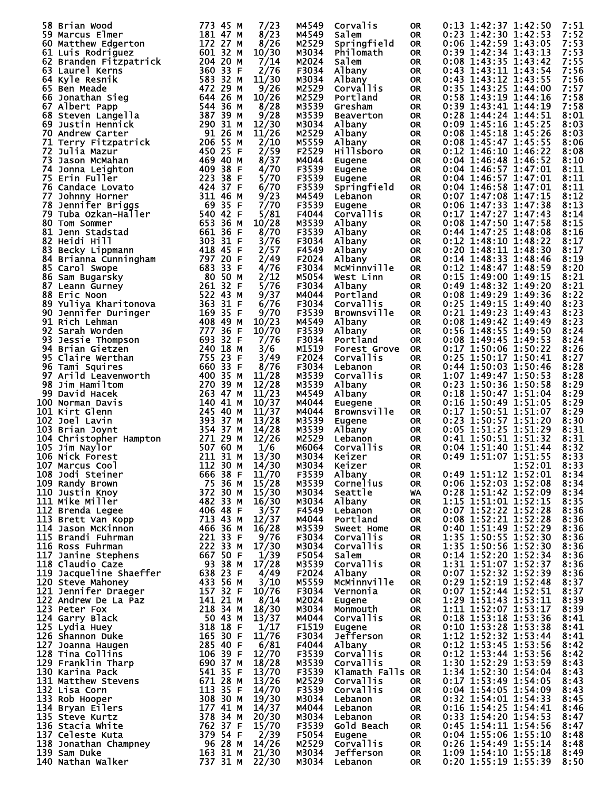| 58 Brian Wood                                                                                                                                                                                                                                      | 773 45 M<br>7/23              | M4549          | Corvalis             | <b>OR</b> | 0:13 1:42:37 1:42:50<br>7:51                                                                                                 |
|----------------------------------------------------------------------------------------------------------------------------------------------------------------------------------------------------------------------------------------------------|-------------------------------|----------------|----------------------|-----------|------------------------------------------------------------------------------------------------------------------------------|
|                                                                                                                                                                                                                                                    |                               |                |                      |           |                                                                                                                              |
| 59 Marcus Elmer                                                                                                                                                                                                                                    | 181 47 M<br>8/23              | M4549          | Salem                | <b>OR</b> | 0:23 1:42:30 1:42:53<br>7:52                                                                                                 |
| 60 Matthew Edgerton                                                                                                                                                                                                                                | 172 27 M<br>8/26              | M2529          | Springfield          | <b>OR</b> | 0:06 1:42:59 1:43:05<br>7:53                                                                                                 |
| 61<br>Luis Rodriguez                                                                                                                                                                                                                               | 601 32 M<br>10/30             | M3034          | Philomath            | <b>OR</b> | 0:39 1:42:34 1:43:13<br>7:53                                                                                                 |
| Branden Fitzpatrick              204  20 M<br>Laurel Kerns                        360  33  F<br>62                                                                                                                                                 | 7/14                          | M2024          | Salem                | <b>OR</b> | 0:08 1:43:35 1:43:42<br>7:55                                                                                                 |
| 63 Laurel Kerns                                                                                                                                                                                                                                    | 360 33 F<br>2/76              | F3034          | Albany               | <b>OR</b> | 0:43 1:43:11 1:43:54<br>7:56                                                                                                 |
| 64 Kyle Resnik                                                                                                                                                                                                                                     | $583\overline{32}$ M<br>11/30 | M3034          | Albany               | <b>OR</b> | 0:43 1:43:12 1:43:55<br>7:56                                                                                                 |
| 65 Ben Meade                                                                                                                                                                                                                                       | 472 29 M<br>9/26              | M2529          | Corvallis            |           | 0:35 1:43:25 1:44:00<br>7:57                                                                                                 |
|                                                                                                                                                                                                                                                    |                               |                |                      | <b>OR</b> |                                                                                                                              |
| 66 Jonathan Sieg                                                                                                                                                                                                                                   | 644 26 M<br>10/26             | M2529          | Portland             | <b>OR</b> | 0:58 1:43:19 1:44:16<br>7:58                                                                                                 |
| 67 Albert Papp                                                                                                                                                                                                                                     | 544 36 M<br>8/28              | M3539          | Gresham              | <b>OR</b> | 0:39 1:43:41 1:44:19<br>7:58                                                                                                 |
| 68<br>Steven Langella                                                                                                                                                                                                                              | 387 39 M<br>9/28              | M3539          | <b>Beaverton</b>     | <b>OR</b> | 0:28 1:44:24 1:44:51<br>8:01                                                                                                 |
| 69<br>Justin Hennick                                                                                                                                                                                                                               | 290<br>31 M<br>12/30          | M3034          | Albany               | <b>OR</b> | 0:09 1:45:16 1:45:25<br>8:03                                                                                                 |
| 70<br>Andrew Carter                                                                                                                                                                                                                                | 91 26 M<br>11/26              | M2529          | Albany               | <b>OR</b> | 0:08 1:45:18 1:45:26<br>8:03                                                                                                 |
| 71                                                                                                                                                                                                                                                 | 206 55 M<br>2/10              | M5559          |                      |           | 0:08 1:45:47 1:45:55                                                                                                         |
| Terry Fitzpatrick                                                                                                                                                                                                                                  |                               |                | Albany               | <b>OR</b> | 8:06                                                                                                                         |
| 72<br>Julia Mazur                                                                                                                                                                                                                                  | 2/59<br>450 25 F              | F2529          | <b>Hillsboro</b>     | <b>OR</b> | $0:12$ 1:46:10 1:46:22<br>8:08                                                                                               |
| 73<br>Jason McMahan                                                                                                                                                                                                                                | 8/37<br>469<br>40 M           | M4044          | Eugene               | <b>OR</b> | $0:04$ 1:46:48 1:46:52<br>8:10                                                                                               |
| 74 Jonna Leighton                                                                                                                                                                                                                                  | 409 38 F<br>4/70              | F3539          | Eugene               | <b>OR</b> | 8:11<br>$0:04$ 1:46:57 1:47:01                                                                                               |
| 75 Erin Fuller                                                                                                                                                                                                                                     | 223<br>38 F<br>5/70           | F3539          | Eugene               | <b>OR</b> | 0:04 1:46:57 1:47:01<br>8:11                                                                                                 |
| 76 Candace Lovato                                                                                                                                                                                                                                  | 424 37 F<br>6/70              | F3539          | Springfield          | <b>OR</b> | 8:11<br>$0:04$ 1:46:58 1:47:01                                                                                               |
| 77                                                                                                                                                                                                                                                 | 311 46 M<br>9/23              | M4549          |                      |           | 0:07 1:47:08 1:47:15<br>8:12                                                                                                 |
| Johnny Horner                                                                                                                                                                                                                                      |                               |                | Lebanon              | <b>OR</b> |                                                                                                                              |
| 78<br>Jennifer Briggs                                                                                                                                                                                                                              | 69 35 F<br>7/70               | F3539          | Eugene               | <b>OR</b> | 8:13<br>0:06 1:47:33 1:47:38                                                                                                 |
| 79<br>Tuba Ozkan-Haller                                                                                                                                                                                                                            | 540 42 F<br>5/81              | F4044          | Corvallis            | <b>OR</b> | 0:17 1:47:27 1:47:43<br>8:14                                                                                                 |
| 80<br>Tom Sommer                                                                                                                                                                                                                                   | 653<br>10/28<br>36 M          | M3539          | Albany               | <b>OR</b> | 0:08 1:47:50 1:47:58<br>8:15                                                                                                 |
| 81<br>Jenn Stadstad                                                                                                                                                                                                                                | 661 36 F<br>8/70              | F3539          | Albany               | <b>OR</b> | 0:44 1:47:25 1:48:08<br>8:16                                                                                                 |
| 82<br>Heidi Hill                                                                                                                                                                                                                                   | 303 31 F<br>3/76              | F3034          | Albany               | <b>OR</b> | 0:12 1:48:10 1:48:22<br>8:17                                                                                                 |
|                                                                                                                                                                                                                                                    | 418 45 F                      | F4549          |                      |           | 0:20 1:48:11 1:48:30<br>8:17                                                                                                 |
| 83 Becky Lippmann                                                                                                                                                                                                                                  | 2/57                          |                | Albany               | <b>OR</b> |                                                                                                                              |
| 84<br>Brianna Cunningham                                                                                                                                                                                                                           | 797 20 F<br>2/49              | F2024          | Albany               | <b>OR</b> | 0:14 1:48:33 1:48:46<br>8:19                                                                                                 |
| 85 Carol Swope                                                                                                                                                                                                                                     | 683<br>33 F<br>4/76           | F3034          | MCMinnville          | <b>OR</b> | 0:12 1:48:47 1:48:59<br>8:20                                                                                                 |
| 86<br>Sam Bugarsky                                                                                                                                                                                                                                 | 80 50 M<br>2/12               | M5054          | West Linn            | <b>OR</b> | 8:21<br>$0:15$ 1:49:00 1:49:15                                                                                               |
| 87 Leann Gurney                                                                                                                                                                                                                                    | 261 32 F<br>5/76              | F3034          | Albany               | <b>OR</b> | 0:49 1:48:32 1:49:20<br>8:21                                                                                                 |
| 88 Eric Noon                                                                                                                                                                                                                                       | 522 43 M<br>9/37              | M4044          | Portland             | <b>OR</b> | 0:08 1:49:29 1:49:36<br>8:22                                                                                                 |
|                                                                                                                                                                                                                                                    |                               |                |                      |           |                                                                                                                              |
| 89<br>Yuliya Kharitonova                                                                                                                                                                                                                           | 363 31 F<br>6/76              | F3034          | Corvallis            | <b>OR</b> | 0:25 1:49:15 1:49:40<br>8:23                                                                                                 |
| 90<br>Jennifer Duringer                                                                                                                                                                                                                            | 169 35 F<br>9/70              | F3539          | <b>Brownsville</b>   | <b>OR</b> | 0:21 1:49:23 1:49:43<br>8:23                                                                                                 |
| 91<br>Rich Lehman                                                                                                                                                                                                                                  | 10/23<br>408 49 M             | M4549          | Albany               | <b>OR</b> | 0:08 1:49:42 1:49:49<br>8:23                                                                                                 |
| 92<br>Sarah Worden                                                                                                                                                                                                                                 | 777<br>10/70<br>36 F          | F3539          | Albany               | <b>OR</b> | 8:24<br>0:56 1:48:55 1:49:50                                                                                                 |
| 93<br>Jessie Thompson                                                                                                                                                                                                                              | 693<br>32 F<br>7/76           | F3034          | Portland             | <b>OR</b> | 0:08 1:49:45 1:49:53<br>8:24                                                                                                 |
| 94 Brian Gietzen                                                                                                                                                                                                                                   | 240 18 M<br>3/6               | M1519          |                      | <b>OR</b> | 0:17 1:50:06 1:50:22<br>8:26                                                                                                 |
|                                                                                                                                                                                                                                                    |                               |                | <b>Forest Grove</b>  |           |                                                                                                                              |
| 95 Claire Werthan                                                                                                                                                                                                                                  | 755<br>23 F<br>3/49           | F2024          | <b>Corvallis</b>     | <b>OR</b> | 0:25 1:50:17 1:50:41<br>8:27                                                                                                 |
| 96 Tami Squires                                                                                                                                                                                                                                    | 660<br>33 F<br>8/76           | F3034          | Lebanon              | <b>OR</b> | 8:28<br>0:44 1:50:03 1:50:46                                                                                                 |
| 97 Arild Leavenworth                                                                                                                                                                                                                               | 400 35 M<br>11/28             | M3539          | Corvallis            | <b>OR</b> | 1:07 1:49:47 1:50:53<br>8:28                                                                                                 |
| 98<br>Jim Hamiltom                                                                                                                                                                                                                                 | 270 39 M<br>12/28             | M3539          | Albany               | <b>OR</b> | 8:29<br>0:23 1:50:36 1:50:58                                                                                                 |
| 99 David Hacek                                                                                                                                                                                                                                     | 263 47 M<br>11/23             | M4549          | Albany               | <b>OR</b> | 0:18 1:50:47 1:51:04<br>8:29                                                                                                 |
| 100                                                                                                                                                                                                                                                | 10/37<br>140 41 M             | M4044          |                      | <b>OR</b> | 0:16 1:50:49 1:51:05<br>8:29                                                                                                 |
| Norman Davis                                                                                                                                                                                                                                       |                               |                | <b>Euegene</b>       |           |                                                                                                                              |
| 101 Kirt Glenn                                                                                                                                                                                                                                     | 245 40 M<br>11/37             | M4044          | <b>Brownsville</b>   | <b>OR</b> | 0:17 1:50:51 1:51:07<br>8:29                                                                                                 |
| 102 Joel Lavin                                                                                                                                                                                                                                     | 393 37 M<br>13/28             | M3539          | Eugene               | <b>OR</b> | 8:30<br>0:23 1:50:57 1:51:20                                                                                                 |
| 103 Brian Joynt                                                                                                                                                                                                                                    | 354 37 M<br>14/28             | M3539          | Albany               | <b>OR</b> | 0:05 1:51:25 1:51:29<br>8:31                                                                                                 |
| 104 Christopher Hampton 271 29 M<br>105 Jim Naylor 507 60 M<br>106 Nick Forest 211 31 M<br>107 Marcus Cool 112 30 M                                                                                                                                | 12/26                         | M2529          | Lebanon              | <b>OR</b> | 0:41 1:50:51 1:51:32<br>8:31                                                                                                 |
|                                                                                                                                                                                                                                                    | 1/6                           | M6064          | Corvallis            | <b>OR</b> | 0:04 1:51:40 1:51:44<br>8:32                                                                                                 |
|                                                                                                                                                                                                                                                    | 13/30                         | M3034          | Keizer               | <b>OR</b> | 0:49 1:51:07 1:51:55<br>8:33                                                                                                 |
|                                                                                                                                                                                                                                                    |                               |                |                      |           |                                                                                                                              |
| 107 Marcus Cool                                                                                                                                                                                                                                    | $112$ 30 M<br>14/30           | M3034          | Keizer               | OR        | 1:52:01<br>8:33                                                                                                              |
|                                                                                                                                                                                                                                                    | 11/70                         | F3539          | Albany               | <b>OR</b> | $0:49$ 1:51:12 1:52:01<br>8:34                                                                                               |
|                                                                                                                                                                                                                                                    | 15/28                         | M3539          | Cornelius            | OR        | 0:06 1:52:03 1:52:08<br>8:34                                                                                                 |
|                                                                                                                                                                                                                                                    | 15/30                         | M3034          | Seattle              | <b>WA</b> | $0:28$ 1:51:42 1:52:09<br>8:34                                                                                               |
|                                                                                                                                                                                                                                                    | 16/30                         | м3034          | Albany               | <b>OR</b> | 8:35                                                                                                                         |
|                                                                                                                                                                                                                                                    | 3/57                          | F4549          | Lebanon              | OR        | 8:36                                                                                                                         |
|                                                                                                                                                                                                                                                    | 12/37                         | M4044          | Portland             |           | 8:36                                                                                                                         |
|                                                                                                                                                                                                                                                    |                               |                |                      | 0R        |                                                                                                                              |
|                                                                                                                                                                                                                                                    | 16/28                         | M3539          | Sweet Home           | OR.       | 8:36                                                                                                                         |
|                                                                                                                                                                                                                                                    | 9/76                          | F3034          | Corvallis            | OR.       | 1:15 1:51:01 1:52:15<br>0:07 1:52:22 1:52:28<br>0:08 1:52:21 1:52:28<br>0:40 1:51:49 1:52:29<br>1:35 1:50:55 1:52:30<br>8:36 |
|                                                                                                                                                                                                                                                    | 17/30                         | м3034          | Corvallis            | <b>OR</b> | 1:35 1:50:56 1:52:30<br>8:36                                                                                                 |
|                                                                                                                                                                                                                                                    | 1/39                          | F5054          | Salem                | OR        | 8:36                                                                                                                         |
|                                                                                                                                                                                                                                                    | 17/28                         | M3539          | Corvallis            | <b>OR</b> | 8:36                                                                                                                         |
|                                                                                                                                                                                                                                                    |                               |                |                      |           |                                                                                                                              |
|                                                                                                                                                                                                                                                    |                               |                |                      |           |                                                                                                                              |
|                                                                                                                                                                                                                                                    | 4/49                          | F2024          | Albany               | OR.       | 8:36                                                                                                                         |
|                                                                                                                                                                                                                                                    | 3/10                          | M5559          | <b>MCMinnville</b>   | <b>OR</b> | 8:37                                                                                                                         |
|                                                                                                                                                                                                                                                    | 10/76                         | F3034          | Vernonia             | <b>OR</b> | 8:37                                                                                                                         |
|                                                                                                                                                                                                                                                    | 8/14                          | M2024          | Eugene               | OR        | 0:14 1:52:20 1:52:34<br>1:31 1:51:07 1:52:37<br>0:07 1:52:32 1:52:39<br>0:29 1:52:19 1:52:48<br>0:07 1:52:44 1:52:51<br>8:39 |
|                                                                                                                                                                                                                                                    | 18/30                         | M3034          | Monmouth             | OR        | 8:39                                                                                                                         |
|                                                                                                                                                                                                                                                    |                               | M4044          | Corvallis            | OR        | 1:29 1:51:43 1:53:11<br>1:11 1:52:07 1:53:17                                                                                 |
|                                                                                                                                                                                                                                                    | 13/37                         |                |                      |           | 8:41                                                                                                                         |
|                                                                                                                                                                                                                                                    | 1/17                          | F1519          | Eugene               | OR        | 0:18 1:53:18 1:53:36<br>0:10 1:53:28 1:53:38<br>8:41                                                                         |
|                                                                                                                                                                                                                                                    | 11/76                         | F3034          | Jefferson            | OR        | $1:12$ $1:52:32$ $1:53:44$<br>8:41                                                                                           |
|                                                                                                                                                                                                                                                    | 6/81                          | F4044          | Albany               | OR        | $0:12$ 1:53:45 1:53:56<br>8:42                                                                                               |
|                                                                                                                                                                                                                                                    | 12/70                         | F3539          | Corvallis            | <b>OR</b> | 8:42                                                                                                                         |
|                                                                                                                                                                                                                                                    | 18/28                         | M3539          | Corvallis            | <b>OR</b> | 8:43                                                                                                                         |
|                                                                                                                                                                                                                                                    |                               |                | Klamath Falls OR     |           | 0:12 1:53:44 1:53:56<br>1:30 1:52:29 1:53:59<br>8:43                                                                         |
|                                                                                                                                                                                                                                                    | 13/70                         | F3539          |                      |           | 1:34 1:52:30 1:54:04                                                                                                         |
|                                                                                                                                                                                                                                                    | 13/26                         | M2529          | Corvallis            | OR.       | $0:17$ 1:53:49 1:54:05<br>8:43                                                                                               |
|                                                                                                                                                                                                                                                    | 14/70                         | F3539          | Corvallis            | <b>OR</b> | 0:04 1:54:05 1:54:09<br>8:43                                                                                                 |
|                                                                                                                                                                                                                                                    | 19/30                         | м3034          | Lebanon              | 0R        | $0:32$ 1:54:01 1:54:33<br>8:45                                                                                               |
|                                                                                                                                                                                                                                                    | 14/37                         | M4044          | Lebanon              | 0R        | 0:16 1:54:25 1:54:41<br>8:46                                                                                                 |
|                                                                                                                                                                                                                                                    | 20/30                         | м3034          | Lebanon              | OR.       | 0:33 1:54:20 1:54:53<br>8:47                                                                                                 |
|                                                                                                                                                                                                                                                    | 15/70                         | F3539          | Gold Beach           | OR        | 0:45 1:54:11 1:54:56<br>8:47                                                                                                 |
|                                                                                                                                                                                                                                                    |                               | F5054          | Eugene               | OR.       |                                                                                                                              |
|                                                                                                                                                                                                                                                    | 2/39                          |                |                      |           | 0:04 1:55:06 1:55:10<br>8:48                                                                                                 |
|                                                                                                                                                                                                                                                    | 14/26                         | M2529          | Corvallis            | <b>OR</b> | $0:26$ 1:54:49 1:55:14<br>8:48                                                                                               |
| 106 Nick Forest<br>106 Nick Forest<br>107 Marcus Cool 1112 30<br>108 Jodi Steiner<br>112 30<br>109 Randy Brown 675 36 M<br>110 Justin Knoy<br>111 Mike Miller and Ag2 33 M<br>1112 Brenda Legee 4066 48 F<br>1112 Brenda Legee 4066 48 F<br>1112 B | 21/30<br>22/30                | M3034<br>M3034 | Jefferson<br>Lebanon | OR<br>OR. | 1:09 1:54:10 1:55:18<br>8:49<br>0:20 1:55:19 1:55:39<br>8:50                                                                 |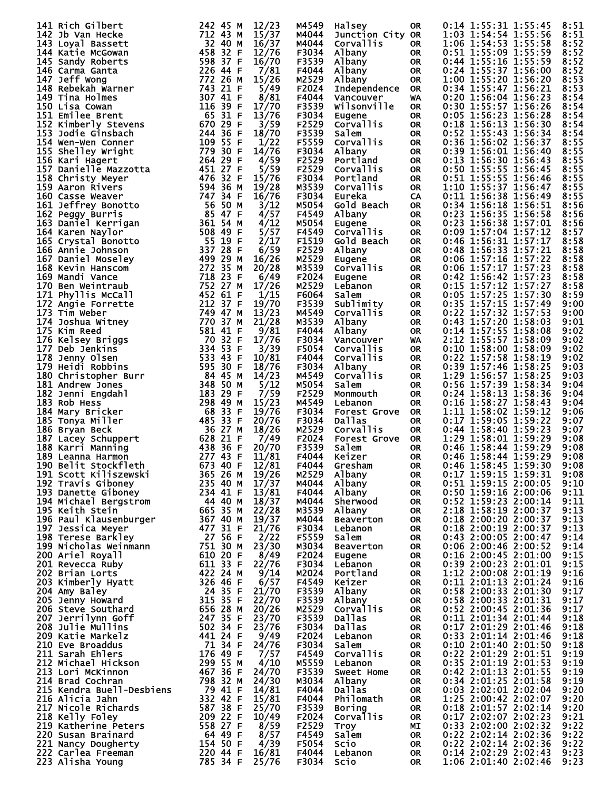| 141 Rich Gilbert                                                                                                                                                                                                                                                        | 242 45 M<br>12/23                                                                                                                            | M4549          | Halsey              | 0R                     | 0:14 1:55:31 1:55:45<br>8:51                                 |
|-------------------------------------------------------------------------------------------------------------------------------------------------------------------------------------------------------------------------------------------------------------------------|----------------------------------------------------------------------------------------------------------------------------------------------|----------------|---------------------|------------------------|--------------------------------------------------------------|
| 142 Jb Van Hecke                                                                                                                                                                                                                                                        | 712 43 M<br>15/37                                                                                                                            | M4044          | Junction City OR    |                        | 1:03 1:54:54 1:55:56<br>8:51                                 |
| 143 Loyal Bassett                                                                                                                                                                                                                                                       | 16/37                                                                                                                                        | M4044          | Corvallis           | 0R                     | 1:06 1:54:53 1:55:58<br>8:52                                 |
| 144 Katie McGowan                                                                                                                                                                                                                                                       | 32 40 M<br>458 32 F<br>12/76                                                                                                                 | F3034          |                     | <b>OR</b>              | 0:51 1:55:09 1:55:59<br>8:52                                 |
|                                                                                                                                                                                                                                                                         |                                                                                                                                              |                | Albany              |                        |                                                              |
| 145 Sandy Roberts                                                                                                                                                                                                                                                       | 598 37 F<br>226 44 F<br>772 26 M<br>743 21<br>16/70                                                                                          | F3539          | Albany              | <b>OR</b>              | 8:52<br>0:44 1:55:16 1:55:59                                 |
| 146 Carma Ganta                                                                                                                                                                                                                                                         | 7/81                                                                                                                                         | F4044          | Albany              | <b>OR</b>              | 0:24 1:55:37 1:56:00<br>8:52                                 |
| 147 Jeff Wong                                                                                                                                                                                                                                                           | 15/26                                                                                                                                        | M2529          | Albany              | <b>OR</b>              | 8:53<br>1:00 1:55:20 1:56:20                                 |
| 148 Rebekah Warner                                                                                                                                                                                                                                                      | 5/49                                                                                                                                         | F2024          | Independence        | <b>OR</b>              | 0:34 1:55:47 1:56:21<br>8:53                                 |
| 149 Tina Holmes                                                                                                                                                                                                                                                         | 8/81<br>307 41 F<br>116 39 F                                                                                                                 | F4044          | Vancouver           | WA                     | 0:20 1:56:04 1:56:23<br>8:54                                 |
| 150 Lisa Cowan                                                                                                                                                                                                                                                          | 17/70                                                                                                                                        | F3539          | Wilsonville         | <b>OR</b>              | 0:30 1:55:57 1:56:26<br>8:54                                 |
| 151 Emilee Brent                                                                                                                                                                                                                                                        | 65 31 F<br>13/76                                                                                                                             | F3034          | Eugene              | <b>OR</b>              | 0:05 1:56:23 1:56:28<br>8:54                                 |
| 152 Kimberly Stevens                                                                                                                                                                                                                                                    | 670 29 F<br>3/59                                                                                                                             | F2529          | Corvallis           | <b>OR</b>              | 0:18 1:56:13 1:56:30<br>8:54                                 |
| 153 Jodie Ginsbach                                                                                                                                                                                                                                                      | 244 36 F<br>18/70                                                                                                                            | F3539          | Salem               | <b>OR</b>              | $0:52$ 1:55:43 1:56:34<br>8:54                               |
| 154 Wen-Wen Conner                                                                                                                                                                                                                                                      | 109 55 F<br>1/22                                                                                                                             | F5559          | Corvallis           | <b>OR</b>              | 0:36 1:56:02 1:56:37<br>8:55                                 |
|                                                                                                                                                                                                                                                                         |                                                                                                                                              |                |                     |                        |                                                              |
| 155 Shelley Wright                                                                                                                                                                                                                                                      | 779 30 F<br>14/76                                                                                                                            | F3034          | Albany              | <b>OR</b>              | 8:55<br>$0:39$ 1:56:01 1:56:40                               |
| 156 Kari Hagert                                                                                                                                                                                                                                                         | 264 29 F<br>4/59                                                                                                                             | F2529          | Portland            | <b>OR</b>              | 0:13 1:56:30 1:56:43<br>8:55                                 |
| 157 Danielle Mazzotta<br>158 Christy Meyer                                                                                                                                                                                                                              | 5/59<br>451 27 F<br>476 32 F                                                                                                                 | F2529          | Corvallis           | <b>OR</b>              | 0:50 1:55:55 1:56:45<br>8:55                                 |
|                                                                                                                                                                                                                                                                         | 15/76                                                                                                                                        | F3034          | Portland            | <b>OR</b>              | 0:51 1:55:55 1:56:46<br>8:55                                 |
| 159 Aaron Rivers                                                                                                                                                                                                                                                        | 594 36 м<br>747 34 F<br>19/28                                                                                                                | M3539          | Corvallis           | <b>OR</b>              | 8:55<br>1:10 1:55:37 1:56:47                                 |
| 160 Casse Weaver                                                                                                                                                                                                                                                        | 16/76                                                                                                                                        | F3034          | Eureka              | CA                     | 0:11 1:56:38 1:56:49<br>8:55                                 |
| 161 Jeffrey Bonotto                                                                                                                                                                                                                                                     | 3/12                                                                                                                                         | M5054          | Gold Beach          | <b>OR</b>              | $0:34$ 1:56:18 1:56:51<br>8:56                               |
| 162 Peggy Burris                                                                                                                                                                                                                                                        | 56 50 м<br>85 47 ғ<br>4/57                                                                                                                   | F4549          | Albany              | <b>OR</b>              | 0:23 1:56:35 1:56:58<br>8:56                                 |
| 163 Daniel Kerrigan                                                                                                                                                                                                                                                     | 4/12                                                                                                                                         | M5054          |                     | <b>OR</b>              | 0:23 1:56:38 1:57:01<br>8:56                                 |
|                                                                                                                                                                                                                                                                         | 361 <sup>34</sup><br>508 49 F<br>55 19 F<br><b>961 54 AM</b><br>508 49 55 19 F F F<br>55 19 28 F M<br>499 29 53 752<br>772 35 752<br>752 271 |                | Eugene              |                        |                                                              |
| 164 Karen Naylor                                                                                                                                                                                                                                                        | 5/57                                                                                                                                         | F4549          | Corvallis           | <b>OR</b>              | 0:09 1:57:04 1:57:12<br>8:57                                 |
| 165 Crystal Bonotto                                                                                                                                                                                                                                                     | 2/17                                                                                                                                         | F1519          | Gold Beach          | <b>OR</b>              | 8:58<br>$0:46$ 1:56:31 1:57:17                               |
| 166 Annie Johnson                                                                                                                                                                                                                                                       | 6/59                                                                                                                                         | F2529          | Albany              | <b>OR</b>              | 0:48 1:56:33 1:57:21<br>8:58                                 |
| 167 Daniel Moseley                                                                                                                                                                                                                                                      | 16/26                                                                                                                                        | M2529          | <b>Eugene</b>       | <b>OR</b>              | 8:58<br>$0:06$ 1:57:16 1:57:22                               |
| 168 Kevin Hanscom                                                                                                                                                                                                                                                       | 20/28                                                                                                                                        | M3539          | <b>Corvallis</b>    | <b>OR</b>              | 0:06 1:57:17 1:57:23<br>8:58                                 |
| 169 Mandi Vance                                                                                                                                                                                                                                                         | 6/49                                                                                                                                         | F2024          | Eugene              | <b>OR</b>              | 0:42 1:56:42 1:57:23<br>8:58                                 |
| 170 Ben Weintraub                                                                                                                                                                                                                                                       | 17/26                                                                                                                                        | M2529          | Lebanon             | <b>OR</b>              | 0:15 1:57:12 1:57:27<br>8:58                                 |
| 171.<br>Phyllis McCall                                                                                                                                                                                                                                                  | 452 61 F<br>1/15                                                                                                                             | F6064          | Salem               | <b>OR</b>              | 0:05 1:57:25 1:57:30<br>8:59                                 |
|                                                                                                                                                                                                                                                                         | 212 37 F                                                                                                                                     |                |                     |                        | 0:35 1:57:15 1:57:49                                         |
| 172 Angie Forrette                                                                                                                                                                                                                                                      | 19/70                                                                                                                                        | F3539          | Sublimity           | <b>OR</b>              | 9:00                                                         |
| 173 Tim weber                                                                                                                                                                                                                                                           | 749 47 M<br>13/23<br>47 47 M<br>770 37 M<br>581 41 F                                                                                         | M4549          | <b>Corvallis</b>    | <b>OR</b>              | 0:22 1:57:32 1:57:53<br>9:00                                 |
| 174 Joshua Witney                                                                                                                                                                                                                                                       | 21/28                                                                                                                                        | M3539          | Albany              | <b>OR</b>              | 0:43 1:57:20 1:58:03<br>9:01                                 |
| 175 Kim Reed                                                                                                                                                                                                                                                            | 9/81                                                                                                                                         | F4044          | Albany              | <b>OR</b>              | 0:14 1:57:55 1:58:08<br>9:02                                 |
| 176 Kelsey Briggs                                                                                                                                                                                                                                                       | $70\frac{32}{32}$ F<br>334 53 F<br>17/76                                                                                                     | F3034          | Vancouver           | WA                     | 2:12 1:55:57 1:58:09<br>9:02                                 |
| 177 Deb Jenkins                                                                                                                                                                                                                                                         | 334 53 F<br>3/39                                                                                                                             | F5054          | Corvallis           | <b>OR</b>              | 0:10 1:58:00 1:58:09<br>9:02                                 |
| 178 Jenny Olsen                                                                                                                                                                                                                                                         | 533 43 F<br>595 30 F<br>10/81                                                                                                                | F4044          | Corvallis           | <b>OR</b>              | 0:22 1:57:58 1:58:19<br>9:02                                 |
| 179 Heidi Robbins                                                                                                                                                                                                                                                       | 18/76                                                                                                                                        | F3034          | Albany              | <b>OR</b>              | 0:39 1:57:46 1:58:25<br>9:03                                 |
| 180 Christopher Burr                                                                                                                                                                                                                                                    | 84 45 M<br>14/23                                                                                                                             | M4549          | Corvallis           | <b>OR</b>              | 1:29 1:56:57 1:58:25<br>9:03                                 |
|                                                                                                                                                                                                                                                                         | 348 50 M                                                                                                                                     | M5054          |                     |                        |                                                              |
| <b>181 Andrew Jones</b>                                                                                                                                                                                                                                                 | 5/12                                                                                                                                         |                | Salem               | <b>OR</b>              | 0:56 1:57:39 1:58:34<br>9:04                                 |
| 182 Jenni Engdahl                                                                                                                                                                                                                                                       | 183 29 F<br>7/59                                                                                                                             | F2529          | Monmouth            | <b>OR</b>              | 0:24 1:58:13 1:58:36<br>9:04                                 |
| 183 Rob Hess                                                                                                                                                                                                                                                            | 15/23<br>298 49 M                                                                                                                            | M4549          | Lebanon             | <b>OR</b>              | $0:16$ 1:58:27 1:58:43<br>9:04                               |
| 184 Mary Bricker                                                                                                                                                                                                                                                        | 68 33 F<br>19/76                                                                                                                             | F3034          | <b>Forest Grove</b> | <b>OR</b>              | 1:11 1:58:02 1:59:12<br>9:06                                 |
| 185 Tonya Miller                                                                                                                                                                                                                                                        | 485 33 F<br>20/76                                                                                                                            | F3034          | Dallas              | <b>OR</b>              | $0:17$ 1:59:05 1:59:22<br>9:07                               |
| 186 Bryan Beck                                                                                                                                                                                                                                                          | 36 27 M<br>18/26                                                                                                                             | M2529          | Corvallis           | <b>OR</b>              | 0:44 1:58:40 1:59:23<br>9:07                                 |
|                                                                                                                                                                                                                                                                         |                                                                                                                                              | F2024          | <b>Forest Grove</b> | <b>OR</b>              | 1:29 1:58:01 1:59:29<br>9:08                                 |
|                                                                                                                                                                                                                                                                         |                                                                                                                                              |                |                     |                        | $0:46$ 1:58:44 1:59:29<br>9:08                               |
| 187 Lacey Schuppert                                                                                                                                                                                                                                                     | 7/49                                                                                                                                         |                |                     |                        | 0:46 1:58:44 1:59:29<br>9:08                                 |
| 188 Karri Manning                                                                                                                                                                                                                                                       | 628 21 F<br>438 36 F<br>20/70                                                                                                                | F3539          | Salem               | <b>OR</b>              |                                                              |
| 189 Leanna Harmon                                                                                                                                                                                                                                                       | 277 43 F<br>11/81                                                                                                                            | F4044          | Keizer              | <b>OR</b>              |                                                              |
| 190 Belit Stockfleth                                                                                                                                                                                                                                                    | 673 40 F                                                                                                                                     | F4044          | Gresham             | <b>OR</b>              | $0:46$ 1:58:45 1:59:30<br>9:08                               |
| 191 Scott Kiliszewski                                                                                                                                                                                                                                                   | 12/81<br>19/26<br>365 26 M                                                                                                                   |                | M2529 Albany        | <b>OR</b>              | 0:17 1:59:15 1:59:31<br>9:08                                 |
|                                                                                                                                                                                                                                                                         | 17/37                                                                                                                                        | M4044          | Albany              | OR                     | 0:51 1:59:15 2:00:05<br>9:10                                 |
|                                                                                                                                                                                                                                                                         | 13/81                                                                                                                                        | F4044          | Albany              | <b>OR</b>              | 0:50 1:59:16 2:00:06<br>9:11                                 |
|                                                                                                                                                                                                                                                                         | 18/37                                                                                                                                        | M4044          | Sherwood            | <b>OR</b>              | $0:52$ 1:59:23 2:00:14<br>9:11                               |
|                                                                                                                                                                                                                                                                         | 22/28                                                                                                                                        | M3539          | Albany              | <b>OR</b>              | 2:18 1:58:19 2:00:37<br>9:13                                 |
|                                                                                                                                                                                                                                                                         | 19/37                                                                                                                                        | M4044          | Beaverton           | OR                     | 0:18 2:00:20 2:00:37<br>9:13                                 |
|                                                                                                                                                                                                                                                                         |                                                                                                                                              | F3034          |                     | <b>OR</b>              | 0:18 2:00:19 2:00:37<br>9:13                                 |
|                                                                                                                                                                                                                                                                         | 21/76                                                                                                                                        |                | Lebanon             |                        |                                                              |
|                                                                                                                                                                                                                                                                         | 2/22                                                                                                                                         | F5559          | Salem               | <b>OR</b>              | 0:43 2:00:05 2:00:47<br>9:14                                 |
|                                                                                                                                                                                                                                                                         | 23/30                                                                                                                                        | M3034          | Beaverton           | <b>OR</b>              | 0:06 2:00:46 2:00:52<br>9:14                                 |
|                                                                                                                                                                                                                                                                         | 8/49                                                                                                                                         | F2024          | Eugene              | <b>OR</b>              | $0:16$ 2:00:45 2:01:00<br>9:15                               |
|                                                                                                                                                                                                                                                                         | 22/76                                                                                                                                        | F3034          | Lebanon             | <b>OR</b>              | 0:39 2:00:23 2:01:01<br>9:15                                 |
|                                                                                                                                                                                                                                                                         | 9/14                                                                                                                                         | M2024          | Portland            | <b>OR</b>              | 1:12 2:00:08 2:01:19<br>9:16                                 |
|                                                                                                                                                                                                                                                                         | 6/57                                                                                                                                         | F4549          | Keizer              | <b>OR</b>              | 0:11 2:01:13 2:01:24<br>9:16                                 |
|                                                                                                                                                                                                                                                                         | 21/70                                                                                                                                        | F3539          | Albany              | <b>OR</b>              | 0:58 2:00:33 2:01:30<br>9:17                                 |
|                                                                                                                                                                                                                                                                         | 22/70                                                                                                                                        | F3539          | Albany              | <b>OR</b>              | 0:58 2:00:33 2:01:31<br>9:17                                 |
|                                                                                                                                                                                                                                                                         |                                                                                                                                              |                | Corvallis           | <b>OR</b>              | 9:17                                                         |
|                                                                                                                                                                                                                                                                         | 20/26                                                                                                                                        | M2529          | Dallas              | <b>OR</b>              | 0:52 2:00:45 2:01:36                                         |
|                                                                                                                                                                                                                                                                         | 23/70                                                                                                                                        | F3539          | <b>Dallas</b>       | <b>OR</b>              | 0:11 2:01:34 2:01:44<br>9:18                                 |
|                                                                                                                                                                                                                                                                         | 23/76                                                                                                                                        | F3034          |                     |                        | 0:17 2:01:29 2:01:46<br>9:18                                 |
| 191 Scott Kiliszewski<br>192 Travis Giboney<br>193 Danette Giboney<br>193 Danette Giboney<br>193 Danette Giboney<br>193 Danette Giboney<br>193 Danette Giboney<br>193 Danette Giboney<br>193 Danette Giboney<br>193 Neith Stein<br>194 Michael Ber<br>209 Katie Markelz | 9/49                                                                                                                                         | F2024          | Lebanon             | <b>OR</b>              | 0:33 2:01:14 2:01:46<br>9:18                                 |
| 210 Eve Broaddus                                                                                                                                                                                                                                                        | 441 24 F<br>71 34 F<br>24/76                                                                                                                 | F3034          | Salem               | <b>OR</b>              | 0:10 2:01:40 2:01:50<br>9:18                                 |
| 211 Sarah Ehlers                                                                                                                                                                                                                                                        | 176 49 F<br>7/57                                                                                                                             | F4549          | <b>Corvallis</b>    | <b>OR</b>              | 0:22 2:01:29 2:01:51<br>9:19                                 |
| 212 Michael Hickson                                                                                                                                                                                                                                                     | 299 55 M<br>4/10                                                                                                                             | M5559          | Lebanon             | <b>OR</b>              | 0:35 2:01:19 2:01:53<br>9:19                                 |
| 213 Lori McKinnon                                                                                                                                                                                                                                                       | $467$ 36 F<br>24/70                                                                                                                          | F3539          | Sweet Home          | <b>OR</b>              | 0:42 2:01:13 2:01:55<br>9:19                                 |
| 214 Brad Cochran                                                                                                                                                                                                                                                        | 798 32 M<br>24/30                                                                                                                            | M3034          | Albany              | <b>OR</b>              | 0:34 2:01:25 2:01:58<br>9:19                                 |
| 215 Kendra Buell-Desbiens                                                                                                                                                                                                                                               | 79 41 F<br>14/81                                                                                                                             | F4044          | Dallas              | <b>OR</b>              | 0:03 2:02:01 2:02:04<br>9:20                                 |
| 216 Alicia Jahn                                                                                                                                                                                                                                                         | 332 42 F<br>15/81                                                                                                                            | F4044          | Philomath           | <b>OR</b>              | 1:25 2:00:42 2:02:07<br>9:20                                 |
| 217 Nicole Richards                                                                                                                                                                                                                                                     | 25/70                                                                                                                                        | F3539          | Boring              | <b>OR</b>              | 0:18 2:01:57 2:02:14<br>9:20                                 |
|                                                                                                                                                                                                                                                                         | 10/49                                                                                                                                        | F2024          | Corvallis           | <b>OR</b>              |                                                              |
| 218 Kelly Foley                                                                                                                                                                                                                                                         |                                                                                                                                              |                |                     |                        | 0:17 2:02:07 2:02:23<br>9:21                                 |
| 219 Katherine Peters                                                                                                                                                                                                                                                    | 8/59                                                                                                                                         | F2529          | <b>Troy</b>         | МI                     | 0:33 2:02:00 2:02:32<br>9:22                                 |
| 220 Susan Brainard                                                                                                                                                                                                                                                      | 8/57                                                                                                                                         | F4549          | Salem               | <b>OR</b>              | 0:22 2:02:14 2:02:36<br>9:22                                 |
| 221 Nancy Dougherty                                                                                                                                                                                                                                                     | 4/39                                                                                                                                         | F5054          | Scio                | <b>OR</b>              | 0:22 2:02:14 2:02:36<br>9:22                                 |
| 222 Carlea Freeman<br>223 Alisha Young                                                                                                                                                                                                                                  | 332 42<br>587 38 22<br>209 22 F<br>558 27 F<br>558 27 F<br>64 49 F<br>154 50 F<br>220 44 F<br>785 34 F<br>16/81<br>25/76                     | F4044<br>F3034 | Lebanon<br>Scio     | <b>OR</b><br><b>OR</b> | 0:14 2:02:29 2:02:43<br>9:23<br>1:06 2:01:40 2:02:46<br>9:23 |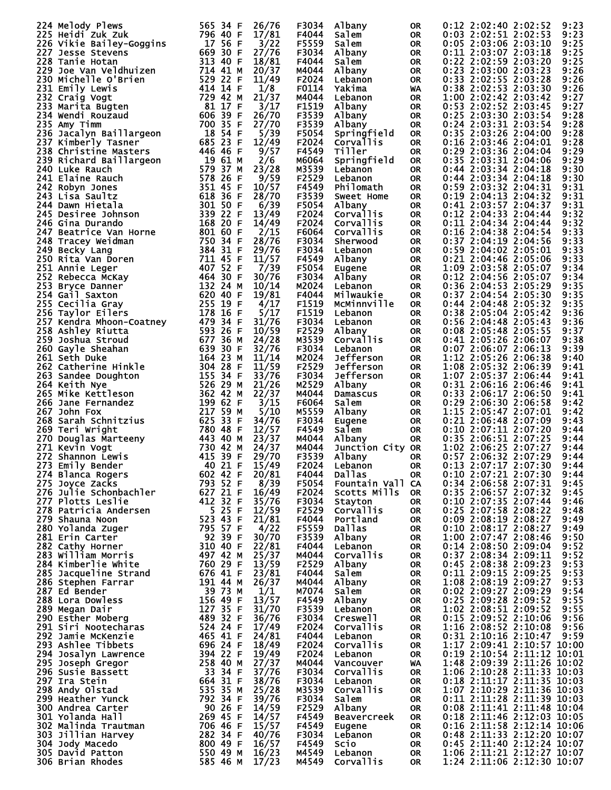|                                                                                                                                                                                                                                                      | 565 34 F<br>26/76                                                                                                                                                                          |                |                    |           |                                |
|------------------------------------------------------------------------------------------------------------------------------------------------------------------------------------------------------------------------------------------------------|--------------------------------------------------------------------------------------------------------------------------------------------------------------------------------------------|----------------|--------------------|-----------|--------------------------------|
| 224 Melody Plews<br>225 Heidi Zuk Zuk                                                                                                                                                                                                                |                                                                                                                                                                                            | F3034<br>F4044 | Albany             | 0R.       | 0:12 2:02:40 2:02:52<br>9:23   |
|                                                                                                                                                                                                                                                      | 796 40 F<br>17/81                                                                                                                                                                          |                | Salem              | 0R        | 0:03 2:02:51 2:02:53<br>9:23   |
| 226 Vikie Bailey-Goggins                                                                                                                                                                                                                             | 17 56 F<br>3/22                                                                                                                                                                            | F5559          | Salem              | <b>OR</b> | 0:05 2:03:06 2:03:10<br>9:25   |
| 227 Jesse Stevens                                                                                                                                                                                                                                    | 669 30 F<br>27/76<br>$\begin{array}{cccc}\n\text{663} & \text{313} & 40 & \text{F} \\ \text{313} & 40 & \text{F} \\ \text{714} & 41 & \text{M} \\ \text{722} & 22 & \text{F}\n\end{array}$ | F3034          | Albany             | <b>OR</b> | 0:11 2:03:07 2:03:18<br>9:25   |
| 228 Tanie Hotan                                                                                                                                                                                                                                      | 18/81                                                                                                                                                                                      | F4044          | Salem              | OR        | 0:22 2:02:59 2:03:20<br>9:25   |
| 229 Joe Van Veldhuizen                                                                                                                                                                                                                               | 20/37                                                                                                                                                                                      | M4044          | Albany             | <b>OR</b> | 0:23 2:03:00 2:03:23<br>9:26   |
| 230 Michelle O'Brien                                                                                                                                                                                                                                 | 529 22 F<br>414 14 F<br>11/49                                                                                                                                                              | F2024          | Lebanon            | <b>OR</b> | 0:33 2:02:55 2:03:28<br>9:26   |
| 231 Emily Lewis                                                                                                                                                                                                                                      | 1/8                                                                                                                                                                                        | F0114          | Yakima             | WA        | 0:38 2:02:53 2:03:30<br>9:26   |
| 232 Craig Vogt                                                                                                                                                                                                                                       | 729 42 M<br>21/37                                                                                                                                                                          | M4044          | Lebanon            | <b>OR</b> | 1:00 2:02:42 2:03:42<br>9:27   |
| 233 Marita Būgten                                                                                                                                                                                                                                    | 81 17 F<br>3/17                                                                                                                                                                            | F1519          | Albany             | <b>OR</b> | 0:53 2:02:52 2:03:45<br>9:27   |
| 234 Wendi Rouzaud                                                                                                                                                                                                                                    | $606$ 39 F<br>26/70                                                                                                                                                                        | F3539          | Albany             | <b>OR</b> | 0:25 2:03:30 2:03:54<br>9:28   |
| 235 Amy Timm                                                                                                                                                                                                                                         | 700 35 F<br>27/70                                                                                                                                                                          | F3539          | Albany             | <b>OR</b> | 0:24 2:03:31 2:03:54<br>9:28   |
| 235 Amy Timm<br>236 Jacalyn Baillargeon<br>237 Kimberly Tasner<br>238 Christine Masters<br>239 Richard Baillargeon<br>240 Luke Rauch<br>241 Elaine Rauch<br>242 Robyn Jones<br>243 Lisa Saultz<br>243 Lisa Saultz<br>244 Dawn Hietala<br>245 Desiree | 5/39                                                                                                                                                                                       | F5054          | Springfield        | OR.       | 0:35 2:03:26 2:04:00<br>9:28   |
|                                                                                                                                                                                                                                                      | 12/49                                                                                                                                                                                      | F2024          | <b>Corvallis</b>   | <b>OR</b> | $0:16$ 2:03:46 2:04:01<br>9:28 |
|                                                                                                                                                                                                                                                      |                                                                                                                                                                                            |                | <b>Tiller</b>      |           |                                |
|                                                                                                                                                                                                                                                      | 9/57                                                                                                                                                                                       | F4549          |                    | <b>OR</b> | 0:29 2:03:36 2:04:04<br>9:29   |
|                                                                                                                                                                                                                                                      | 2/6                                                                                                                                                                                        | M6064          | Springfield        | <b>OR</b> | 0:35 2:03:31 2:04:06<br>9:29   |
|                                                                                                                                                                                                                                                      | 23/28                                                                                                                                                                                      | M3539          | Lebanon            | <b>OR</b> | 0:44 2:03:34 2:04:18<br>9:30   |
|                                                                                                                                                                                                                                                      | 9/59                                                                                                                                                                                       | F2529          | Lebanon            | <b>OR</b> | 0:44 2:03:34 2:04:18<br>9:30   |
|                                                                                                                                                                                                                                                      | 10/57                                                                                                                                                                                      | F4549          | Philomath          | <b>OR</b> | 0:59 2:03:32 2:04:31<br>9:31   |
|                                                                                                                                                                                                                                                      | 28/70                                                                                                                                                                                      | F3539          | Sweet Home         | <b>OR</b> | 0:19 2:04:13 2:04:32<br>9:31   |
|                                                                                                                                                                                                                                                      | 6/39                                                                                                                                                                                       | F5054          | Albany             | <b>OR</b> | 0:41 2:03:57 2:04:37<br>9:31   |
|                                                                                                                                                                                                                                                      | 13/49                                                                                                                                                                                      | F2024          | Corvallis          | <b>OR</b> | $0:12$ 2:04:33 2:04:44<br>9:32 |
|                                                                                                                                                                                                                                                      | 168 20 F<br>801 60 F<br>14/49                                                                                                                                                              | F2024          | Corvallis          | <b>OR</b> | 0:11 2:04:34 2:04:44<br>9:32   |
|                                                                                                                                                                                                                                                      | 2/15                                                                                                                                                                                       | F6064          | <b>Corvallis</b>   | <b>OR</b> | 9:33<br>$0:16$ 2:04:38 2:04:54 |
|                                                                                                                                                                                                                                                      | 28/76                                                                                                                                                                                      | F3034          | Sherwood           | <b>OR</b> | 0:37 2:04:19 2:04:56<br>9:33   |
|                                                                                                                                                                                                                                                      | 750 34 F<br>384 31 F<br>29/76                                                                                                                                                              | F3034          | Lebanon            | <b>OR</b> | $0:59$ 2:04:02 2:05:01<br>9:33 |
| <sup>245</sup> Desiree Johnson<br>246 Gina Durando<br>247 Beatrice Van Horne<br>248 Tracey Weidman<br>249 Becky Lang<br>250 Rita Van Doren<br>251 Annie Leger                                                                                        | 11/57                                                                                                                                                                                      | F4549          | Albany             | <b>OR</b> | 0:21 2:04:46 2:05:06<br>9:33   |
|                                                                                                                                                                                                                                                      | 711 45 F<br>407 52 F                                                                                                                                                                       | F5054          |                    |           |                                |
| 251 Annie Leger<br>252 Rebecca McKay<br>253 Bryce Danner<br>254 Gail Saxton 132 24 M<br>255 Cecilia Gray 255 19 F<br>256 Taylor Eilers 178 16 F                                                                                                      | 7/39                                                                                                                                                                                       |                | Eugene             | OR        | 9:34<br>1:09 2:03:58 2:05:07   |
|                                                                                                                                                                                                                                                      | 30/76                                                                                                                                                                                      | F3034          | Albany             | OR        | 0:12 2:04:56 2:05:07<br>9:34   |
|                                                                                                                                                                                                                                                      | 10/14                                                                                                                                                                                      | M2024          | Lebanon            | <b>OR</b> | 0:36 2:04:53 2:05:29<br>9:35   |
|                                                                                                                                                                                                                                                      | 19/81                                                                                                                                                                                      | F4044          | Milwaukie          | <b>OR</b> | 0:37 2:04:54 2:05:30<br>9:35   |
|                                                                                                                                                                                                                                                      | 4/17                                                                                                                                                                                       | F1519          | MCMinnville        | <b>OR</b> | 9:35<br>$0:44$ 2:04:48 2:05:32 |
| <b>256 Taylor Ellers</b> 178 16 F<br>257 Kendra Mhoon-Coatney 479 34 F<br>258 Ashley Riutta 593 26 F<br>259 Joshua Stroud 677 36 M                                                                                                                   | 5/17                                                                                                                                                                                       | F1519          | Lebanon            | <b>OR</b> | 0:38 2:05:04 2:05:42<br>9:36   |
|                                                                                                                                                                                                                                                      | 31/76                                                                                                                                                                                      | F3034          | Lebanon            | <b>OR</b> | $0:56$ 2:04:48 2:05:43<br>9:36 |
|                                                                                                                                                                                                                                                      | 10/59                                                                                                                                                                                      | F2529          | Albany             | <b>OR</b> | 0:08 2:05:48 2:05:55<br>9:37   |
|                                                                                                                                                                                                                                                      | 24/28                                                                                                                                                                                      | M3539          | Corvallis          | <b>OR</b> | 9:38<br>$0:41$ 2:05:26 2:06:07 |
| 260 Gayle Sheahan                                                                                                                                                                                                                                    | 639 30 F<br>32/76                                                                                                                                                                          | F3034          | Lebanon            | OR.       | 0:07 2:06:07 2:06:13<br>9:39   |
| 261 Seth Duke                                                                                                                                                                                                                                        | 164 23 M<br>11/14                                                                                                                                                                          | M2024          | Jefferson          | <b>OR</b> | 1:12 2:05:26 2:06:38<br>9:40   |
| 262 Catherine Hinkle                                                                                                                                                                                                                                 | $304\,28$ F<br>11/59                                                                                                                                                                       | F2529          | Jefferson          | <b>OR</b> | 1:08 2:05:32 2:06:39<br>9:41   |
|                                                                                                                                                                                                                                                      | 155 34 F                                                                                                                                                                                   |                |                    |           |                                |
| 263 Sandee Doughton                                                                                                                                                                                                                                  | 33/76                                                                                                                                                                                      | F3034          | Jefferson          | <b>OR</b> | 1:07 2:05:37 2:06:44<br>9:41   |
| 264 Keith Nye                                                                                                                                                                                                                                        | 526 29 M<br>21/26                                                                                                                                                                          | M2529          | Albany             | <b>OR</b> | 0:31 2:06:16 2:06:46<br>9:41   |
| 265 Mike Kettleson                                                                                                                                                                                                                                   | 362 42 M<br>22/37                                                                                                                                                                          | M4044          | Damascus           | <b>OR</b> | 0:33 2:06:17 2:06:50<br>9:41   |
| 266 Jane Fernandez                                                                                                                                                                                                                                   | 199 62 F<br>3/15                                                                                                                                                                           | F6064          | Salem              | <b>OR</b> | 0:29 2:06:30 2:06:58<br>9:42   |
| 267 John Fox                                                                                                                                                                                                                                         | 217 59 M<br>5/10                                                                                                                                                                           | M5559          | Albany             | <b>OR</b> | 1:15 2:05:47 2:07:01<br>9:42   |
| 268 Sarah Schnitzius                                                                                                                                                                                                                                 | 625 33 F<br>34/76                                                                                                                                                                          | F3034          | Eugene             | OR.       | 0:21 2:06:48 2:07:09<br>9:43   |
| 269 Teri Wright                                                                                                                                                                                                                                      | 780 48 F<br>12/57                                                                                                                                                                          | F4549          | Salem              | <b>OR</b> | 0:10 2:07:11 2:07:20<br>9:44   |
| 270 Douglas Marteeny<br>271 Kevin Vogt<br>272 Shannon Lewis<br>272 Shannon Lewis<br>272 Shannon Lewis<br>273 Shannon Lewis<br>273 Shannon Lewis                                                                                                      | 23/37                                                                                                                                                                                      | M4044          | Albany             | <b>OR</b> | 0:35 2:06:51 2:07:25<br>9:44   |
|                                                                                                                                                                                                                                                      | 24/37                                                                                                                                                                                      | M4044          | Junction City OR   |           | 1:02 2:06:25 2:07:27<br>9:44   |
|                                                                                                                                                                                                                                                      | 29/70                                                                                                                                                                                      | F3539          | Albany             | <b>OR</b> | 0:57 2:06:32 2:07:29<br>9:44   |
| 273 Emily Bender                                                                                                                                                                                                                                     | 15/49<br>40 21 F                                                                                                                                                                           | F2024          | Lebanon            | <b>OR</b> | $0:13$ 2:07:17 2:07:30<br>9:44 |
| 274 Blanca Rogers                                                                                                                                                                                                                                    | 602 42 F<br>20/81                                                                                                                                                                          | F4044          | <b>Dallas</b>      | 0R.       | 0:10 2:07:21 2:07:30<br>9:44   |
| 275 Joyce Zacks                                                                                                                                                                                                                                      | 793 52 F<br>8/39                                                                                                                                                                           | F5054          | Fountain Vall CA   |           | 0:34 2:06:58 2:07:31<br>9:45   |
| 276 Julie Schonbachler                                                                                                                                                                                                                               | 627 21 F<br>16/49                                                                                                                                                                          | F2024          | Scotts Mills       | OR.       | 0:35 2:06:57 2:07:32<br>9:45   |
| 277 Plotts Leslie                                                                                                                                                                                                                                    | 412 32 F<br>35/76                                                                                                                                                                          | F3034          |                    | <b>OR</b> | 0:10 2:07:35 2:07:44<br>9:46   |
|                                                                                                                                                                                                                                                      |                                                                                                                                                                                            |                | Stayton            |           |                                |
| 278 Patricia Andersen                                                                                                                                                                                                                                | 5 25 F<br>12/59                                                                                                                                                                            | F2529          | Corvallis          | <b>OR</b> | 0:25 2:07:58 2:08:22<br>9:48   |
| 279 Shauna Noon                                                                                                                                                                                                                                      | 523 43 F<br>21/81                                                                                                                                                                          | F4044          | Portland           | <b>OR</b> | 0:09 2:08:19 2:08:27<br>9:49   |
| 280 Yolanda Zuger                                                                                                                                                                                                                                    | 795 57 F<br>92 39 F<br>4/22                                                                                                                                                                | F5559          | Dallas             | OR.       | 0:10 2:08:17 2:08:27<br>9:49   |
| 281 Erin Carter                                                                                                                                                                                                                                      | 30/70                                                                                                                                                                                      | F3539          | Albany             | 0R        | 1:00 2:07:47 2:08:46<br>9:50   |
| 282 Cathy Horner                                                                                                                                                                                                                                     | 310 40 F<br>497 42 M<br>22/81                                                                                                                                                              | F4044          | Lebanon            | OR.       | 0:14 2:08:50 2:09:04<br>9:52   |
| 283 William Morris                                                                                                                                                                                                                                   | 25/37                                                                                                                                                                                      | M4044          | Corvallis          | OR.       | 9:52<br>0:37 2:08:34 2:09:11   |
| 284 Kimberlie White                                                                                                                                                                                                                                  | 760 29 F<br>13/59                                                                                                                                                                          | F2529          | Albany             | OR.       | 9:53<br>0:45 2:08:38 2:09:23   |
| 285 Jacqueline Strand                                                                                                                                                                                                                                | 676 41 F<br>23/81                                                                                                                                                                          | F4044          | Salem              | OR.       | 9:53<br>0:11 2:09:15 2:09:25   |
| 286 Stephen Farrar                                                                                                                                                                                                                                   | 26/37                                                                                                                                                                                      | M4044          | Albany             | OR.       | 9:53<br>1:08 2:08:19 2:09:27   |
| 287 Ed Bender                                                                                                                                                                                                                                        | 191 44 M<br>39 73 M<br>1/1                                                                                                                                                                 | M7074          | Salem              | OR.       | 0:02 2:09:27 2:09:29<br>9:54   |
| 288 Lora Dowless                                                                                                                                                                                                                                     | 156 49 F<br>13/57                                                                                                                                                                          | F4549          | Albany             | OR.       | 0:25 2:09:28 2:09:52<br>9:55   |
| 289 Megan Dair                                                                                                                                                                                                                                       | 127 35 F<br>31/70                                                                                                                                                                          | F3539          | Lebanon            | 0R        | 9:55<br>1:02 2:08:51 2:09:52   |
| 290 Esther Moberg                                                                                                                                                                                                                                    | 489 32 F<br>36/76                                                                                                                                                                          | F3034          | Creswell           | OR.       | 0:15 2:09:52 2:10:06<br>9:56   |
| 291 Siri Nootecharas                                                                                                                                                                                                                                 | 524 24 F<br>17/49                                                                                                                                                                          | F2024          | Corvallis          | OR.       | 1:16 2:08:52 2:10:08<br>9:56   |
| 292 Jamie McKenzie                                                                                                                                                                                                                                   | 465 41 F<br>24/81                                                                                                                                                                          | F4044          | Lebanon            | OR.       | $0:31$ 2:10:16 2:10:47<br>9:59 |
|                                                                                                                                                                                                                                                      |                                                                                                                                                                                            |                |                    |           |                                |
| 293 Ashlee Tibbets                                                                                                                                                                                                                                   | 696 24 F<br>18/49                                                                                                                                                                          | F2024          | Corvallis          | <b>OR</b> | 1:17 2:09:41 2:10:57 10:00     |
| 294 Josalyn Lawrence                                                                                                                                                                                                                                 | 394 22 F<br>258 40 M<br>19/49                                                                                                                                                              | F2024          | Lebanon            | OR.       | 0:19 2:10:54 2:11:12 10:01     |
| 295 Joseph Gregor                                                                                                                                                                                                                                    | 27/37                                                                                                                                                                                      | M4044          | Vancouver          | <b>WA</b> | 1:48 2:09:39 2:11:26 10:02     |
| 296 Susie Bassett                                                                                                                                                                                                                                    | 33 34 F<br>37/76                                                                                                                                                                           | F3034          | Corvallis          | OR.       | 1:06 2:10:28 2:11:33 10:03     |
| 297 Ira Stein                                                                                                                                                                                                                                        | 664 31 F<br>38/76                                                                                                                                                                          | F3034          | Lebanon            | OR.       | $0:18$ 2:11:17 2:11:35 10:03   |
| 298 Andy Olstad                                                                                                                                                                                                                                      | 535 35 M<br>792 34 F<br>25/28                                                                                                                                                              | M3539          | Corvallis          | OR.       | 1:07 2:10:29 2:11:36 10:03     |
| 299 Heather Yunck                                                                                                                                                                                                                                    | 39/76                                                                                                                                                                                      | F3034          | Salem              | OR.       | 0:11 2:11:28 2:11:39 10:03     |
| 300 Andrea Carter                                                                                                                                                                                                                                    | 90 26 F<br>14/59                                                                                                                                                                           | F2529          | Albany             | OR.       | 0:08 2:11:41 2:11:48 10:04     |
| 301 Yolanda Hall                                                                                                                                                                                                                                     | 269 45 F<br>14/57                                                                                                                                                                          | F4549          | <b>Beavercreek</b> | OR.       | 0:18 2:11:46 2:12:03 10:05     |
| 302 Malinda Trautman                                                                                                                                                                                                                                 | 706 46 F<br>15/57                                                                                                                                                                          | F4549          | Eugene             | OR.       | 0:16 2:11:58 2:12:14 10:06     |
| 303 Jillian Harvey                                                                                                                                                                                                                                   | 282 34 F<br>40/76                                                                                                                                                                          | F3034          | Lebanon            | OR.       | 0:48 2:11:33 2:12:20 10:07     |
| 304 Jody Macedo                                                                                                                                                                                                                                      | 800 49 F<br>16/57                                                                                                                                                                          | F4549          | Scio               | OR.       | 0:45 2:11:40 2:12:24 10:07     |
| 305 David Patton                                                                                                                                                                                                                                     | 550 49 M<br>16/23                                                                                                                                                                          | M4549          | Lebanon            | OR.       | 1:06 2:11:21 2:12:27 10:07     |
|                                                                                                                                                                                                                                                      |                                                                                                                                                                                            | M4549          | Corvallis          | OR.       | 1:24 2:11:06 2:12:30 10:07     |
| 306 Brian Rhodes                                                                                                                                                                                                                                     | 585 46 M<br>17/23                                                                                                                                                                          |                |                    |           |                                |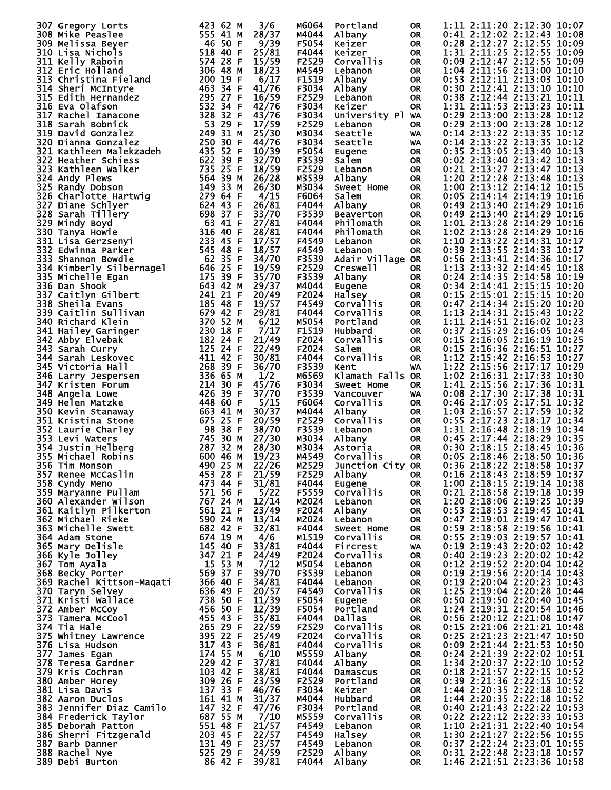| 307 Gregory Lorts                                                                                                                                                                                                                                  | 423 62 M<br>3/6       | M6064 | Portland                                 | 0R                                   | 1:11 2:11:20 2:12:30 10:07   |
|----------------------------------------------------------------------------------------------------------------------------------------------------------------------------------------------------------------------------------------------------|-----------------------|-------|------------------------------------------|--------------------------------------|------------------------------|
| 308 Mike Peaslee                                                                                                                                                                                                                                   | 555 41 M<br>28/37     | M4044 | Albany                                   | 0R                                   | 0:41 2:12:02 2:12:43 10:08   |
| 309 Melissa Beyer                                                                                                                                                                                                                                  | 46 50 F<br>9/39       | F5054 | Keizer                                   | <b>OR</b>                            | 0:28 2:12:27 2:12:55 10:09   |
|                                                                                                                                                                                                                                                    | 518 40 F              |       |                                          |                                      | 1:31 2:11:25 2:12:55 10:09   |
| 310 Lisa Nichols                                                                                                                                                                                                                                   | 25/81                 | F4044 | Keizer                                   | <b>OR</b>                            |                              |
| 311 Kelly Raboin                                                                                                                                                                                                                                   | 574 28 F<br>15/59     | F2529 | <b>Corvallis</b>                         | <b>OR</b>                            | 0:09 2:12:47 2:12:55 10:09   |
| 312 Eric Holland                                                                                                                                                                                                                                   | 306 48 M<br>18/23     | M4549 | Lebanon                                  | 0R                                   | 1:04 2:11:56 2:13:00 10:10   |
| 313 Christina Fieland                                                                                                                                                                                                                              | 200 19 F<br>6/17      | F1519 | Albany                                   | <b>OR</b>                            | 0:53 2:12:11 2:13:03 10:10   |
| 314 Sheri McIntyre                                                                                                                                                                                                                                 | 463<br>34 F<br>41/76  | F3034 | Albany                                   | 0R                                   | 0:30 2:12:41 2:13:10 10:10   |
| 315 Edith Hernandez                                                                                                                                                                                                                                | 295 27 F<br>16/59     | F2529 | Lebanon                                  | <b>OR</b>                            | 0:38 2:12:44 2:13:21 10:11   |
| 316 Eva Olafson                                                                                                                                                                                                                                    | 532 34 F<br>42/76     | F3034 | Keizer                                   | 0R                                   | 1:31 2:11:53 2:13:23 10:11   |
| 317 Rachel Ianacone                                                                                                                                                                                                                                | 328<br>43/76<br>32 F  |       |                                          |                                      |                              |
|                                                                                                                                                                                                                                                    |                       | F3034 | University Pl WA                         |                                      | 0:29 2:13:00 2:13:28 10:12   |
| 318 Sarah Bobnick                                                                                                                                                                                                                                  | 53 29 F<br>17/59      | F2529 | Lebanon                                  | OR.                                  | 0:29 2:13:00 2:13:28 10:12   |
| 319 David Gonzalez                                                                                                                                                                                                                                 | 249 31 M<br>25/30     | M3034 | Seattle                                  | WA                                   | 0:14 2:13:22 2:13:35 10:12   |
| 320 Dianna Gonzalez                                                                                                                                                                                                                                | 250 30 F<br>44/76     | F3034 | Seattle                                  | WA                                   | 0:14 2:13:22 2:13:35 10:12   |
| 321 Kathleen Malekzadeh                                                                                                                                                                                                                            | 435 52 F<br>10/39     | F5054 | Eugene                                   | 0R                                   | $0:35$ 2:13:05 2:13:40 10:13 |
| 322 Heather Schiess                                                                                                                                                                                                                                | 622 39 F<br>32/70     | F3539 | Salem                                    | 0R                                   | 0:02 2:13:40 2:13:42 10:13   |
|                                                                                                                                                                                                                                                    |                       |       |                                          |                                      |                              |
| 323 Kathleen Walker                                                                                                                                                                                                                                | 735 25 F<br>18/59     | F2529 | Lebanon                                  | <b>OR</b>                            | 0:21 2:13:27 2:13:47 10:13   |
| 324 Andy Plews                                                                                                                                                                                                                                     | 564 39 M<br>26/28     | M3539 | Albany                                   | 0R                                   | 1:20 2:12:28 2:13:48 10:13   |
| 325 Randy Dobson                                                                                                                                                                                                                                   | 149 33 M<br>26/30     | M3034 | Sweet Home                               | <b>OR</b>                            | 1:00 2:13:12 2:14:12 10:15   |
| 326 Charlotte_Hartwig                                                                                                                                                                                                                              | 279 64 F<br>4/15      | F6064 | Salem                                    | 0R                                   | 0:05 2:14:14 2:14:19 10:16   |
| 327 Diane Schlyer                                                                                                                                                                                                                                  | 26/81<br>624 43 F     | F4044 | Albany                                   | <b>OR</b>                            | 0:49 2:13:40 2:14:29 10:16   |
|                                                                                                                                                                                                                                                    | 698 37 F<br>33/70     | F3539 |                                          |                                      | 0:49 2:13:40 2:14:29 10:16   |
| 328 Sarah Tillery                                                                                                                                                                                                                                  |                       |       | <b>Beaverton</b>                         | 0R                                   |                              |
| 329 Mindy Boyd                                                                                                                                                                                                                                     | 63 41 F<br>27/81      | F4044 | Philomath                                | <b>OR</b>                            | 1:01 2:13:28 2:14:29 10:16   |
| 330 Tanya Howie                                                                                                                                                                                                                                    | 316 40 F<br>28/81     | F4044 | Philomath                                | 0R                                   | 1:02 2:13:28 2:14:29 10:16   |
| 331 Lisa Gerzsenyi                                                                                                                                                                                                                                 | 233<br>17/57<br>45 F  | F4549 | Lebanon                                  | <b>OR</b>                            | 1:10 2:13:22 2:14:31 10:17   |
| 332 Edwinna Parker                                                                                                                                                                                                                                 | 545 48 F<br>18/57     | F4549 | Lebanon                                  | 0R                                   | 0:39 2:13:55 2:14:33 10:17   |
| 333 Shannon Bowdle                                                                                                                                                                                                                                 | 62 35 F<br>34/70      | F3539 | Adair Village OR                         |                                      | 0:56 2:13:41 2:14:36 10:17   |
|                                                                                                                                                                                                                                                    |                       |       |                                          |                                      |                              |
| 334 Kimberly Silbernagel                                                                                                                                                                                                                           | 646 25 F<br>19/59     | F2529 | Creswell                                 | 0R                                   | 1:13 2:13:32 2:14:45 10:18   |
| 335 Michelle Egan                                                                                                                                                                                                                                  | 175 39 F<br>35/70     | F3539 | Albany                                   | <b>OR</b>                            | 0:24 2:14:35 2:14:58 10:19   |
| 336 Dan Shook                                                                                                                                                                                                                                      | 643 42 M<br>29/37     | M4044 | Eugene                                   | 0R                                   | 0:34 2:14:41 2:15:15 10:20   |
| 337 Caitlyn Gilbert                                                                                                                                                                                                                                | 241 21 F<br>20/49     | F2024 | Halsey                                   | <b>OR</b>                            | 0:15 2:15:01 2:15:15 10:20   |
| 338 Sheila Evans                                                                                                                                                                                                                                   | 185 48 F<br>19/57     | F4549 | Corvallis                                | 0R                                   | 0:47 2:14:34 2:15:20 10:20   |
|                                                                                                                                                                                                                                                    | 679 42 F<br>29/81     | F4044 |                                          |                                      |                              |
| 339 Caitlin Sullivan                                                                                                                                                                                                                               |                       |       | Corvallis                                | <b>OR</b>                            | 1:13 2:14:31 2:15:43 10:22   |
| 340 Richard Klein                                                                                                                                                                                                                                  | 370 52 M<br>6/12      | M5054 | Portland                                 | 0R                                   | 1:11 2:14:51 2:16:02 10:23   |
| 341 Hailey Garinger                                                                                                                                                                                                                                | 7/17<br>230 18 F      | F1519 | Hubbard                                  | <b>OR</b>                            | 0:37 2:15:29 2:16:05 10:24   |
| 342 Abby Elvebak                                                                                                                                                                                                                                   | 182 24 F<br>21/49     | F2024 | Corvallis                                | 0R                                   | 0:15 2:16:05 2:16:19 10:25   |
| 343 Sarah Curry                                                                                                                                                                                                                                    | 125 24 F<br>22/49     | F2024 | Salem                                    | <b>OR</b>                            | 0:15 2:16:36 2:16:51 10:27   |
| 344 Sarah Leskovec                                                                                                                                                                                                                                 | 411 42 F<br>30/81     | F4044 | Corvallis                                | <b>OR</b>                            | 1:12 2:15:42 2:16:53 10:27   |
|                                                                                                                                                                                                                                                    |                       |       |                                          |                                      |                              |
| 345 Victoria Hall                                                                                                                                                                                                                                  | 268<br>36/70<br>39 F  | F3539 | Kent                                     | WA                                   | 1:22 2:15:56 2:17:17 10:29   |
| 346 Larry Jespersen                                                                                                                                                                                                                                | 336 65 M<br>1/2       | M6569 | Klamath Falls OR                         |                                      | 1:02 2:16:31 2:17:33 10:30   |
| 347 Kristen Forum                                                                                                                                                                                                                                  | 214 30 F<br>45/76     | F3034 | Sweet Home                               | 0R                                   | 1:41 2:15:56 2:17:36 10:31   |
| 348 Angela Lowe                                                                                                                                                                                                                                    | 426 39 F<br>37/70     | F3539 | Vancouver                                | WA.                                  | 0:08 2:17:30 2:17:38 10:31   |
| 349 Helen Matzke                                                                                                                                                                                                                                   | 448<br>5/15<br>60 F   | F6064 | Corvallis                                | <b>OR</b>                            | 0:46 2:17:05 2:17:51 10:32   |
|                                                                                                                                                                                                                                                    |                       |       |                                          |                                      | 1:03 2:16:57 2:17:59 10:32   |
| 350 Kevin Stanaway                                                                                                                                                                                                                                 | 30/37<br>663 41 M     | M4044 | Albany                                   | 0R                                   |                              |
| 351 Kristina Stone                                                                                                                                                                                                                                 | 675 25<br>20/59<br>-F | F2529 | Corvallis                                | <b>OR</b>                            | 0:55 2:17:23 2:18:17 10:34   |
| 352 Laurie Charley                                                                                                                                                                                                                                 | 98<br>38/70<br>38 F   | F3539 | Lebanon                                  | 0R                                   | 1:31 2:16:48 2:18:19 10:34   |
| 353 Levi Waters                                                                                                                                                                                                                                    | 745 30 M<br>27/30     | M3034 | Albany                                   | <b>OR</b>                            | 0:45 2:17:44 2:18:29 10:35   |
| 354 Justin Helberg                                                                                                                                                                                                                                 | 32 M<br>28/30<br>287  | M3034 | Astoria                                  | <b>OR</b>                            | 0:30 2:18:15 2:18:45 10:36   |
| 355 Michael Robins                                                                                                                                                                                                                                 | 19/23<br>600 46 M     | M4549 | <b>Corvallis</b>                         | <b>OR</b>                            | $0:05$ 2:18:46 2:18:50 10:36 |
|                                                                                                                                                                                                                                                    | 22/26<br>490 25 M     | M2529 |                                          |                                      | $0:36$ 2:18:22 2:18:58 10:37 |
| 356 Tim Monson                                                                                                                                                                                                                                     |                       |       | Junction City OR                         |                                      |                              |
|                                                                                                                                                                                                                                                    | 21/59                 | F2529 | Albany <b>Alban</b>                      | OR                                   | 0:16 2:18:43 2:18:59 10:37   |
|                                                                                                                                                                                                                                                    | 31/81                 | F4044 | risany<br>Eugene<br>Corvallis<br>Lebanon | OR                                   | 1:00 2:18:15 2:19:14 10:38   |
|                                                                                                                                                                                                                                                    | 5/22                  | F5559 |                                          | OR                                   | 0:21 2:18:58 2:19:18 10:39   |
|                                                                                                                                                                                                                                                    | 12/14                 | M2024 |                                          | OR                                   | 1:20 2:18:06 2:19:25 10:39   |
|                                                                                                                                                                                                                                                    | 23/49                 | F2024 | Albany                                   | OR                                   | 0:53 2:18:53 2:19:45 10:41   |
|                                                                                                                                                                                                                                                    | 13/14                 | M2024 |                                          |                                      | 0:47 2:19:01 2:19:47 10:41   |
|                                                                                                                                                                                                                                                    |                       |       | Lebanon                                  | OR                                   |                              |
|                                                                                                                                                                                                                                                    | 32/81                 | F4044 | <b>Sweet Home</b>                        | OR                                   | 0:59 2:18:58 2:19:56 10:41   |
|                                                                                                                                                                                                                                                    | 4/6                   | M1519 | Corvallis                                | OR                                   | 0:55 2:19:03 2:19:57 10:41   |
|                                                                                                                                                                                                                                                    | 33/81                 | F4044 | Fircrest                                 | WA                                   | 0:19 2:19:43 2:20:02 10:42   |
|                                                                                                                                                                                                                                                    | 24/49                 | F2024 | Corvallis                                | OR                                   | 0:40 2:19:23 2:20:02 10:42   |
|                                                                                                                                                                                                                                                    | 7/12                  | M5054 | Lebanon                                  | <b>OR</b>                            | 0:12 2:19:52 2:20:04 10:42   |
|                                                                                                                                                                                                                                                    | 39/70                 | F3539 | Lebanon                                  | OR                                   | 0:19 2:19:56 2:20:14 10:43   |
|                                                                                                                                                                                                                                                    | 34/81                 | F4044 |                                          |                                      | 0:19 2:20:04 2:20:23 10:43   |
|                                                                                                                                                                                                                                                    |                       |       | Lebanon                                  | <b>OR</b>                            |                              |
|                                                                                                                                                                                                                                                    | 20/57                 | F4549 | Corvallis                                | OR                                   | 1:25 2:19:04 2:20:28 10:44   |
|                                                                                                                                                                                                                                                    | 11/39                 | F5054 | Eugene                                   | OR                                   | 0:50 2:19:50 2:20:40 10:45   |
|                                                                                                                                                                                                                                                    | 12/39                 | F5054 | Portland                                 | OR                                   | 1:24 2:19:31 2:20:54 10:46   |
|                                                                                                                                                                                                                                                    | 35/81                 | F4044 | Dallas                                   | OR                                   | 0:56 2:20:12 2:21:08 10:47   |
|                                                                                                                                                                                                                                                    | 22/59                 | F2529 | Corvallis                                | OR                                   | 0:15 2:21:06 2:21:21 10:48   |
|                                                                                                                                                                                                                                                    |                       |       |                                          |                                      |                              |
|                                                                                                                                                                                                                                                    | 25/49                 | F2024 | <b>Corvallis</b>                         | <b>OR</b>                            | 0:25 2:21:23 2:21:47 10:50   |
|                                                                                                                                                                                                                                                    | 36/81                 | F4044 | Corvallis                                | OR                                   | 0:09 2:21:44 2:21:53 10:50   |
|                                                                                                                                                                                                                                                    | 6/10                  | M5559 | Albany                                   | OR                                   | 0:24 2:21:39 2:22:02 10:51   |
|                                                                                                                                                                                                                                                    | 37/81                 | F4044 | Albany                                   | OR                                   | 1:34 2:20:37 2:22:10 10:52   |
|                                                                                                                                                                                                                                                    | 38/81                 | F4044 | Damascus                                 | OR                                   | 0:18 2:21:57 2:22:15 10:52   |
|                                                                                                                                                                                                                                                    | 23/59                 | F2529 | Portland                                 | OR                                   | 0:39 2:21:36 2:22:15 10:52   |
|                                                                                                                                                                                                                                                    |                       |       |                                          |                                      |                              |
|                                                                                                                                                                                                                                                    | 46/76                 | F3034 | Keizer                                   | OR                                   | 1:44 2:20:35 2:22:18 10:52   |
|                                                                                                                                                                                                                                                    | 31/37                 | M4044 | Hubbard                                  | OR                                   | 1:44 2:20:35 2:22:18 10:52   |
|                                                                                                                                                                                                                                                    | 47/76                 | F3034 | Portland                                 | OR                                   | 0:40 2:21:43 2:22:22 10:53   |
|                                                                                                                                                                                                                                                    | 7/10                  | M5559 | <b>Corvallis</b>                         | OR                                   | 0:22 2:22:12 2:22:33 10:53   |
|                                                                                                                                                                                                                                                    | 21/57                 | F4549 | Lebanon                                  | OR                                   | 1:10 2:21:31 2:22:40 10:54   |
|                                                                                                                                                                                                                                                    | 22/57                 | F4549 |                                          | OR                                   | 1:30 2:21:27 2:22:56 10:55   |
| 3555 Michael Robins<br>355 Michael Robins<br>356 Tim Monson<br>357 Rene McCaslin<br>360 Alexander Wilson<br>360 Alexander Wilson<br>360 Alexander Wilson<br>360 Alexander Wilson<br>361 Kaitlyn Pilkerton<br>361 Kaitlyn Pilkerton<br>363 Michelle |                       |       | Halsey                                   |                                      |                              |
|                                                                                                                                                                                                                                                    | 23/57                 | F4549 | Lebanon                                  | $\frac{3\pi}{5}$<br>$\frac{3\pi}{7}$ | 0:37 2:22:24 2:23:01 10:55   |
|                                                                                                                                                                                                                                                    | 24/59                 | F2529 | Albany                                   |                                      | 0:31 2:22:48 2:23:18 10:57   |
|                                                                                                                                                                                                                                                    | 39/81                 | F4044 | Albany                                   |                                      | 1:46 2:21:51 2:23:36 10:58   |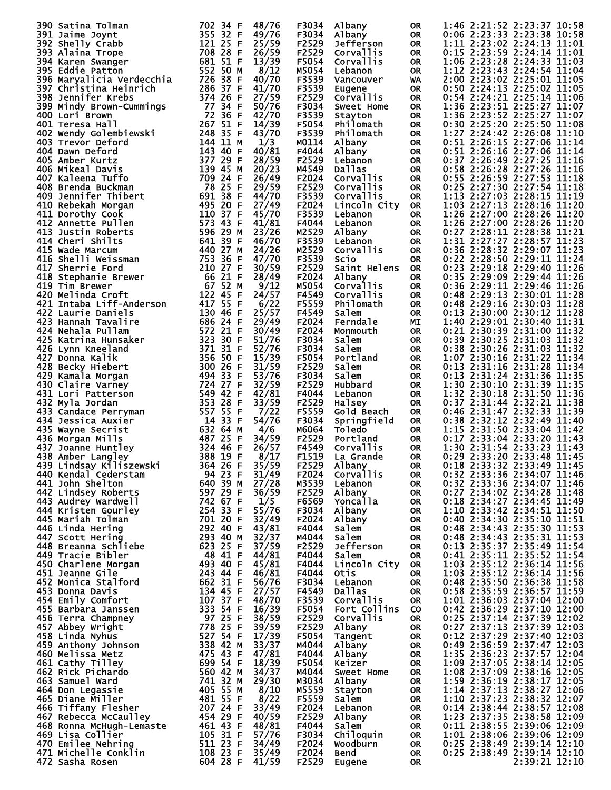| 390 Satina Tolman                | 702 34 F<br>48/76                                    | F3034<br>Albany           | <b>OR</b> | 1:46 2:21:52 2:23:37 10:58         |
|----------------------------------|------------------------------------------------------|---------------------------|-----------|------------------------------------|
|                                  |                                                      |                           |           |                                    |
| 391 Jaime Joynt                  | 355 32 F<br>49/76                                    | F3034<br>Albany           | <b>OR</b> | 0:06 2:23:33 2:23:38 10:58         |
| 392 Shelly Crabb                 | 121 25 F<br>25/59                                    | F2529<br>Jefferson        | <b>OR</b> | 1:11 2:23:02 2:24:13 11:01         |
| 393 Alaina Trope                 | 708 28 F<br>26/59                                    | F2529<br>Corvallis        | <b>OR</b> | 0:15 2:23:59 2:24:14 11:01         |
|                                  | 681 51 F                                             |                           |           |                                    |
| 394 Karen Swanger                | 13/39                                                | F5054<br>Corvallis        | <b>OR</b> | 1:06 2:23:28 2:24:33 11:03         |
| 395 Eddie Patton                 | 552 50 M<br>8/12                                     | M5054<br>Lebanon          | <b>OR</b> | 1:12 2:23:43 2:24:54 11:04         |
| 396 Maryalicia Verdecchia        | 726 38 F<br>40/70                                    | F3539<br>Vancouver        | WA        | 2:00 2:23:02 2:25:01 11:05         |
|                                  |                                                      |                           |           | 0:50 2:24:13 2:25:02 11:05         |
| 397 Christina Heinrich           | 286 37 F<br>41/70                                    | F3539<br>Eugene           | <b>OR</b> |                                    |
| 398 Jennifer Krebs               | 374 26 F<br>27/59                                    | F2529<br>Corvallis        | <b>OR</b> | 0:54 2:24:21 2:25:14 11:06         |
| 399 Mindy Brown-Cummings         | 77 34 F<br>50/76                                     | F3034<br>Sweet Home       | <b>OR</b> | 1:36 2:23:51 2:25:27 11:07         |
|                                  |                                                      |                           |           |                                    |
| 400 Lori Brown                   | 72<br>36<br>42/70<br>-F                              | F3539<br>Stayton          | <b>OR</b> | 1:36 2:23:52 2:25:27 11:07         |
| 401 Teresa Hall                  | 267<br>51 F<br>14/39                                 | F5054<br>Philomath        | <b>OR</b> | 0:30 2:25:20 2:25:50 11:08         |
| 402 Wendy Golembiewski           | 248<br>35 F<br>43/70                                 | F3539<br>Philomath        | <b>OR</b> | 1:27 2:24:42 2:26:08 11:10         |
|                                  |                                                      | M0114                     |           | 0:51 2:26:15 2:27:06 11:14         |
| 403 Trevor Deford                | 144 11 M<br>1/3                                      | Albany                    | <b>OR</b> |                                    |
| 404 Dawn Deford                  | 40/81<br>143 40 F                                    | F4044<br>Albany           | <b>OR</b> | $0:51$ 2:26:16 2:27:06 11:14       |
| 405 Amber Kurtz                  | 377 29 F<br>28/59                                    | F2529<br>Lebanon          | <b>OR</b> | 0:37 2:26:49 2:27:25 11:16         |
|                                  |                                                      |                           |           |                                    |
| 406 Mikeal Davis                 | 139 45 M<br>20/23                                    | M4549<br>Dallas           | <b>OR</b> | 0:58 2:26:28 2:27:26 11:16         |
| 407 Kaleena Tuffo                | 709<br>-24<br>26/49<br>-F                            | F2024<br>Corvallis        | <b>OR</b> | 0:55 2:26:59 2:27:53 11:18         |
| 408 Brenda Buckman               | 78<br>29/59<br>25<br>-F                              | F2529<br>Corvallis        | <b>OR</b> | 0:25 2:27:30 2:27:54 11:18         |
|                                  |                                                      |                           |           |                                    |
| 409 Jennifer Thibert             | 691 38 F<br>44/70                                    | F3539<br><b>Corvallis</b> | <b>OR</b> | 1:13 2:27:03 2:28:15 11:19         |
| 410 Rebekah Morgan               | 495 20 F<br>27/49                                    | F2024<br>Lincoln City     | <b>OR</b> | 1:03 2:27:13 2:28:16 11:20         |
| 411 Dorothy Cook                 | 110 37 F<br>45/70                                    | F3539<br>Lebanon          | <b>OR</b> | 1:26 2:27:00 2:28:26 11:20         |
|                                  |                                                      |                           |           |                                    |
| 412 Annette Pullen               | 573 43 F<br>41/81                                    | F4044<br>Lebanon          | <b>OR</b> | 1:26 2:27:00 2:28:26 11:20         |
| 413 Justin Roberts               | 596 29 M<br>23/26                                    | M2529<br>Albany           | <b>OR</b> | 0:27 2:28:11 2:28:38 11:21         |
| 414 Cheri Shilts                 | 641 39 F<br>46/70                                    | F3539                     | <b>OR</b> | 1:31 2:27:27 2:28:57 11:23         |
|                                  |                                                      | Lebanon                   |           |                                    |
| 415 Wade Marcum                  | 440 27 M<br>24/26                                    | M2529<br>Corvallis        | <b>OR</b> | 0:36 2:28:32 2:29:07 11:23         |
| 416 Shelli Weissman              | 753<br>-36<br>47/70<br>-F                            | F3539<br>Scio             | <b>OR</b> | 0:22 2:28:50 2:29:11 11:24         |
|                                  |                                                      |                           |           |                                    |
| 417 Sherrie Ford                 | 210 27 F<br>30/59                                    | F2529<br>Saint Helens     | <b>OR</b> | 0:23 2:29:18 2:29:40 11:26         |
| 418 Stephanie Brewer             | -66<br>21 F<br>28/49                                 | F2024<br>Albany           | <b>OR</b> | 0:35 2:29:09 2:29:44 11:26         |
| 419 Tim Brewer                   | 67 52 M<br>9/12                                      | M5054<br>Corvallis        | <b>OR</b> | 0:36 2:29:11 2:29:46 11:26         |
|                                  |                                                      |                           |           |                                    |
| 420 Melinda Croft                | 122 45 F<br>24/57                                    | F4549<br>Corvallis        | <b>OR</b> | 0:48 2:29:13 2:30:01 11:28         |
| 421 Intaba Liff-Anderson         | 417 55 F<br>6/22                                     | F5559<br>Philomath        | <b>OR</b> | 0:48 2:29:16 2:30:03 11:28         |
| <b>422 Laurie Daniels</b>        | 25/57<br>130 46 F                                    | F4549<br>Salem            | <b>OR</b> | 0:13 2:30:00 2:30:12 11:28         |
|                                  |                                                      |                           |           |                                    |
| 423 Hannah Tavalire              | 686 24 F<br>29/49                                    | F2024<br>Ferndale         | МI        | 1:40 2:29:01 2:30:40 11:31         |
| 424 Nehala Pullam                | 572 21 F<br>30/49                                    | F2024<br>Monmouth         | <b>OR</b> | 0:21 2:30:39 2:31:00 11:32         |
| 425 Katrina Hunsaker             | 323<br>51/76<br>30 F                                 | F3034<br>Salem            | <b>OR</b> | 0:39 2:30:25 2:31:03 11:32         |
|                                  |                                                      |                           |           |                                    |
| 426 Lynn Kneeland                | 371 31 F<br>52/76                                    | F3034<br>Salem            | <b>OR</b> | 0:38 2:30:26 2:31:03 11:32         |
| 427 Donna Kalik                  | 356 50 F<br>15/39                                    | F5054<br>Portland         | <b>OR</b> | 1:07 2:30:16 2:31:22 11:34         |
|                                  | 300 26                                               |                           |           | 0:13 2:31:16 2:31:28 11:34         |
| 428 Becky Hiebert                | 31/59<br>-F                                          | F2529<br>Salem            | <b>OR</b> |                                    |
| 429 Kamala Morgan                | 53/76<br>494 33 F                                    | F3034<br>Salem            | <b>OR</b> | 0:13 2:31:24 2:31:36 11:35         |
| 430 Claire Varney                | 724 27 F<br>32/59                                    | F2529<br>Hubbard          | <b>OR</b> | 1:30 2:30:10 2:31:39 11:35         |
|                                  |                                                      |                           |           |                                    |
| 431 Lori Patterson               | 549 42 F<br>42/81                                    | F4044<br>Lebanon          | <b>OR</b> | 1:32 2:30:18 2:31:50 11:36         |
| 432 Myla Jordan                  | 353 28<br>33/59<br>F                                 | F2529<br>Halsey           | <b>OR</b> | 0:37 2:31:44 2:32:21 11:38         |
| 433 Candace Perryman             | 557 55 F<br>7/22                                     | F5559<br>Gold Beach       | <b>OR</b> | 0:46 2:31:47 2:32:33 11:39         |
|                                  |                                                      |                           |           |                                    |
| 434 Jessica Auxier               | 14 33 F<br>54/76                                     | F3034<br>Springfield      | <b>OR</b> | 0:38 2:32:12 2:32:49 11:40         |
| 435 Wayne Secrist                | 632 64 M<br>4/6                                      | M6064<br>Toledo           | <b>OR</b> | 1:15 2:31:50 2:33:04 11:42         |
| 436 Morgan Mills                 | 487 25 F<br>34/59                                    | F2529<br>Portland         | <b>OR</b> | 0:17 2:33:04 2:33:20 11:43         |
|                                  |                                                      |                           |           |                                    |
| 437 Joanne Huntley               | 324 46 F<br>26/57                                    | F4549<br>Corvallis        | <b>OR</b> | 1:30 2:31:54 2:33:23 11:43         |
| 438 Amber Langley                | 388 19 F<br>8/17                                     | F1519<br>La Grande        | <b>OR</b> | 0:29 2:33:20 2:33:48 11:45         |
| 439 Lindsay Kiliszewski 364 26 F | 35/59                                                | F2529<br>Albany           | <b>OR</b> | 0:18 2:33:32 2:33:49 11:45         |
|                                  |                                                      |                           |           |                                    |
| 440 Kendal Cederstam             | 94 23 F<br>31/49                                     | Corvallis<br>F2024        | <b>OR</b> | 0:32 2:33:36 2:34:07 11:46         |
| 441 John Shelton                 | 640 39 M<br>27/28                                    | M3539<br>Lebanon          | 0R        | 0:32 2:33:36 2:34:07 11:46         |
| 442 Lindsey Roberts              | 597 29 F<br>742 67 F<br>36/59                        | F2529<br>Albany           | <b>OR</b> | 0:27 2:34:02 2:34:28 11:48         |
|                                  |                                                      |                           |           |                                    |
| 443 Audrey Wardwell              | 1/5                                                  | F6569<br>Yoncalla         | <b>OR</b> | 0:18 2:34:27 2:34:45 11:49         |
| 444 Kristen Gourley              | $254$ 33 F<br>55/76                                  | F3034<br>Albany           | <b>OR</b> | 1:10 2:33:42 2:34:51 11:50         |
| 445 Mariah Tolman                | 701 20 F<br>32/49                                    | F2024<br>Albany           | OR.       | 0:40 2:34:30 2:35:10 11:51         |
|                                  | 292 40 F                                             |                           |           |                                    |
| 446 Linda Hering                 | 43/81                                                | F4044<br>Salem            | <b>OR</b> | 0:48 2:34:43 2:35:30 11:53         |
| 447 Scott Hering                 | 293 40 M<br>32/37                                    | M4044<br>Salem            | <b>OR</b> | 0:48 2:34:43 2:35:31 11:53         |
| 448 Breanna Schliebe             | 623 25 F<br>37/59                                    | F2529<br>Jefferson        | <b>OR</b> | 0:13 2:35:37 2:35:49 11:54         |
| 449 Tracie Bibler                | 48 41 F<br>44/81                                     | F4044<br>Salem            | <b>OR</b> | $0:41$ $2:35:11$ $2:35:52$ $11:54$ |
|                                  |                                                      |                           |           |                                    |
| 450 Charlene Morgan              | 493 40 F<br>243 44 F<br>45/81                        | F4044<br>Lincoln City     | <b>OR</b> | 1:03 2:35:12 2:36:14 11:56         |
| 451 Jeanne Gile                  | 46/81                                                | F4044<br>Otis             | 0R        | 1:03 2:35:12 2:36:14 11:56         |
| 452 Monica Stalford              | 662 31 F<br>56/76                                    | F3034<br>Lebanon          | <b>OR</b> | 0:48 2:35:50 2:36:38 11:58         |
|                                  |                                                      |                           |           |                                    |
| 453 Donna Davis                  | 134 45 F<br>27/57                                    | F4549<br>Dallas           | 0R        | 0:58 2:35:59 2:36:57 11:59         |
| 454 Emily Comfort                | 107 37 F<br>48/70                                    | F3539<br>Corvallis        | <b>OR</b> | 1:01 2:36:03 2:37:04 12:00         |
|                                  | 333 54 F                                             |                           |           | 0:42 2:36:29 2:37:10 12:00         |
| 455 Barbara Janssen              | 16/39                                                | F5054<br>Fort Collins     | CO.       |                                    |
| 456 Terra Champney               | 38/59                                                | F2529<br>Corvallis        | <b>OR</b> | 0:25 2:37:14 2:37:39 12:02         |
| 457 Abbey Wright                 | 39/59                                                | F2529<br>Albany           | <b>OR</b> | 0:27 2:37:13 2:37:39 12:03         |
| 458 Linda Nyhus                  | 17/39                                                | F5054                     | <b>OR</b> | 0:12 2:37:29 2:37:40 12:03         |
|                                  |                                                      | Tangent                   |           |                                    |
| 459 Anthony Johnson              | 97 25 F<br>778 25 F<br>527 54 F<br>338 42 M<br>33/37 | M4044<br>Albany           | <b>OR</b> | 0:49 2:36:59 2:37:47 12:03         |
| 460 Melissa Metz                 | 475 43 F<br>47/81                                    | F4044<br>Albany           | <b>OR</b> | 1:35 2:36:23 2:37:57 12:04         |
|                                  | 699 54 F<br>18/39                                    | F5054                     |           | 1:09 2:37:05 2:38:14 12:05         |
| 461 Cathy Tilley                 |                                                      | Keizer                    | OR.       |                                    |
|                                  | 560 42 M<br>34/37                                    | M4044<br>Sweet Home       | <b>OR</b> | 1:08 2:37:09 2:38:16 12:05         |
| 462 Rick Pichardo                |                                                      | M3034<br>Albany           | <b>OR</b> | 1:59 2:36:19 2:38:17 12:05         |
|                                  |                                                      |                           | <b>OR</b> | 1:14 2:37:13 2:38:27 12:06         |
| 463 Samuel Ward                  | 741 32 M<br>29/30                                    |                           |           |                                    |
| 464 Don Legassie                 | 405 55 M<br>8/10                                     | M5559<br>Stayton          |           |                                    |
| 465 Diane Miller                 | 8/22                                                 | F5559<br>Salem            | OR.       | 1:10 2:37:23 2:38:32 12:07         |
|                                  | 481 55 F                                             |                           |           |                                    |
| 466 Tiffany Flesher              | 33/49                                                | F2024<br>Lebanon          | <b>OR</b> | 0:14 2:38:44 2:38:57 12:08         |
| 467 Rebecca McCaulley            | 207 24 F<br>454 29 F<br>40/59                        | F2529<br>Albany           | OR.       | 1:23 2:37:35 2:38:58 12:09         |
| 468 Ronna McHugh-Lemaste         | 48/81                                                | F4044<br>Salem            | <b>OR</b> | 0:11 2:38:55 2:39:06 12:09         |
|                                  | 461 43 F                                             |                           |           |                                    |
| 469 Lisa Collier                 | 105 31 F<br>57/76                                    | F3034<br>Chiloquin        | OR        | 1:01 2:38:06 2:39:06 12:09         |
| 470 Emilee Nehring               | 511 23 F<br>34/49                                    | F2024<br>Woodburn         | <b>OR</b> | 0:25 2:38:49 2:39:14 12:10         |
| 471 Michelle Conklin             | 108 23 F<br>35/49                                    | F2024<br><b>Bend</b>      | 0R        | 0:25 2:38:49 2:39:14 12:10         |
| 472 Sasha Rosen                  | 604 28 F<br>41/59                                    | F2529<br>Eugene           | 0R        | 2:39:21 12:10                      |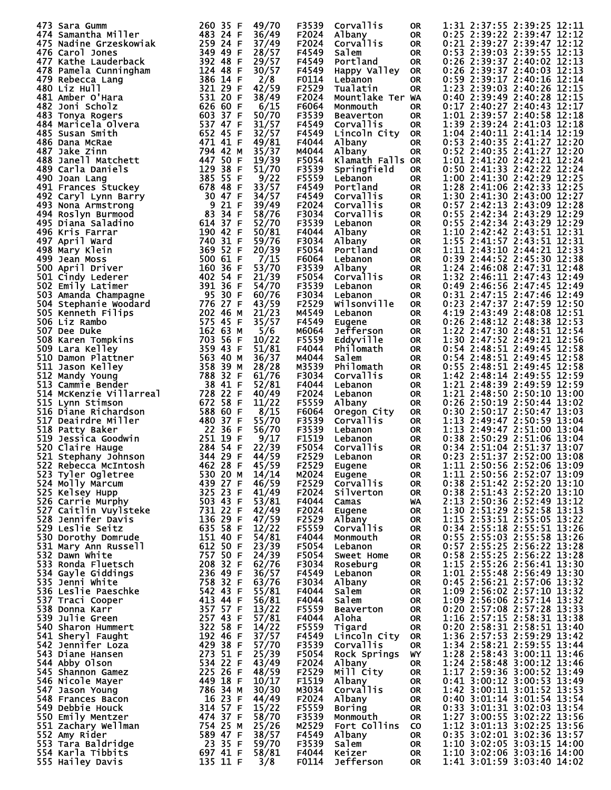|     | 473 Sara Gumm                                                                                                                                                                                                                                        | 260 35 F                                  | 49/70          | F3539          | Corvallis              | <b>OR</b> | 1:31 2:37:55 2:39:25 12:11                               |
|-----|------------------------------------------------------------------------------------------------------------------------------------------------------------------------------------------------------------------------------------------------------|-------------------------------------------|----------------|----------------|------------------------|-----------|----------------------------------------------------------|
|     | 474 Samantha Miller                                                                                                                                                                                                                                  | 483 24 F                                  | 36/49          | F2024          | Albany                 | 0R.       | 0:25 2:39:22 2:39:47 12:12                               |
|     | 475 Nadine Grzeskowiak                                                                                                                                                                                                                               | 259 24 F                                  | 37/49          | F2024          | Corvallis              | <b>OR</b> | 0:21 2:39:27 2:39:47 12:12                               |
|     | 476 Carol Jones                                                                                                                                                                                                                                      | 349 49 F                                  | 28/57          | F4549          | Salem                  |           | 0:53 2:39:03 2:39:55 12:13                               |
|     |                                                                                                                                                                                                                                                      |                                           |                |                |                        | <b>OR</b> |                                                          |
|     | 477 Kathe Lauderback<br>478 Pamela Cunningham                                                                                                                                                                                                        | 392 48 F<br>124 48 F                      | 29/57<br>30/57 | F4549<br>F4549 | Portland               | <b>OR</b> | 0:26 2:39:37 2:40:02 12:13<br>0:26 2:39:37 2:40:03 12:13 |
|     |                                                                                                                                                                                                                                                      |                                           |                |                | Happy Valley           | 0R        | 0:59 2:39:17 2:40:16 12:14                               |
|     | 479 Rebecca_Lang                                                                                                                                                                                                                                     | 386 14 F<br>321 29 F                      | 2/8            | F0114          | Lebanon                | <b>OR</b> |                                                          |
|     | 480 Liz Hull                                                                                                                                                                                                                                         |                                           | 42/59          | F2529          | Tualatin               | <b>OR</b> | 1:23 2:39:03 2:40:26 12:15                               |
|     | 481 Amber O'Hara                                                                                                                                                                                                                                     | 531 20 F                                  | 38/49          | F2024          | Mountlake Ter WA       |           | 0:40 2:39:49 2:40:28 12:15                               |
|     | 482 Joni Scholz                                                                                                                                                                                                                                      | 626 60 F                                  | 6/15           | F6064          | Monmouth               | <b>OR</b> | 0:17 2:40:27 2:40:43 12:17                               |
|     | 483 Tonya Rogers                                                                                                                                                                                                                                     | 603 37 F                                  | 50/70          | F3539          | <b>Beaverton</b>       | <b>OR</b> | 1:01 2:39:57 2:40:58 12:18                               |
|     | 484 Maricela Olvera                                                                                                                                                                                                                                  | 537 47 F                                  | 31/57          | F4549          | Corvallis              | <b>OR</b> | 1:39 2:39:24 2:41:03 12:18                               |
|     | 485 Susan Smith                                                                                                                                                                                                                                      | 652 45 F                                  | 32/57          | F4549          | Lincoln City           | <b>OR</b> | 1:04 2:40:11 2:41:14 12:19                               |
|     | 486 Dana McRae                                                                                                                                                                                                                                       | 471 41 F                                  | 49/81          | F4044          | Albany                 | 0R        | 0:53 2:40:35 2:41:27 12:20                               |
|     | 487 Jake Zinn                                                                                                                                                                                                                                        | 794 42 M<br>$447$ 50 F                    | 35/37          | M4044          | Albany                 | <b>OR</b> | 0:52 2:40:35 2:41:27 12:20                               |
|     | 488 Janell Matchett                                                                                                                                                                                                                                  |                                           | 19/39          | F5054          | Klamath Falls OR       |           | 1:01 2:41:20 2:42:21 12:24                               |
|     | 489 Carla Daniels                                                                                                                                                                                                                                    | 129 38 F                                  | 51/70          | F3539          | Springfield            | <b>OR</b> | 0:50 2:41:33 2:42:22 12:24                               |
|     | 490 Joan Lang                                                                                                                                                                                                                                        | 385 55 F                                  | 9/22           | F5559          | Lebanon<br>Portland    | <b>OR</b> | 1:00 2:41:30 2:42:29 12:25                               |
|     | 491 Frances Stuckey                                                                                                                                                                                                                                  | 678 48<br>-F                              | 33/57          | F4549          |                        | <b>OR</b> | 1:28 2:41:06 2:42:33 12:25<br>1:30                       |
|     | 492 Caryl Lynn Barry                                                                                                                                                                                                                                 | 30 47 F<br>9 21 F                         | 34/57          | F4549          | Corvallis              | 0R        | 2:41:30 2:43:00 12:27                                    |
|     | 493 Nona Armstrong                                                                                                                                                                                                                                   | 83 34 F                                   | 39/49<br>58/76 | F2024<br>F3034 | Corvallis<br>Corvallis | <b>OR</b> | 0:57 2:42:13 2:43:09 12:28<br>0:55 2:42:34 2:43:29 12:29 |
|     | 494 Roslyn Burmood<br>495 Diana Saladino                                                                                                                                                                                                             | 614 37 F                                  | 52/70          | F3539          |                        | 0R        | 0:55 2:42:34 2:43:29 12:29                               |
|     | 496 Kris Farrar                                                                                                                                                                                                                                      | 190 42 F                                  | 50/81          | F4044          | Lebanon<br>Albany      | 0R<br>0R  | 1:10 2:42:42 2:43:51 12:31                               |
|     | 497 April Ward                                                                                                                                                                                                                                       | 740 31 F                                  | 59/76          | F3034          | Albany                 | <b>OR</b> | 1:55 2:41:57 2:43:51 12:31                               |
|     | 498 Mary Klein                                                                                                                                                                                                                                       | 369 52 F                                  | 20/39          | F5054          | Portland               | 0R        | 1:11 2:43:10 2:44:21 12:33                               |
|     | 499 Jean Moss                                                                                                                                                                                                                                        | 500 61 F                                  | 7/15           | F6064          | Lebanon                | <b>OR</b> | 0:39<br>2:44:52 2:45:30 12:38                            |
|     | 500 April Driver                                                                                                                                                                                                                                     | 160<br>36 F                               | 53/70          | F3539          | Albany                 | 0R        | 1:24 2:46:08 2:47:31 12:48                               |
|     | 501 Cindy Lederer                                                                                                                                                                                                                                    | 402 54 F                                  | 21/39          | F5054          | Corvallis              | <b>OR</b> | 1:32 2:46:11 2:47:43 12:49                               |
|     | 502 Emily Latimer                                                                                                                                                                                                                                    | 391 36 F                                  | 54/70          | F3539          | Lebanon                | 0R        | 0:49 2:46:56 2:47:45 12:49                               |
|     | 503 Amanda Champagne                                                                                                                                                                                                                                 | 95<br>30 F                                | 60/76          | F3034          | Lebanon                | 0R        | 0:31 2:47:15 2:47:46 12:49                               |
|     | 504 Stephanie Woodard                                                                                                                                                                                                                                | 776 27 F                                  | 43/59          | F2529          | Wilsonville            | 0R        | 0:23 2:47:37 2:47:59 12:50                               |
|     | 505 Kenneth Filips                                                                                                                                                                                                                                   | 202 46 M                                  | 21/23          | M4549          | Lebanon                | <b>OR</b> | 4:19 2:43:49 2:48:08 12:51                               |
|     | 506 Liz Rambo                                                                                                                                                                                                                                        | 575 45 F                                  | 35/57          | F4549          | Eugene                 | <b>OR</b> | 0:26 2:48:12 2:48:38 12:53                               |
|     | 507 Dee Duke                                                                                                                                                                                                                                         | 162<br>63 M                               | 5/6            | M6064          | Jefferson              | 0R        | 1:22 2:47:30 2:48:51 12:54                               |
|     | 508 Karen Tompkins                                                                                                                                                                                                                                   | 703<br>56 F                               | 10/22          | F5559          | Eddyville              | 0R        | 1:30<br>2:47:52 2:49:21 12:56                            |
|     | 509 Lara Kelley                                                                                                                                                                                                                                      | 359<br>43 F                               | 51/81          | F4044          | <b>Philomath</b>       | <b>OR</b> | 0:54 2:48:51 2:49:45 12:58                               |
|     | 510 Damon Plattner                                                                                                                                                                                                                                   | 563 40 M                                  | 36/37          | M4044          | Salem                  | 0R        | 2:48:51 2:49:45 12:58<br>0:54                            |
| 511 | Jason Kelley                                                                                                                                                                                                                                         | 358<br>39 M                               | 28/28          | M3539          | Philomath              | <b>OR</b> | 0:55 2:48:51 2:49:45 12:58                               |
|     | 512 Mandy Young                                                                                                                                                                                                                                      | 788<br>32 F                               | 61/76          | F3034          | Corvallis              | 0R        | 1:42 2:48:14 2:49:55 12:59                               |
|     | 513 Cammie Bender                                                                                                                                                                                                                                    | 38<br>41 F                                | 52/81          | F4044          | Lebanon                | <b>OR</b> | 1:21 2:48:39 2:49:59 12:59                               |
|     | 514 McKenzie Villarreal                                                                                                                                                                                                                              | 728<br>22 F                               | 40/49          | F2024          | Lebanon                | 0R        | 1:21 2:48:50 2:50:10 13:00                               |
|     | 515 Lynn Stimson                                                                                                                                                                                                                                     | 672 58 F                                  | 11/22          | F5559          | Albany                 | 0R        | 0:26 2:50:19 2:50:44 13:02                               |
|     | 516 Diane Richardson                                                                                                                                                                                                                                 | 588 60 F                                  | 8/15           | F6064          | Oregon City            | 0R        | 0:30 2:50:17 2:50:47 13:03                               |
|     | 517 Deairdre Miller                                                                                                                                                                                                                                  | 480 37 F                                  | 55/70          | F3539          | Corvallis              | <b>OR</b> | 1:13 2:49:47 2:50:59 13:04                               |
|     | 518 Patty Baker                                                                                                                                                                                                                                      | 22 36  <br>251 19 F<br>284 54 F<br>344 20 | 56/70          | F3539          | Lebanon                | 0R        | 1:13 2:49:47 2:51:00 13:04                               |
|     | 519 Jessica Goodwin                                                                                                                                                                                                                                  |                                           | 9/17           | F1519          | Lebanon                | 0R        | 0:38 2:50:29 2:51:06 13:04                               |
|     | 520 Claire Hauge                                                                                                                                                                                                                                     |                                           | 22/39          | F5054          | Corvallis              | <b>OR</b> | 0:34 2:51:04 2:51:37 13:07                               |
|     | 521 Stephany Johnson                                                                                                                                                                                                                                 |                                           | 44/59          | F2529          | Lebanon                | <b>OR</b> | 0:23 2:51:37 2:52:00 13:08                               |
|     | 522 Rebecca McIntosh $462\,28$ F                                                                                                                                                                                                                     |                                           | 45/59          | F2529          | Eugene                 | OR        | 1:11 2:50:56 2:52:06 13:09                               |
|     |                                                                                                                                                                                                                                                      |                                           | 14/14          | M2024          | Eugene                 | 0R        | 1:11 2:50:56 2:52:07 13:09                               |
|     |                                                                                                                                                                                                                                                      |                                           | 46/59          | F2529          | <b>Corvallis</b>       | OR        | 0:38 2:51:42 2:52:20 13:10                               |
|     |                                                                                                                                                                                                                                                      |                                           | 41/49          | F2024          | Silverton              | <b>OR</b> | 0:38 2:51:43 2:52:20 13:10                               |
|     |                                                                                                                                                                                                                                                      |                                           | 53/81          | F4044          | Camas                  | <b>WA</b> | 2:13 2:50:36 2:52:49 13:12                               |
|     |                                                                                                                                                                                                                                                      |                                           | 42/49          | F2024          | Eugene                 | OR        | 1:30 2:51:29 2:52:58 13:13<br>1:15 2:53:51 2:55:05 13:22 |
|     |                                                                                                                                                                                                                                                      |                                           | 47/59          | F2529          | Albany                 | OR        |                                                          |
|     |                                                                                                                                                                                                                                                      |                                           | 12/22          | F5559          | Corvallis              | OR        | 0:34 2:55:18 2:55:51 13:26                               |
|     |                                                                                                                                                                                                                                                      |                                           | 54/81          | F4044          | Monmouth               | OR        | 0:55 2:55:03 2:55:58 13:26                               |
|     |                                                                                                                                                                                                                                                      |                                           | 23/39          | F5054          | Lebanon                | OR        | 0:57 2:55:25 2:56:22 13:28<br>0:58 2:55:25 2:56:22 13:28 |
|     |                                                                                                                                                                                                                                                      |                                           | 24/39          | F5054          | Sweet Home             | OR        |                                                          |
|     |                                                                                                                                                                                                                                                      |                                           | 62/76          | F3034          | Roseburg               | OR        | 1:15 2:55:26 2:56:41 13:30                               |
|     |                                                                                                                                                                                                                                                      |                                           | 36/57          | F4549          | Lebanon                | OR        | 1:01 2:55:48 2:56:49 13:30                               |
|     |                                                                                                                                                                                                                                                      |                                           | 63/76          | F3034          | Albany                 | OR        | 0:45 2:56:21 2:57:06 13:32                               |
|     |                                                                                                                                                                                                                                                      |                                           | 55/81          | F4044          | Salem                  | OR        | 1:09 2:56:02 2:57:10 13:32                               |
|     |                                                                                                                                                                                                                                                      |                                           | 56/81          | F4044          | Salem                  | OR        | 1:09 2:56:06 2:57:14 13:32                               |
|     |                                                                                                                                                                                                                                                      |                                           | 13/22          | F5559          | Beaverton              | OR        | 0:20 2:57:08 2:57:28 13:33                               |
|     |                                                                                                                                                                                                                                                      |                                           | 57/81          | F4044          | Aloha                  | OR        | 1:16 2:57:15 2:58:31 13:38                               |
|     |                                                                                                                                                                                                                                                      |                                           | 14/22          | F5559          | Tigard                 | OR        | 0:20 2:58:31 2:58:51 13:40<br>1:36 2:57:53 2:59:29 13:42 |
|     |                                                                                                                                                                                                                                                      |                                           | 37/57          | F4549          | Lincoln City           | OR.       |                                                          |
|     |                                                                                                                                                                                                                                                      |                                           | 57/70          | F3539          | Corvallis              | <b>OR</b> | 1:34 2:58:21 2:59:55 13:44                               |
|     |                                                                                                                                                                                                                                                      |                                           | 25/39          | F5054          | Rock Springs           | WY .      | 1:28 2:58:43 3:00:11 13:46                               |
|     |                                                                                                                                                                                                                                                      |                                           | 43/49<br>48/59 | F2024<br>F2529 | Albany                 | OR.       | 1:24 2:58:48 3:00:12 13:46                               |
|     |                                                                                                                                                                                                                                                      |                                           |                | F1519          | Mill City              | OR        | 1:17 2:59:36 3:00:52 13:49<br>0:41 3:00:12 3:00:53 13:49 |
|     |                                                                                                                                                                                                                                                      |                                           | 10/17<br>30/30 |                | Albany                 | OR        |                                                          |
|     |                                                                                                                                                                                                                                                      |                                           | 44/49          | м3034<br>F2024 | Corvallis              | OR        | 1:42 3:00:11 3:01:52 13:53<br>0:40 3:01:14 3:01:54 13:54 |
|     |                                                                                                                                                                                                                                                      |                                           |                | F5559          | Albany                 | OR        |                                                          |
|     |                                                                                                                                                                                                                                                      |                                           | 15/22<br>58/70 | F3539          | Boring<br>Monmouth     | OR        | 0:33 3:01:31 3:02:03 13:54<br>1:27 3:00:55 3:02:22 13:56 |
|     |                                                                                                                                                                                                                                                      |                                           | 25/26          | M2529          | Fort Collins CO        | OR        | 1:12 3:01:13 3:02:25 13:56                               |
|     |                                                                                                                                                                                                                                                      |                                           | 38/57          | F4549          | Albany                 | OR        | 0:35 3:02:01 3:02:36 13:57                               |
|     | S21 Stephany Johnson<br>5221 Stephany Johnson<br>522 Rebecca MCIItosh<br>523 Tyler Ogletree<br>524 Molly Marcum<br>523 Tyler Ogletree<br>524 Molly Marcum<br>525 Kelsey Hupp<br>525 Carrie Murphy<br>526 Carrie Murphy<br>526 Carrie Murphy<br>526 C |                                           | 59/70          | F3539          | Salem                  | OR        | 1:10 3:02:05 3:03:15 14:00                               |
|     |                                                                                                                                                                                                                                                      |                                           | 58/81          | F4044          | Keizer                 | OR        | 1:10 3:02:06 3:03:16 14:00                               |
|     | 555 Hailey Davis                                                                                                                                                                                                                                     | 135 11 F                                  | 3/8            | F0114          | Jefferson              | 0R        | 1:41 3:01:59 3:03:40 14:02                               |
|     |                                                                                                                                                                                                                                                      |                                           |                |                |                        |           |                                                          |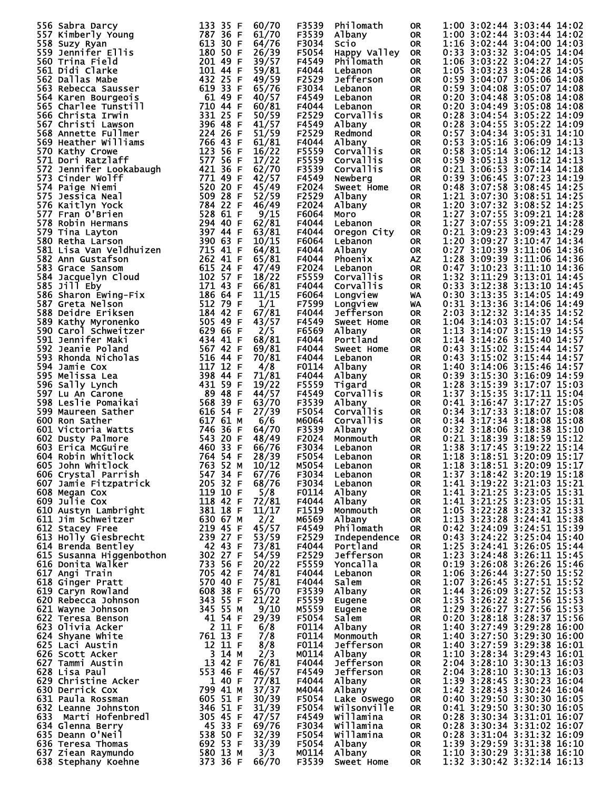| 556 Sabra Darcy                                                                                                                                                                                                                                                                  | 133 35 F<br>60/70                                                                                                                                                                          | F3539 | Philomath        | <b>OR</b> |                  |         | 1:00 3:02:44 3:03:44 14:02                               |
|----------------------------------------------------------------------------------------------------------------------------------------------------------------------------------------------------------------------------------------------------------------------------------|--------------------------------------------------------------------------------------------------------------------------------------------------------------------------------------------|-------|------------------|-----------|------------------|---------|----------------------------------------------------------|
| 557 Kimberly Young                                                                                                                                                                                                                                                               | 787 36 F<br>61/70                                                                                                                                                                          | F3539 | Albany           | 0R.       |                  |         | 1:00 3:02:44 3:03:44 14:02                               |
| 558 Suzy Ryan                                                                                                                                                                                                                                                                    | 613 30 F<br>64/76                                                                                                                                                                          | F3034 | <b>SCTO</b>      | <b>OR</b> |                  |         | 1:16 3:02:44 3:04:00 14:03                               |
| 559 Jennifer Ellis                                                                                                                                                                                                                                                               | 180 50 F<br>26/39                                                                                                                                                                          | F5054 | Happy Valley     | 0R        |                  |         | 0:33 3:03:32 3:04:05 14:04                               |
| 560 Trina Field                                                                                                                                                                                                                                                                  | 201 49 F<br>39/57                                                                                                                                                                          | F4549 | <b>Philomath</b> | <b>OR</b> |                  |         | 1:06 3:03:22 3:04:27 14:05                               |
| 561 Didi Clarke                                                                                                                                                                                                                                                                  | 101 44 F<br>59/81                                                                                                                                                                          | F4044 |                  | <b>OR</b> |                  |         | 1:05 3:03:23 3:04:28 14:05                               |
|                                                                                                                                                                                                                                                                                  |                                                                                                                                                                                            |       | Lebanon          |           |                  |         |                                                          |
| 562 Dallas Mabe                                                                                                                                                                                                                                                                  | 432 25 F<br>49/59                                                                                                                                                                          | F2529 | Jefferson        | <b>OR</b> |                  |         | 0:59 3:04:07 3:05:06 14:08                               |
| 563 Rebecca Sausser                                                                                                                                                                                                                                                              | 619 33 F<br>65/76                                                                                                                                                                          | F3034 | Lebanon          | <b>OR</b> |                  |         | 0:59 3:04:08 3:05:07 14:08                               |
| 564 Karen Bourgeois                                                                                                                                                                                                                                                              | 61 49 F<br>40/57                                                                                                                                                                           | F4549 | Lebanon          | <b>OR</b> |                  |         | 0:20 3:04:48 3:05:08 14:08                               |
| 565 Charlee Tunstill                                                                                                                                                                                                                                                             | 710 44 F<br>60/81                                                                                                                                                                          | F4044 | Lebanon          | 0R        |                  |         | 0:20 3:04:49 3:05:08 14:08                               |
|                                                                                                                                                                                                                                                                                  |                                                                                                                                                                                            |       |                  |           |                  |         |                                                          |
| 566 Christa Irwin                                                                                                                                                                                                                                                                | 331 25 F<br>50/59                                                                                                                                                                          | F2529 | Corvallis        | <b>OR</b> |                  |         | 0:28 3:04:54 3:05:22 14:09                               |
| 567 Christi Lawson                                                                                                                                                                                                                                                               | 396 48 F<br>41/57                                                                                                                                                                          | F4549 | Albany           | <b>OR</b> | 0:28             |         | 3:04:55 3:05:22 14:09                                    |
| 568 Annette Fullmer                                                                                                                                                                                                                                                              | 224 26 F<br>51/59                                                                                                                                                                          | F2529 | Redmond          | <b>OR</b> |                  |         | 0:57 3:04:34 3:05:31 14:10                               |
| 569 Heather Williams                                                                                                                                                                                                                                                             | 766 43 F<br>61/81                                                                                                                                                                          | F4044 | Albany           | <b>OR</b> |                  |         | 0:53 3:05:16 3:06:09 14:13                               |
|                                                                                                                                                                                                                                                                                  | 123 56 F                                                                                                                                                                                   | F5559 |                  |           |                  |         |                                                          |
| 570 Kathy Crowe                                                                                                                                                                                                                                                                  | 16/22                                                                                                                                                                                      |       | Corvallis        | <b>OR</b> |                  |         | 0:58 3:05:14 3:06:12 14:13                               |
| 571 Dori Ratzlaff                                                                                                                                                                                                                                                                | 577 56 F<br>17/22                                                                                                                                                                          | F5559 | Corvallis        | <b>OR</b> |                  |         | 0:59 3:05:13 3:06:12 14:13                               |
| 572 Jennifer Lookabaugh                                                                                                                                                                                                                                                          | 421 36 F<br>62/70                                                                                                                                                                          | F3539 | Corvallis        | <b>OR</b> |                  |         | 0:21 3:06:53 3:07:14 14:18                               |
| 573 Cinder Wolff                                                                                                                                                                                                                                                                 | 771 49 F<br>42/57                                                                                                                                                                          | F4549 | Newberg          | <b>OR</b> |                  |         | 0:39 3:06:45 3:07:23 14:19                               |
| 574 Paige Niemi                                                                                                                                                                                                                                                                  | 520 20 F<br>45/49                                                                                                                                                                          | F2024 | Sweet Home       | <b>OR</b> |                  |         | 0:48 3:07:58 3:08:45 14:25                               |
|                                                                                                                                                                                                                                                                                  | $509$ 28 F<br>$509$ 28 F                                                                                                                                                                   |       |                  |           |                  |         |                                                          |
| 575 Jessica Neal                                                                                                                                                                                                                                                                 | 52/59                                                                                                                                                                                      | F2529 | Albany           | <b>OR</b> |                  |         | 1:21 3:07:30 3:08:51 14:25                               |
| 576 Kaitlyn Yock                                                                                                                                                                                                                                                                 | 784 22 F<br>528 61 F<br>46/49                                                                                                                                                              | F2024 | Albany           | <b>OR</b> |                  |         | 1:20 3:07:32 3:08:52 14:25                               |
| 577 Fran O'Brien                                                                                                                                                                                                                                                                 | 9/15                                                                                                                                                                                       | F6064 | Moro             | 0R        |                  |         | 1:27 3:07:55 3:09:21 14:28                               |
| 578 Robin Hermans                                                                                                                                                                                                                                                                | 62/81                                                                                                                                                                                      | F4044 | Lebanon          | <b>OR</b> |                  |         | 1:27 3:07:55 3:09:21 14:28                               |
|                                                                                                                                                                                                                                                                                  | 294 40 F<br>397 44 F                                                                                                                                                                       |       |                  |           |                  |         |                                                          |
| 579 Tina Layton                                                                                                                                                                                                                                                                  | 63/81                                                                                                                                                                                      | F4044 | Oregon City      | 0R        |                  |         | 0:21 3:09:23 3:09:43 14:29                               |
| 580 Retha Larson                                                                                                                                                                                                                                                                 | 390 63 F<br>10/15                                                                                                                                                                          | F6064 | Lebanon          | <b>OR</b> |                  |         | 1:20 3:09:27 3:10:47 14:34                               |
| 581 Lisa Van Veldhuizen                                                                                                                                                                                                                                                          | 715 41 F<br>64/81                                                                                                                                                                          | F4044 | Albany           | <b>OR</b> | $0:27$ 3:10:39   |         | 3:11:06 14:36                                            |
| 582 Ann Gustafson                                                                                                                                                                                                                                                                | 262 41 F<br>65/81                                                                                                                                                                          | F4044 | Phoenix          | ΑZ        |                  |         | 1:28 3:09:39 3:11:06 14:36                               |
|                                                                                                                                                                                                                                                                                  |                                                                                                                                                                                            |       |                  |           |                  |         |                                                          |
| 583 Grace Sansom                                                                                                                                                                                                                                                                 | 615 24 F<br>47/49                                                                                                                                                                          | F2024 | Lebanon          | <b>OR</b> |                  |         | 0:47 3:10:23 3:11:10 14:36                               |
| 584 Jacquelyn Cloud                                                                                                                                                                                                                                                              | 102 57 F<br>18/22                                                                                                                                                                          | F5559 | Corvallis        | <b>OR</b> | 1:32             |         | 3:11:29 3:13:01 14:45                                    |
| 585 Jill Eby                                                                                                                                                                                                                                                                     | 171 43 F<br>66/81                                                                                                                                                                          | F4044 | Corvallis        | <b>OR</b> | $0:33$ $3:12:38$ |         | 3:13:10 14:45                                            |
| 586 Sharon Ewing-Fix                                                                                                                                                                                                                                                             | 186 64 F<br>11/15                                                                                                                                                                          | F6064 | Longview         | WA        |                  |         | 0:30 3:13:35 3:14:05 14:49                               |
|                                                                                                                                                                                                                                                                                  | 512 79 F                                                                                                                                                                                   | F7599 |                  |           |                  |         | 0:31 3:13:36 3:14:06 14:49                               |
| 587 Greta Nelson                                                                                                                                                                                                                                                                 | 1/1                                                                                                                                                                                        |       | Longview         | WA        |                  |         |                                                          |
| 588 Deidre Eriksen                                                                                                                                                                                                                                                               | 67/81<br>184 42 F                                                                                                                                                                          | F4044 | Jefferson        | <b>OR</b> |                  |         | 2:03 3:12:32 3:14:35 14:52                               |
| 589 Kathy Myronenko                                                                                                                                                                                                                                                              | 505 49 F<br>43/57                                                                                                                                                                          | F4549 | Sweet Home       | 0R        |                  |         | 1:04 3:14:03 3:15:07 14:54                               |
| 590 Carol Schweitzer                                                                                                                                                                                                                                                             | 629 66 F<br>2/5                                                                                                                                                                            | F6569 | Albany           | <b>OR</b> |                  |         | 1:13 3:14:07 3:15:19 14:55                               |
| 591 Jennifer Maki                                                                                                                                                                                                                                                                | 68/81<br>434 41 F                                                                                                                                                                          | F4044 | Portland         | <b>OR</b> |                  |         | 1:14 3:14:26 3:15:40 14:57                               |
|                                                                                                                                                                                                                                                                                  |                                                                                                                                                                                            |       |                  |           |                  |         |                                                          |
| 592 Jeanie Poland                                                                                                                                                                                                                                                                | 567 42 F<br>69/81                                                                                                                                                                          | F4044 | Sweet Home       | <b>OR</b> |                  |         | 0:43 3:15:02 3:15:44 14:57                               |
| 593 Rhonda Nicholas                                                                                                                                                                                                                                                              | 516 44 F<br>70/81                                                                                                                                                                          | F4044 | Lebanon          | 0R        |                  |         | 0:43 3:15:02 3:15:44 14:57                               |
| 594 Jamie Cox                                                                                                                                                                                                                                                                    | 117<br>12 F<br>4/8                                                                                                                                                                         | F0114 | Albany           | <b>OR</b> |                  |         | 1:40 3:14:06 3:15:46 14:57                               |
| 595 Melissa Lea                                                                                                                                                                                                                                                                  | 398<br>71/81<br>44 F                                                                                                                                                                       | F4044 | Albany           | 0R        |                  |         | 0:39 3:15:30 3:16:09 14:59                               |
|                                                                                                                                                                                                                                                                                  | 431 59 F<br>19/22                                                                                                                                                                          | F5559 |                  | <b>OR</b> |                  |         | 1:28 3:15:39 3:17:07 15:03                               |
| 596 Sally Lynch                                                                                                                                                                                                                                                                  |                                                                                                                                                                                            |       | Tigard           |           |                  |         |                                                          |
| 597 Lu An Carone                                                                                                                                                                                                                                                                 | 89 48 F<br>44/57                                                                                                                                                                           | F4549 | Corvallis        | 0R        |                  |         | 1:37 3:15:35 3:17:11 15:04                               |
| 598 Leslie Pomaikai                                                                                                                                                                                                                                                              | 568 39 F<br>63/70                                                                                                                                                                          | F3539 | Albany           | <b>OR</b> |                  |         | 0:41 3:16:47 3:17:27 15:05                               |
| 599 Maureen Sather                                                                                                                                                                                                                                                               | 616 54 F<br>27/39                                                                                                                                                                          | F5054 | Corvallis        | <b>OR</b> |                  |         | 0:34 3:17:33 3:18:07 15:08                               |
| 600 Ron Sather                                                                                                                                                                                                                                                                   | 617 61 M<br>6/6                                                                                                                                                                            | M6064 | Corvallis        | <b>OR</b> |                  |         | 0:34 3:17:34 3:18:08 15:08                               |
|                                                                                                                                                                                                                                                                                  | 64/70<br>746                                                                                                                                                                               | F3539 |                  |           | $0:32$ 3:18:06   |         |                                                          |
| 601 Victoria Watts                                                                                                                                                                                                                                                               | 36 F                                                                                                                                                                                       |       | Albany           | 0R        |                  |         | 3:18:38 15:10                                            |
| 602 Dusty Palmore                                                                                                                                                                                                                                                                | 543 20 F<br>48/49                                                                                                                                                                          | F2024 | Monmouth         | <b>OR</b> | 0:21             | 3:18:39 | 3:18:59 15:12                                            |
| 603 Erica McGuire                                                                                                                                                                                                                                                                | 460 33 F<br>66/76                                                                                                                                                                          | F3034 | Lebanon          | <b>OR</b> | 1:38             |         | 3:17:45 3:19:22 15:14                                    |
| 604 Robin Whitlock                                                                                                                                                                                                                                                               | 764 54 F<br>28/39                                                                                                                                                                          | F5054 | Lebanon          | <b>OR</b> | 1:18             |         | 3:18:51 3:20:09 15:17                                    |
|                                                                                                                                                                                                                                                                                  | 10/12                                                                                                                                                                                      | M5054 | Lebanon          | OR        |                  |         | 1:18 3:18:51 3:20:09 15:17                               |
|                                                                                                                                                                                                                                                                                  |                                                                                                                                                                                            |       |                  |           |                  |         |                                                          |
|                                                                                                                                                                                                                                                                                  | 67/76                                                                                                                                                                                      | F3034 | Lebanon          | 0R        |                  |         | 1:37 3:18:42 3:20:19 15:18                               |
|                                                                                                                                                                                                                                                                                  | 68/76                                                                                                                                                                                      |       | F3034 Lebanon    | OR        |                  |         | 1:41 3:19:22 3:21:03 15:21                               |
|                                                                                                                                                                                                                                                                                  | 5/8                                                                                                                                                                                        | F0114 | Albany           | OR        |                  |         | 1:41 3:21:25 3:23:05 15:31                               |
|                                                                                                                                                                                                                                                                                  | 72/81                                                                                                                                                                                      | F4044 | Albany           | OR.       |                  |         | 1:41 3:21:25 3:23:05 15:31                               |
|                                                                                                                                                                                                                                                                                  | 11/17                                                                                                                                                                                      | F1519 | Monmouth         | OR.       |                  |         |                                                          |
|                                                                                                                                                                                                                                                                                  | 2/2                                                                                                                                                                                        | M6569 | Albany           |           |                  |         | 1:05 3:22:28 3:23:32 15:33<br>1:13 3:23:28 3:24:41 15:38 |
|                                                                                                                                                                                                                                                                                  |                                                                                                                                                                                            |       |                  | OR        |                  |         |                                                          |
|                                                                                                                                                                                                                                                                                  | 45/57                                                                                                                                                                                      | F4549 | Philomath        | OR.       |                  |         | 0:42 3:24:09 3:24:51 15:39                               |
| 004 RODIN Whitlock<br>606 Crystal Parrish<br>606 Crystal Parrish<br>607 Jamie Fitzpatrick<br>607 Jamie Fitzpatrick<br>608 Megan Cox<br>609 Julie Cox<br>609 Julie Cox<br>609 Julie Cox<br>609 Julie Cox<br>609 Julie Cox<br>610 Austyn Lambright<br>61<br>$613$ Holly Giesbrecht | 53/59                                                                                                                                                                                      | F2529 | Independence     | OR        |                  |         | 0:43 3:24:22 3:25:04 15:40                               |
| 614 Brenda Bentley                                                                                                                                                                                                                                                               | 73/81                                                                                                                                                                                      | F4044 | Portland         | <b>OR</b> |                  |         |                                                          |
| 615 Susanna Higgenbothon                                                                                                                                                                                                                                                         | 54/59                                                                                                                                                                                      | F2529 | Jefferson        | OR        |                  |         | 1:25 3:24:41 3:26:05 15:44<br>1:23 3:24:48 3:26:11 15:45 |
|                                                                                                                                                                                                                                                                                  |                                                                                                                                                                                            | F5559 |                  |           |                  |         | 0:19 3:26:08 3:26:26 15:46                               |
| 616 Donita Walker                                                                                                                                                                                                                                                                | 20/22                                                                                                                                                                                      |       | Yoncalla         | OR        |                  |         |                                                          |
| 617 Angi Train                                                                                                                                                                                                                                                                   | 74/81                                                                                                                                                                                      | F4044 | Lebanon          | OR        |                  |         | 1:06 3:26:44 3:27:50 15:52                               |
| 618 Ginger Pratt                                                                                                                                                                                                                                                                 | 75/81                                                                                                                                                                                      | F4044 | Salem            | OR        |                  |         |                                                          |
| 619 Caryn Rowland                                                                                                                                                                                                                                                                | 239<br>42 43 F<br>302 27 F<br>733 56 F<br>705 42 F<br>570 40 F<br>608 38 F<br>65/70                                                                                                        | F3539 | Albany           | OR        |                  |         | 1:07 3:26:45 3:27:51 15:52<br>1:44 3:26:09 3:27:52 15:53 |
| 620 Rebecca Johnson                                                                                                                                                                                                                                                              | 21/22                                                                                                                                                                                      | F5559 | Eugene           | OR        |                  |         |                                                          |
|                                                                                                                                                                                                                                                                                  |                                                                                                                                                                                            |       |                  |           |                  |         | 1:35 3:26:22 3:27:56 15:53<br>1:29 3:26:27 3:27:56 15:53 |
| 621 Wayne Johnson                                                                                                                                                                                                                                                                | 9/10                                                                                                                                                                                       | M5559 | Eugene           | OR        |                  |         |                                                          |
| 622 Teresa Benson                                                                                                                                                                                                                                                                | 29/39                                                                                                                                                                                      | F5054 | Salem            | OR        |                  |         | 0:20 3:28:18 3:28:37 15:56                               |
| 623 Olivia Acker                                                                                                                                                                                                                                                                 | 6/8                                                                                                                                                                                        | F0114 | Albany           | OR        |                  |         | 1:40 3:27:49 3:29:28 16:00                               |
| 624 Shyane White                                                                                                                                                                                                                                                                 | 7/8                                                                                                                                                                                        | F0114 | Monmouth         | OR        |                  |         | 1:40 3:27:50 3:29:30 16:00                               |
|                                                                                                                                                                                                                                                                                  |                                                                                                                                                                                            |       |                  |           |                  |         |                                                          |
| 625 Laci Austin                                                                                                                                                                                                                                                                  | 008 38 F<br>1 343 55 F<br>1 345 55 M<br>41 54 F<br>2 11 F<br>761 13 T<br>3 14 M<br>13 42 F<br>553 46 F<br>8/8                                                                              | F0114 | Jefferson        | OR        |                  |         | 1:40 3:27:59 3:29:38 16:01                               |
| 626 Scott Acker                                                                                                                                                                                                                                                                  | 2/3                                                                                                                                                                                        | M0114 | Albany           | <b>OR</b> |                  |         | 1:10 3:28:34 3:29:43 16:01                               |
| 627 Tammi Austin                                                                                                                                                                                                                                                                 | 76/81                                                                                                                                                                                      | F4044 | Jefferson        | OR        |                  |         | 2:04 3:28:10 3:30:13 16:03                               |
| <b>028 Lisa Paul<br/>628 Lisa Paul<br/>629 Christine Acker<br/>630 Derrick Cox</b>                                                                                                                                                                                               | 46/57                                                                                                                                                                                      | F4549 | Jefferson        | OR.       |                  |         | 2:04 3:28:10 3:30:13 16:03                               |
|                                                                                                                                                                                                                                                                                  | 77/81                                                                                                                                                                                      | F4044 | Albany           |           |                  |         | 1:39 3:28:45 3:30:23 16:04                               |
|                                                                                                                                                                                                                                                                                  |                                                                                                                                                                                            |       |                  | OR.       |                  |         |                                                          |
| 630 Derrick Cox                                                                                                                                                                                                                                                                  | 37/37                                                                                                                                                                                      | M4044 | Albany           | 0R        |                  |         | 1:42 3:28:43 3:30:24 16:04                               |
| 631 Paula Rossman                                                                                                                                                                                                                                                                | 30/39                                                                                                                                                                                      | F5054 | Lake Oswego      | 0R        |                  |         | 0:40 3:29:50 3:30:30 16:05                               |
| 632 Leanne Johnston                                                                                                                                                                                                                                                              | 31/39                                                                                                                                                                                      | F5054 | Wilsonville      | 0R        |                  |         | 0:41 3:29:50 3:30:30 16:05                               |
| 633 Marti Hofenbredl                                                                                                                                                                                                                                                             | 47/57                                                                                                                                                                                      | F4549 | Willamina        | 0R        |                  |         | 0:28 3:30:34 3:31:01 16:07                               |
| 634 Glenna Berry                                                                                                                                                                                                                                                                 | 69/76                                                                                                                                                                                      | F3034 | Willamina        |           |                  |         | 0:28 3:30:34 3:31:02 16:07                               |
|                                                                                                                                                                                                                                                                                  |                                                                                                                                                                                            |       |                  | OR.       |                  |         |                                                          |
| 635 Deann O'Neil                                                                                                                                                                                                                                                                 | 12 11 F<br>13 14 A<br>13 42 F<br>553 46 F<br>553 46 F<br>46 51 F<br>695 51 F<br>536 535 538 538 538 538 138<br>538 502 53<br>580 13 M<br>538 502 53<br>580 13 M<br>538 538 502 53<br>32/39 | F5054 | Willamina        | OR        |                  |         | 0:28 3:31:04 3:31:32 16:09                               |
| 636 Teresa Thomas                                                                                                                                                                                                                                                                | 33/39                                                                                                                                                                                      | F5054 | Albany           | OR        |                  |         | 1:39 3:29:59 3:31:38 16:10                               |
| 637 Ziean Raymundo                                                                                                                                                                                                                                                               | 3/3                                                                                                                                                                                        | M0114 | Albany           | OR        |                  |         | 1:10 3:30:29 3:31:38 16:10                               |
| 638 Stephany Koehne                                                                                                                                                                                                                                                              | 373 36 F<br>66/70                                                                                                                                                                          | F3539 | Sweet Home       | OR.       |                  |         | 1:32 3:30:42 3:32:14 16:13                               |
|                                                                                                                                                                                                                                                                                  |                                                                                                                                                                                            |       |                  |           |                  |         |                                                          |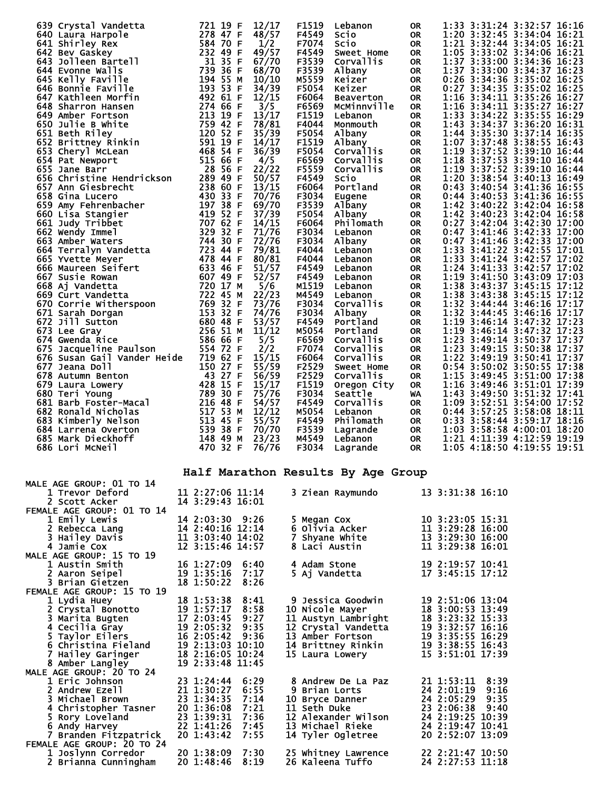| 639 Crystal Vandetta                                                                                                                                                                                                                                   | 721 19 F                | 12/17 | F1519 | Lebanon                            | <b>OR</b> | 1:33 3:31:24 3:32:57 16:16 |               |  |
|--------------------------------------------------------------------------------------------------------------------------------------------------------------------------------------------------------------------------------------------------------|-------------------------|-------|-------|------------------------------------|-----------|----------------------------|---------------|--|
| 640 Laura Harpole<br>14<br>278 4/ F<br>584 70 F<br>232 49 F<br>232 49 F<br>31 35 F<br>739 36 F<br>194 55 M                                                                                                                                             |                         | 48/57 | F4549 | Scio                               | <b>OR</b> | 1:20 3:32:45 3:34:04 16:21 |               |  |
| 641 Shirley Rex                                                                                                                                                                                                                                        |                         | 1/2   | F7074 | Scio                               | <b>OR</b> | 1:21 3:32:44 3:34:05 16:21 |               |  |
| 642 Bev Gaskey                                                                                                                                                                                                                                         |                         | 49/57 | F4549 | Sweet Home                         | <b>OR</b> | 1:05 3:33:02 3:34:06 16:21 |               |  |
| 643 Jolleen Bartell                                                                                                                                                                                                                                    |                         | 67/70 | F3539 | Corvallis                          | <b>OR</b> | 1:37 3:33:00 3:34:36 16:23 |               |  |
| 644 Evonne Walls                                                                                                                                                                                                                                       |                         | 68/70 | F3539 | Albany                             | OR        | 1:37 3:33:00 3:34:37 16:23 |               |  |
| 645 Kelly Faville                                                                                                                                                                                                                                      | 194 55 M                | 10/10 | M5559 | Keizer                             | <b>OR</b> | $0:26$ 3:34:36             | 3:35:02 16:25 |  |
| 646 Bonnie Faville                                                                                                                                                                                                                                     | 193 53 F                | 34/39 | F5054 | Keizer                             | <b>OR</b> | $0:27$ 3:34:35             | 3:35:02 16:25 |  |
|                                                                                                                                                                                                                                                        | 492 61 F                | 12/15 | F6064 | <b>Beaverton</b>                   | <b>OR</b> | 1:16 3:34:11 3:35:26 16:27 |               |  |
| 647 Kathleen Morfin<br>648 Sharron Hansen<br>649 Amber Fortson<br>650 Julie B White<br>650 Julie B White<br>651 Beth Riley<br>652 Brittney Rinkin<br>653 Cheryl McLean<br>654 Pat Newport<br>653 Cheryl McLean<br>654 Pat Newport<br>655 Jane Barr<br> |                         | 3/5   | F6569 | MCMinnville                        | <b>OR</b> | 1:16 3:34:11 3:35:27 16:27 |               |  |
|                                                                                                                                                                                                                                                        |                         | 13/17 | F1519 |                                    |           | 1:33 3:34:22 3:35:55 16:29 |               |  |
|                                                                                                                                                                                                                                                        |                         |       |       | Lebanon                            | <b>OR</b> |                            |               |  |
|                                                                                                                                                                                                                                                        |                         | 78/81 | F4044 | Monmouth                           | <b>OR</b> | 1:43 3:34:37               | 3:36:20 16:31 |  |
|                                                                                                                                                                                                                                                        |                         | 35/39 | F5054 | Albany                             | OR.       | 1:44 3:35:30               | 3:37:14 16:35 |  |
|                                                                                                                                                                                                                                                        |                         | 14/17 | F1519 | Albany                             | <b>OR</b> | 1:07 3:37:48 3:38:55 16:43 |               |  |
|                                                                                                                                                                                                                                                        |                         | 36/39 | F5054 | <b>Corvallis</b>                   | <b>OR</b> | 1:19 3:37:52 3:39:10 16:44 |               |  |
|                                                                                                                                                                                                                                                        |                         | 4/5   | F6569 | Corvallis                          | <b>OR</b> | 1:18 3:37:53 3:39:10 16:44 |               |  |
| 655 Jane Barr                                                                                                                                                                                                                                          | 28 56 F                 | 22/22 | F5559 | Corvallis                          | OR        | 1:19 3:37:52 3:39:10 16:44 |               |  |
|                                                                                                                                                                                                                                                        |                         | 50/57 | F4549 | Scio                               | OR        | 1:20 3:38:54               | 3:40:13 16:49 |  |
| 655 Jane Barr<br>656 Christine Hendrickson 289 49 F<br>657 Ann Giesbrecht 238 60 F<br>658 Gina Lucero 430 33 F<br>659 Amy Fehrenbacher 197 38 F                                                                                                        |                         | 13/15 | F6064 | Portland                           | <b>OR</b> | $0:43$ 3:40:54             | 3:41:36 16:55 |  |
|                                                                                                                                                                                                                                                        |                         | 70/76 | F3034 | Eugene                             | OR        | 0:44 3:40:53 3:41:36 16:55 |               |  |
|                                                                                                                                                                                                                                                        |                         | 69/70 | F3539 | Albany                             | <b>OR</b> | 1:42 3:40:22 3:42:04 16:58 |               |  |
|                                                                                                                                                                                                                                                        |                         | 37/39 | F5054 | Albany                             | OR        | 1:42 3:40:23               | 3:42:04 16:58 |  |
|                                                                                                                                                                                                                                                        |                         | 14/15 | F6064 | Philomath                          | <b>OR</b> | 0:27 3:42:04 3:42:30 17:00 |               |  |
|                                                                                                                                                                                                                                                        |                         | 71/76 | F3034 | Lebanon                            | <b>OR</b> | 0:47 3:41:46 3:42:33 17:00 |               |  |
|                                                                                                                                                                                                                                                        |                         | 72/76 | F3034 | Albany                             | OR        | 0:47 3:41:46 3:42:33 17:00 |               |  |
|                                                                                                                                                                                                                                                        |                         | 79/81 | F4044 | Lebanon                            | OR.       | 1:33 3:41:22 3:42:55 17:01 |               |  |
| 656 Christine Hendrickson<br>657 Ann Giesbrecht<br>657 Ann Giesbrecht<br>658 Gina Lucero<br>659 Amy Fehrenbacher<br>660 Lisa Stangier<br>660 Lisa Stangier<br>661 Judy Tribbet<br>661 Judy Tribbet<br>662 Wendy Immel<br>707 62 F<br>707 62 F<br>707 6 |                         | 80/81 | F4044 | Lebanon                            | OR.       | 1:33 3:41:24 3:42:57 17:02 |               |  |
|                                                                                                                                                                                                                                                        |                         | 51/57 | F4549 | Lebanon                            | OR.       | 1:24 3:41:33 3:42:57 17:02 |               |  |
|                                                                                                                                                                                                                                                        |                         | 52/57 | F4549 | Lebanon                            | <b>OR</b> | 1:19 3:41:50               | 3:43:09 17:03 |  |
|                                                                                                                                                                                                                                                        |                         | 5/6   | M1519 | Lebanon                            | <b>OR</b> | 1:38 3:43:37 3:45:15 17:12 |               |  |
|                                                                                                                                                                                                                                                        |                         | 22/23 | M4549 | Lebanon                            | OR.       | 1:38 3:43:38               | 3:45:15 17:12 |  |
|                                                                                                                                                                                                                                                        |                         | 73/76 | F3034 |                                    |           | 1:32<br>3:44:44            | 3:46:16 17:17 |  |
|                                                                                                                                                                                                                                                        |                         | 74/76 |       | Corvallis                          | OR        | 1:32 3:44:45 3:46:16 17:17 |               |  |
|                                                                                                                                                                                                                                                        |                         |       | F3034 | Albany                             | <b>OR</b> |                            |               |  |
|                                                                                                                                                                                                                                                        |                         | 53/57 | F4549 | Portland                           | OR.       | 1:19 3:46:14 3:47:32 17:23 |               |  |
|                                                                                                                                                                                                                                                        |                         | 11/12 | M5054 | Portland                           | <b>OR</b> | 1:19 3:46:14 3:47:32 17:23 |               |  |
|                                                                                                                                                                                                                                                        |                         | 5/5   | F6569 | Corvallis                          | OR.       | 1:23 3:49:14 3:50:37 17:37 |               |  |
| 675 Jacqueline Paulson                                                                                                                                                                                                                                 | 554 72 F                | 2/2   | F7074 | Corvallis                          | <b>OR</b> | 1:23 3:49:15 3:50:38 17:37 |               |  |
| 676 Susan Gail Vander Heide 719 62 F                                                                                                                                                                                                                   |                         | 15/15 | F6064 | Corvallis                          | <b>OR</b> | 1:22 3:49:19               | 3:50:41 17:37 |  |
|                                                                                                                                                                                                                                                        | 150 27 F                | 55/59 | F2529 | Sweet Home                         | <b>OR</b> | $0:54$ 3:50:02             | 3:50:55 17:38 |  |
| 677 Jeana Doll<br>678 Autumn Benton<br>678 Autumn Benton<br>679 Laura Lowery<br>680 Teri Young<br>681 Barb Foster-Macal<br>682 Ronald Nicholas<br>682 Ronald Nicholas<br>517 53 M                                                                      |                         | 56/59 | F2529 | Corvallis                          | <b>OR</b> | 1:15 3:49:45               | 3:51:00 17:38 |  |
|                                                                                                                                                                                                                                                        |                         | 15/17 | F1519 | Oregon City                        | OR        | 1:16 3:49:46 3:51:01 17:39 |               |  |
|                                                                                                                                                                                                                                                        |                         | 75/76 | F3034 | Seattle                            | <b>WA</b> | 1:43 3:49:50 3:51:32 17:41 |               |  |
|                                                                                                                                                                                                                                                        |                         | 54/57 | F4549 | Corvallis                          | OR.       | 1:09 3:52:51 3:54:00 17:52 |               |  |
| 682 Ronald Nicholas                                                                                                                                                                                                                                    | 517 53                  | 12/12 | M5054 | Lebanon                            | <b>OR</b> | $0:44$ 3:57:25             | 3:58:08 18:11 |  |
| 683 Kimberly Nelson                                                                                                                                                                                                                                    | 513 45 F                | 55/57 | F4549 | Philomath                          | <b>OR</b> | 0:33 3:58:44 3:59:17 18:16 |               |  |
| 684 Larrena Overton                                                                                                                                                                                                                                    | 539 38 F                | 70/70 | F3539 | Lagrande                           | <b>OR</b> | 1:03 3:58:58 4:00:01 18:20 |               |  |
| 685 Mark Dieckhoff                                                                                                                                                                                                                                     | 148 49 M                | 23/23 | M4549 | Lebanon                            | <b>OR</b> | 1:21 4:11:39 4:12:59 19:19 |               |  |
| 686 Lori McNeil                                                                                                                                                                                                                                        | 470 32 F                | 76/76 | F3034 | Lagrande                           | <b>OR</b> | 1:05 4:18:50 4:19:55 19:51 |               |  |
|                                                                                                                                                                                                                                                        |                         |       |       |                                    |           |                            |               |  |
|                                                                                                                                                                                                                                                        |                         |       |       |                                    |           |                            |               |  |
|                                                                                                                                                                                                                                                        |                         |       |       | Half Marathon Results By Age Group |           |                            |               |  |
| <b>MALE AGE GROUP: 01 TO 14</b>                                                                                                                                                                                                                        |                         |       |       |                                    |           |                            |               |  |
| 1 Trevor Deford                                                                                                                                                                                                                                        | 11 2:27:06 11:14<br>--- | 10.01 |       | 3 Ziean Raymundo                   |           | 13 3:31:38 16:10           |               |  |

| 2 Scott Acker              | 14 3:29:43 16:01 |      |                     |                  |      |
|----------------------------|------------------|------|---------------------|------------------|------|
| FEMALE AGE GROUP: 01 TO 14 |                  |      |                     |                  |      |
| 1 Emily Lewis              | 14 2:03:30 9:26  |      | 5 Megan Cox         | 10 3:23:05 15:31 |      |
| 2 Rebecca Lang             | 14 2:40:16 12:14 |      | 6 Olivia Acker      | 11 3:29:28 16:00 |      |
| 3 Hailey Davis             | 11 3:03:40 14:02 |      | 7 Shyane White      | 13 3:29:30 16:00 |      |
| 4 Jamie Cox                | 12 3:15:46 14:57 |      | 8 Laci Austin       | 11 3:29:38 16:01 |      |
| MALE AGE GROUP: 15 TO 19   |                  |      |                     |                  |      |
| 1 Austin Smith             | 16 1:27:09 6:40  |      | 4 Adam Stone        | 19 2:19:57 10:41 |      |
| 2 Aaron Seipel             | 19 1:35:16 7:17  |      | 5 Aj Vandetta       | 17 3:45:15 17:12 |      |
| 3 Brian Gietzen            | 18 1:50:22 8:26  |      |                     |                  |      |
| FEMALE AGE GROUP: 15 TO 19 |                  |      |                     |                  |      |
| 1 Lydia Huey               | 18 1:53:38 8:41  |      | 9 Jessica Goodwin   | 19 2:51:06 13:04 |      |
| 2 Crystal Bonotto          | 19 1:57:17 8:58  |      | 10 Nicole Mayer     | 18 3:00:53 13:49 |      |
| 3 Marita Bugten            | 17 2:03:45 9:27  |      | 11 Austyn Lambright | 18 3:23:32 15:33 |      |
| 4 Cecilia Gray             | 19 2:05:32 9:35  |      | 12 Crystal Vandetta | 19 3:32:57 16:16 |      |
| 5 Taylor Eilers            | 16 2:05:42 9:36  |      | 13 Amber Fortson    | 19 3:35:55 16:29 |      |
| 6 Christina Fieland        | 19 2:13:03 10:10 |      | 14 Brittney Rinkin  | 19 3:38:55 16:43 |      |
| 7 Hailey Garinger          | 18 2:16:05 10:24 |      | 15 Laura Lowery     | 15 3:51:01 17:39 |      |
| 8 Amber Langley            | 19 2:33:48 11:45 |      |                     |                  |      |
| MALE AGE GROUP: 20 TO 24   |                  |      |                     |                  |      |
| 1 Eric Johnson             | 23 1:24:44       | 6:29 | 8 Andrew De La Paz  | 21 1:53:11       | 8:39 |
| 2 Andrew Ezell             | 21 1:30:27       | 6:55 | 9 Brian Lorts       | 24 2:01:19 9:16  |      |
| 3 Michael Brown            | 23 1:34:35       | 7:14 | 10 Bryce Danner     | 24 2:05:29 9:35  |      |
| 4 Christopher Tasner       | 20 1:36:08 7:21  |      | 11 Seth Duke        | 23 2:06:38 9:40  |      |
| 5 Rory Loveland            | 23 1:39:31       | 7:36 | 12 Alexander Wilson | 24 2:19:25 10:39 |      |
| 6 Andy Harvey              | 22 1:41:26       | 7:45 | 13 Michael Rieke    | 24 2:19:47 10:41 |      |
| 7 Branden Fitzpatrick      | 20 1:43:42       | 7:55 | 14 Tyler Ogletree   | 20 2:52:07 13:09 |      |
| FEMALE AGE GROUP: 20 TO 24 |                  |      |                     |                  |      |
| 1 Joslynn Corredor         | 20 1:38:09 7:30  |      | 25 Whitney Lawrence | 22 2:21:47 10:50 |      |
| 2 Brianna Cunningham       | 20 1:48:46       | 8:19 | 26 Kaleena Tuffo    | 24 2:27:53 11:18 |      |
|                            |                  |      |                     |                  |      |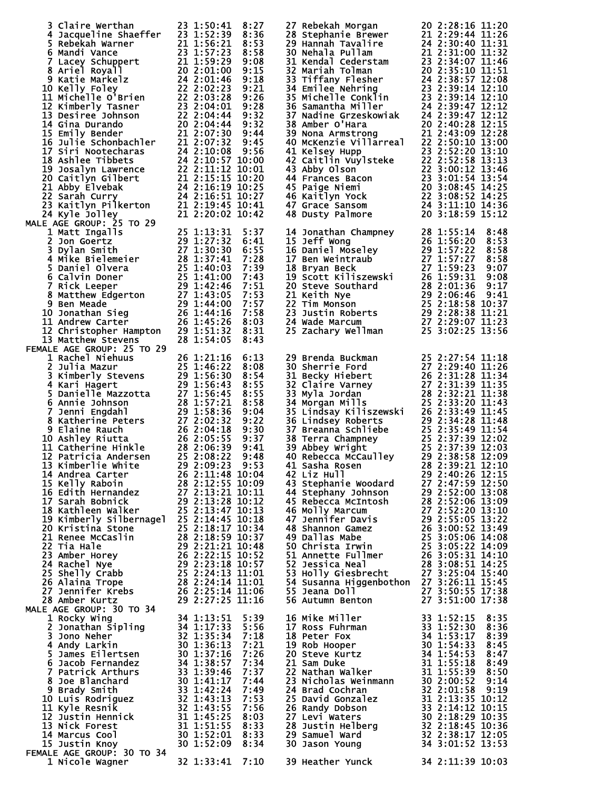| 3 Claire Werthan<br>4 Jacqueline Shaeffer<br>23 1:52:39 8:36<br>5 Rebekah Warner<br>21 1:56:21 8:53<br>6 Mandi Vance<br>7 Lacey Schuppert<br>21 1:59:23 8:58<br>7 Lacey Schuppert<br>21 1:59:29 9:08<br>8 Ariel Moyall<br>20 2:01:00 9:15<br>9 Katie M<br>MALE AGE GROUP: 25 TO 29                                                                                                                                                                                                                |                                                                                                      | 27 Rebekah Morgan<br>27 Rebekah Morgan<br>28 Stephanie Brewer<br>21 2:29:44 11:20<br>29 Hanah Tavalire<br>21 2:29:44 11:26<br>29 Hanah Tavalire<br>21 2:31:00 11:31<br>30 Nehala Pullam<br>21 2:31:00 11:32<br>31 Tiffany Flesher<br>23 2:34:07 11:46<br>32 Mariah Tolman                                                                                                                                                                                                                                                                                                                                                                                                                                                                                          | 20 2:28:16 11:20 |  |
|---------------------------------------------------------------------------------------------------------------------------------------------------------------------------------------------------------------------------------------------------------------------------------------------------------------------------------------------------------------------------------------------------------------------------------------------------------------------------------------------------|------------------------------------------------------------------------------------------------------|--------------------------------------------------------------------------------------------------------------------------------------------------------------------------------------------------------------------------------------------------------------------------------------------------------------------------------------------------------------------------------------------------------------------------------------------------------------------------------------------------------------------------------------------------------------------------------------------------------------------------------------------------------------------------------------------------------------------------------------------------------------------|------------------|--|
| LE AGE GROUP: 25 TO 29<br>1 Matt Ingalls<br>2 Jon Goertz<br>2 Jon Goertz<br>29 1:27:32<br>3 Dylan Smith<br>4 Mike Bielemeier<br>5 Daniel Olvera<br>5 Daniel Olvera<br>6 Calvin Doner<br>25 1:40:03<br>6 Calvin Doner<br>25 1:40:03<br>6 Calvin Doner<br>25<br>FEMALE AGE GROUP: 25 TO 29                                                                                                                                                                                                          | 5:37<br>6:41<br>6:55<br>7:28<br>7:39<br>7:43<br>7:51<br>7:53<br>7:57<br>7:58<br>8:03<br>8:31<br>8:43 | 14 Jonathan Champney<br>15 Jeff Wong<br>16 Daniel Moseley<br>26 1:56:20 8:53<br>16 Daniel Moseley<br>29 1:57:22 8:58<br>17 Ben Weintraub<br>27 1:57:27 8:58<br>18 Bryan Beck<br>27 1:59:23 9:07<br>19 Scott Kiliszewski<br>26 1:59:31 9:08<br>20 Steve<br>25 Zachary Wellman                                                                                                                                                                                                                                                                                                                                                                                                                                                                                       | 25 3:02:25 13:56 |  |
| MALE AGE GROUP: 25 TO 29<br>1 Rachel Niehuus 26 1:21:16 6:13<br>2 Julia Mazur 25 1:46:22 8:08<br>3 Kimberly Stevens 29 1:56:30 8:54<br>4 Kari Hagert 22 1:56:45 8:55<br>5 Danielle Mazzotta 27 1:56:45 8:55<br>6 Annie Johnson 28 1:57:21<br>11 Catherine Hinkle<br>12 Patricia Andersen<br>13 Kimberlie White<br>13 Kimberlie White<br>28 2:08:39 9:41<br>13 Kimberlie White<br>29 2:09:223 9:53<br>14 Andrea Cartes<br>15 Kelly Raboin<br>16 Edith Hernandez<br>27 2:13:28 10:09<br>16 Edith He |                                                                                                      | 29 Brenda Buckman<br>30 Sherrie Ford<br>31 Becky Hiebert<br>31 Becky Hiebert<br>26 2:31:28 11:34<br>32 Claire Varney<br>27 2:31:28 11:34<br>32 Claire Varney<br>27 2:31:39 11:35<br>33 Myla Jordan<br>28 2:32:21 11:43<br>35 Lindsey Roberts<br>36 Lin<br>36 Linusay Richards 20 2:33:49 11:44<br>36 Lindsey Roberts 29 2:34:28 11:44<br>37 Breanna Schliebe 25 2:35:49 11:54<br>38 Terra Champney 25 2:37:39 12:02<br>39 Abbey Wright 25 2:37:39 12:03<br>40 Rebecca McCaulley 29 2:38:58 12:09<br>41 Sas<br>42 Liz Hull<br>43 Stephanie Woodard<br>43 Stephanie Woodard<br>43 Stephanie Woodard<br>44 Stephany Johnson<br>45 Rebecca McIntosh<br>45 Rebecca McIntosh<br>46 Molly Marcum<br>27 2:52:00 13:08<br>46 Molly Marcum<br>27 2:52:00 13:09<br>46 Molly M |                  |  |
|                                                                                                                                                                                                                                                                                                                                                                                                                                                                                                   |                                                                                                      | 16 Mike Miller<br>17 Ross Fuhrman<br>18 Peter Fox<br>18 Peter Fox<br>18 Rob Hooper<br>19 Rob Hooper<br>20 Steve Kurtz<br>21 Sam Duke<br>21 Sam Duke<br>22 Nathan Walker<br>31 1:55:18 8:47<br>21 Sam Duke<br>31 1:55:18 8:47<br>21 Sam Duke<br>22 Nathan W<br>28 Justin Helbe<br>29 Samuel Ward<br>39 Heather Yunck 34 2:11:39 10:03                                                                                                                                                                                                                                                                                                                                                                                                                               |                  |  |
|                                                                                                                                                                                                                                                                                                                                                                                                                                                                                                   |                                                                                                      |                                                                                                                                                                                                                                                                                                                                                                                                                                                                                                                                                                                                                                                                                                                                                                    |                  |  |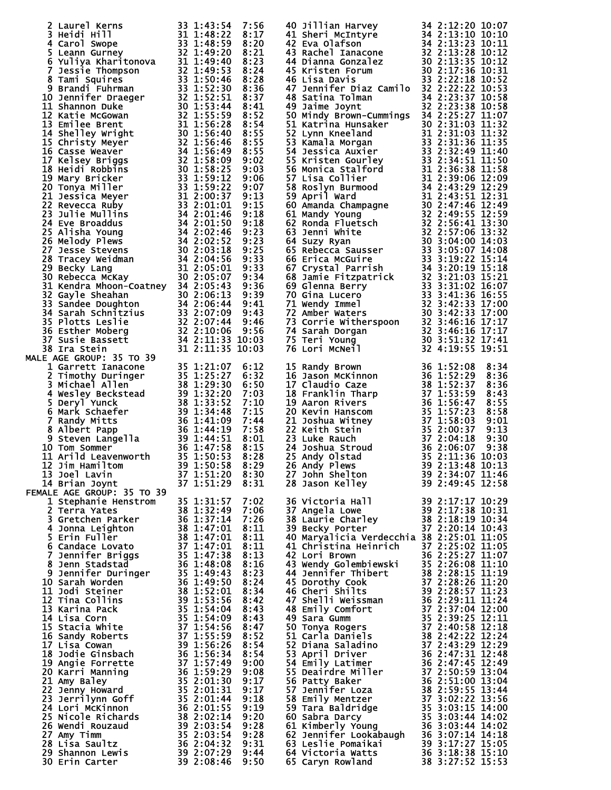| 2 Laurel Kerns 33 1:43:54 7:56<br>3 Heidi Hill<br>5 Heidi Hill<br>5 Carol Swope<br>5 Learn Gurney<br>33 1:48:52 8:120<br>5 Learn Gurney<br>33 1:49:59 8:20<br>6 Yuliya Kharitonova<br>32 1:49:50 8:23<br>7 Jessie Thompson<br>32 1:49:53 8:28<br>7 Jes  |  | 40 Jillian Harvey 34 2:12:20 10:07<br>42 Stwa Olafson<br>42 Stwa Olafson<br>42 Exa Olafson<br>44 Stwa Olafson<br>44 2 Exa Olafson<br>44 Stwa Carson<br>44 Pianna Gonzalez<br>45 Kristen Forum<br>47 Dianualez 30 2:13:28 10:12<br>45 Kristen Forum<br>47 Jenni |  |
|---------------------------------------------------------------------------------------------------------------------------------------------------------------------------------------------------------------------------------------------------------|--|----------------------------------------------------------------------------------------------------------------------------------------------------------------------------------------------------------------------------------------------------------------|--|
|                                                                                                                                                                                                                                                         |  |                                                                                                                                                                                                                                                                |  |
|                                                                                                                                                                                                                                                         |  |                                                                                                                                                                                                                                                                |  |
|                                                                                                                                                                                                                                                         |  |                                                                                                                                                                                                                                                                |  |
|                                                                                                                                                                                                                                                         |  |                                                                                                                                                                                                                                                                |  |
|                                                                                                                                                                                                                                                         |  |                                                                                                                                                                                                                                                                |  |
|                                                                                                                                                                                                                                                         |  |                                                                                                                                                                                                                                                                |  |
|                                                                                                                                                                                                                                                         |  |                                                                                                                                                                                                                                                                |  |
|                                                                                                                                                                                                                                                         |  |                                                                                                                                                                                                                                                                |  |
|                                                                                                                                                                                                                                                         |  |                                                                                                                                                                                                                                                                |  |
|                                                                                                                                                                                                                                                         |  |                                                                                                                                                                                                                                                                |  |
|                                                                                                                                                                                                                                                         |  | 15 Randy Brown<br>16 Jason McKinnon<br>17 Claudio Caze<br>17 Claudio Caze<br>18 Franklin Tharp<br>19 Aaron Rivers<br>19 Aaron Rivers<br>20 Kevin Hanscom<br>21 Joshua Witney<br>35 1:52:37 8:38<br>20 8:34<br>19 37 1:56:47 8:55<br>20 Kevin Hanscom<br>       |  |
|                                                                                                                                                                                                                                                         |  |                                                                                                                                                                                                                                                                |  |
|                                                                                                                                                                                                                                                         |  |                                                                                                                                                                                                                                                                |  |
|                                                                                                                                                                                                                                                         |  |                                                                                                                                                                                                                                                                |  |
|                                                                                                                                                                                                                                                         |  |                                                                                                                                                                                                                                                                |  |
|                                                                                                                                                                                                                                                         |  |                                                                                                                                                                                                                                                                |  |
|                                                                                                                                                                                                                                                         |  |                                                                                                                                                                                                                                                                |  |
|                                                                                                                                                                                                                                                         |  |                                                                                                                                                                                                                                                                |  |
|                                                                                                                                                                                                                                                         |  |                                                                                                                                                                                                                                                                |  |
|                                                                                                                                                                                                                                                         |  |                                                                                                                                                                                                                                                                |  |
|                                                                                                                                                                                                                                                         |  |                                                                                                                                                                                                                                                                |  |
|                                                                                                                                                                                                                                                         |  |                                                                                                                                                                                                                                                                |  |
|                                                                                                                                                                                                                                                         |  |                                                                                                                                                                                                                                                                |  |
| 38 Ira Stein<br>1 arrett Iancone<br>2 Timothy Duringer<br>2 Timothy Duringer<br>2 Timothy Duringer<br>35 1:21:07 6:12<br>2 Timothy Duringer<br>35 1:25:27 6:32<br>3 Michael Allen<br>4 Wesley Beckstead<br>5 Deryl Yunck<br>5 Deryl Yunck<br>6 Mark Sc  |  |                                                                                                                                                                                                                                                                |  |
|                                                                                                                                                                                                                                                         |  | 36 Victoria Hall 39 2:17:17 10:29<br>37 Angela Lowe 39 2:17:38 10:31<br>38 Laurie Charley 38 2:18:19 10:34<br>39 Becky Porter 1 37 2:20:14 10:43                                                                                                               |  |
|                                                                                                                                                                                                                                                         |  |                                                                                                                                                                                                                                                                |  |
|                                                                                                                                                                                                                                                         |  |                                                                                                                                                                                                                                                                |  |
|                                                                                                                                                                                                                                                         |  |                                                                                                                                                                                                                                                                |  |
|                                                                                                                                                                                                                                                         |  | 40 Maryalicia Verdecchia 38 2:25:01 11:05                                                                                                                                                                                                                      |  |
|                                                                                                                                                                                                                                                         |  | 41 Christina Heinrich $\frac{37}{2}$ $\frac{2:25:02}{2}$ $\frac{11:05}{2}$                                                                                                                                                                                     |  |
|                                                                                                                                                                                                                                                         |  |                                                                                                                                                                                                                                                                |  |
|                                                                                                                                                                                                                                                         |  |                                                                                                                                                                                                                                                                |  |
|                                                                                                                                                                                                                                                         |  |                                                                                                                                                                                                                                                                |  |
|                                                                                                                                                                                                                                                         |  |                                                                                                                                                                                                                                                                |  |
|                                                                                                                                                                                                                                                         |  |                                                                                                                                                                                                                                                                |  |
|                                                                                                                                                                                                                                                         |  |                                                                                                                                                                                                                                                                |  |
|                                                                                                                                                                                                                                                         |  |                                                                                                                                                                                                                                                                |  |
|                                                                                                                                                                                                                                                         |  |                                                                                                                                                                                                                                                                |  |
|                                                                                                                                                                                                                                                         |  |                                                                                                                                                                                                                                                                |  |
|                                                                                                                                                                                                                                                         |  |                                                                                                                                                                                                                                                                |  |
|                                                                                                                                                                                                                                                         |  |                                                                                                                                                                                                                                                                |  |
|                                                                                                                                                                                                                                                         |  |                                                                                                                                                                                                                                                                |  |
|                                                                                                                                                                                                                                                         |  |                                                                                                                                                                                                                                                                |  |
|                                                                                                                                                                                                                                                         |  |                                                                                                                                                                                                                                                                |  |
|                                                                                                                                                                                                                                                         |  |                                                                                                                                                                                                                                                                |  |
|                                                                                                                                                                                                                                                         |  |                                                                                                                                                                                                                                                                |  |
|                                                                                                                                                                                                                                                         |  |                                                                                                                                                                                                                                                                |  |
|                                                                                                                                                                                                                                                         |  |                                                                                                                                                                                                                                                                |  |
| 14 Brian Joynt<br>MALE AGE GROUP: 35 TO 39<br>15.1:29 8:31<br>15 Cerra Yates<br>2 Terra Yates<br>3 1:32:49 7:02<br>2 Terra Yates<br>3 1:32:49 7:02<br>2 Terra Yates<br>4 Sonna Leighton<br>5 Erin Fuller<br>6 Candace Lovato<br>5 Erin Fuller<br>6 Terr |  | 40 Maryalica Verdecenta 38 2:25:01 11:05<br>42 Lori Brown 36 2:25:02 11:05<br>42 Lori Brown 36 2:25:27 11:07<br>43 Wendy Golembiewski 35 2:26:08 11:10<br>44 Jennifer Thibert 38 2:28:15 11:10<br>46 Cheri Shilts 39 2:28:15 11:20<br>46 Cheri S               |  |
|                                                                                                                                                                                                                                                         |  |                                                                                                                                                                                                                                                                |  |
|                                                                                                                                                                                                                                                         |  |                                                                                                                                                                                                                                                                |  |
|                                                                                                                                                                                                                                                         |  |                                                                                                                                                                                                                                                                |  |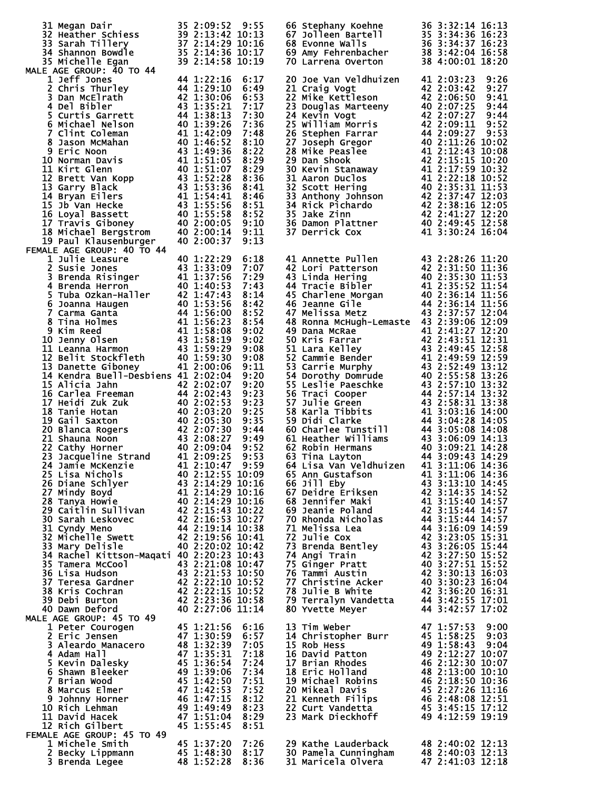| 31 Megan Dair<br>32 Heather Schiess<br>32 Heather Schiess<br>39 2:13:42 10:13<br>33 Sarah Tillery<br>37 2:14:29 10:16<br>34 Shannon Bowdle<br>35 2:14:36 10:17<br>35 Michelle Egan<br>MALE AGE GROUP: 40 TO 44                                                                                                                                                                                                                                                                                                                                                                                                                                                                                                                                                                                                                                                                                                                                                                                                                                                                                    |            |      | 66 Stephany Koehne 36 3:32:14 16:13<br>67 Jolleen Bartell 35 3:34:36 16:23<br>68 Evonne Walls 36 3:34:37 16:23<br>69 Amy Fehrenbacher 38 3:42:04 16:58<br>70 Larrena Overton 38 4:00:01 18:20                                                                                                                                                                                                                                                                                                                                                                                                                                                                                                                                                                                                                                                                            |                  |
|---------------------------------------------------------------------------------------------------------------------------------------------------------------------------------------------------------------------------------------------------------------------------------------------------------------------------------------------------------------------------------------------------------------------------------------------------------------------------------------------------------------------------------------------------------------------------------------------------------------------------------------------------------------------------------------------------------------------------------------------------------------------------------------------------------------------------------------------------------------------------------------------------------------------------------------------------------------------------------------------------------------------------------------------------------------------------------------------------|------------|------|--------------------------------------------------------------------------------------------------------------------------------------------------------------------------------------------------------------------------------------------------------------------------------------------------------------------------------------------------------------------------------------------------------------------------------------------------------------------------------------------------------------------------------------------------------------------------------------------------------------------------------------------------------------------------------------------------------------------------------------------------------------------------------------------------------------------------------------------------------------------------|------------------|
|                                                                                                                                                                                                                                                                                                                                                                                                                                                                                                                                                                                                                                                                                                                                                                                                                                                                                                                                                                                                                                                                                                   |            |      | 20 Joe Van Veldhuizen 41 2:03:23<br>20 Joe Van Veldhuizen<br>21 Craig Vogt<br>22 Mike Kettleson<br>22 Mike Kettleson<br>22 Mike Kettleson<br>22 Mike Kettleson<br>24 Keyin Vogt<br>24 Keyin Vogt<br>42 2:07:27 9:44<br>25 William Morris<br>42 2:07:27 9:44<br>25 William Morris<br>42 2:0                                                                                                                                                                                                                                                                                                                                                                                                                                                                                                                                                                               | 9:26             |
| FEMALE AGE GROUP: 40 TO 44<br>MALE AGE GROUP: 40 TO 44<br>1 Julie Leasure<br>2 Susie Jones<br>40 1:22:29 6:18<br>3 Brenda Risinger<br>41 1:37:56 7:29<br>4 Brenda Herron<br>5 Tuba Ozkan-Haller<br>5 Tuba Ozkan-Haller<br>40 1:53:56 8:42<br>7 Carma Ganta<br>7 Carma Ganta<br>40 1:<br>14 Kendra Buell-Desbiens 41 2:02:04<br>1. Norma buent-Despiers 41 2:02:04 9:20<br>15 Alicia Jahn 42 2:02:07 9:20<br>16 Carlea Freeman 44 2:02:43 9:23<br>17 Heidi Zuk Zuk 40 2:02:53 9:23<br>18 Tanie Hotan<br>18 Gail Saxton 40 2:05:30 9:35<br>19 Gail Saxton 40 2:05:30 9:35<br><br>23 Jacqueline Strand<br>24 Jamie McKenzie 41 2:10:47 9:53<br>25 Lisa Nichols 40 2:12:55 10:09<br>26 Diane Schlyer 43 2:14:29 10:16<br>27 Mindy Boyd 41 2:14:29 10:16<br>28 Tanya Howie 40 2:14:29 10:16<br>29 Caitlin Sullivan 42 2:15:43<br>35 Tamera MCOol<br>35 Tamera MCOol<br>36 Lisa Hudson<br>36 Lisa Hudson<br>37 Teresa Gardner<br>38 Kris Cochran<br>38 Kris Cochran<br>39 Debi Burton<br>39 Debi Burton<br>42 2:22:15 10:52<br>39 Debi Burton<br>42 2:23:36 10:58<br>40 Dawn Deford<br>40 2:27:06 11:14 |            | 9:20 | 41 Annette Pullen<br>43 2:28:26 11:20<br>42 Lori Patterson<br>42 2:31:50 11:36<br>43 Linda Hering<br>40 2:35:30 11:53<br>44 Tracie Bibler<br>41 2:35:52 11:54<br>45 Charlene Morgan<br>40 2:36:14 11:56<br>46 Jeanne Gile<br>44 2:36:14 11:56<br>47 Me<br>48 Ronna McHugh-Lemaste 43 2:39:06 12:09<br>48 Ronna McHugh-Lemaste 43 2:39:06 12:09<br>49 Dana McRae 41 2:41:27 12:20<br>50 Kris Farrar 42 2:43:51 12:31<br>51 Lara Kelley 43 2:49:45 12:58<br>52 Cammie Bender 41 2:49:59 12:59<br>53 Carrie Murphy 43 2:52:49 13:12<br>54 Dorothy D<br>64 Lisa Van Veldhuizen 41 3:11:06 14:36<br>64 Lisa Van Veldhuizen<br>65 Ann Gustafson<br>65 Ann Gustafson<br>66 Jill Eby<br>66 Jill Eby<br>41 3:11:06 14:36<br>66 Jill Eby<br>43 3:13:10 14:45<br>67 Deidre Eriksen<br>42 3:14:35 14:52<br>68 Jennifer Maki<br>42 3:15:44 14:57<br>69 Jeanie Pola<br>80 Yvette Meyer | 44 3:42:57 17:02 |
| MALE AGE GROUP: 45 TO 49<br>E AGE GROUP: 45 TO 49<br>1 Peter Courogen<br>2 Eric Jensen<br>2 Eric Jensen<br>47 1:30:59 6:57<br>3 Adam Hall<br>5 Adam Hall<br>5 Kevin Dalesky<br>6 Shawn Bleeker<br>47 1:35:31 7:18<br>5 Kevin Dalesky<br>47 1:35:31 7:18<br>5 Kevin Dalesky<br>47 1:3<br>10 Rich Lehman<br>11 David Hacek<br>12 Rich Gilbert<br>FEMALE AGE GROUP: 45 TO 49                                                                                                                                                                                                                                                                                                                                                                                                                                                                                                                                                                                                                                                                                                                         | 45 1:55:45 | 8:51 | 13 Tim Weber<br>14 Christopher Burr<br>15 Rob Hess<br>16 David Patton<br>17 Brian Rhodes<br>17 Brian Rhodes<br>17 Brian Rhodes<br>18 Eric Holland<br>19 Michael Robins<br>20 Mikeal Davis<br>20 Mikeal Davis<br>20 Mikeal Davis<br>21 Kenneth Filips<br>21 Senath Filips<br>22 Curt Vandetta<br>23 Mark Diec                                                                                                                                                                                                                                                                                                                                                                                                                                                                                                                                                             | 47 1:57:53 9:00  |
| 1 Michele Smith<br>2 Becky Lippmann<br>3 Brenda Legee<br>48 1:52:28 8:36                                                                                                                                                                                                                                                                                                                                                                                                                                                                                                                                                                                                                                                                                                                                                                                                                                                                                                                                                                                                                          |            |      | 23 Nathe Lauderback 48 2:40:02 12:13<br>30 Pamela Cunningham 48 2:40:03 12:13<br>31 Maricela Olvera 47 2:41:03 12:19                                                                                                                                                                                                                                                                                                                                                                                                                                                                                                                                                                                                                                                                                                                                                     |                  |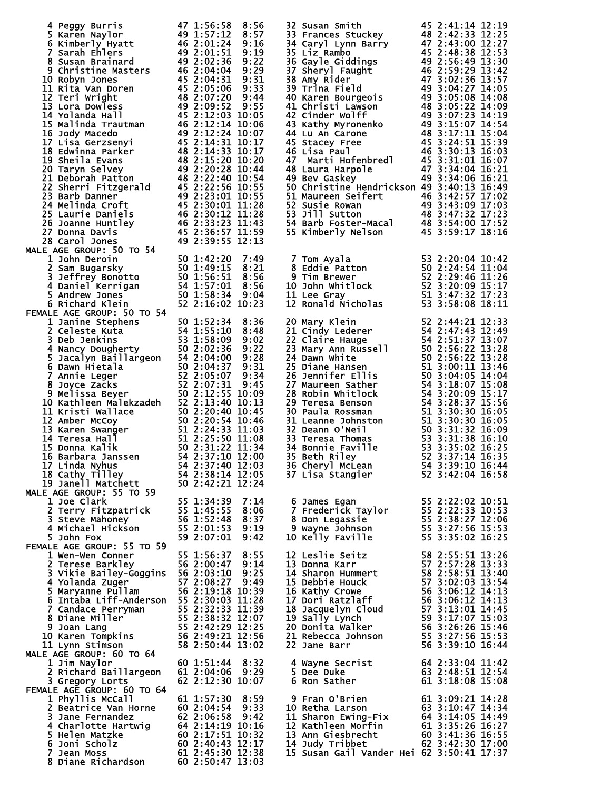|                                                                                                                                                                                                                                                                                                                                                      |                                                        |  | 32 Susan Smith 45 2:41:14 12:19<br>33 Frances Stuckey 48 2:42:33 12:25<br>34 Caryl Lynn Barry 47 2:43:00 12:27<br>35 Liz Rambo 45 2:48:38 12:53<br>36 Gayle Giddings 49 2:59:29 13:42<br>37 Sheryl Faught 46 2:59:29 13:42<br>38 Amy Rider                                              |  |  |
|------------------------------------------------------------------------------------------------------------------------------------------------------------------------------------------------------------------------------------------------------------------------------------------------------------------------------------------------------|--------------------------------------------------------|--|-----------------------------------------------------------------------------------------------------------------------------------------------------------------------------------------------------------------------------------------------------------------------------------------|--|--|
| 4 Peggy Burris 47 1:56:58 8:56<br>5 Karen Naylor 49 1:57:12 8:57<br>6 Kimberly Hyatt 46 2:01:24 9:16<br>6 Kimberly Hyatt 46 2:01:24 9:16<br>9 Susan Brainard 49 2:01:51 9:19<br>8 Susan Brainard 49 2:02:36 9:22<br>9 Christine Masters 46<br><b>MALE AGE GROUP: 50 TO 54</b>                                                                        |                                                        |  | 50 Christine Hendrickson 49 3:40:13 16:49<br>51 Maureen Seifert<br>52 Susie Rowan<br>53 Jill Sutton<br>53 Jill Sutton<br>54 Barb Foster-Macal<br>54 Barb Foster-Macal<br>55 Kimberly Nelson<br>48 3:54:00 17:52<br>55 Kimberly Nelson<br>45 3:59:17 18:16                               |  |  |
| 8 Carol Jones<br>AGE GROUP: 50 TO 54<br>1 John Deroin<br>2 Sam Bugarsky<br>3 Jeffrey Bonotto<br>4 Daniel Kerrigan<br>50 1:42:20 7:49<br>50 1:42:20 7:49<br>50 1:42:20 7:49<br>50 1:42:20 7:49<br>8:21<br>8:21<br>3 Jeffrey Bonotto<br>50 1:56:51 8:56<br>4<br>FEMALE AGE GROUP: 50 TO 54                                                             |                                                        |  | 7 Tom Ayala<br>8 Eddie Patton<br>9 Tim Brewer<br>10 John Whitlock<br>10 John Whitlock<br>11 Lee Gray<br>12 Ronald Nicholas<br>53 2:29:46 11:26<br>52 3:20:09 15:17<br>11 Lee Gray<br>51 3:47:32 17:23<br>12 Ronald Nicholas<br>53 3:58:08 18:11                                         |  |  |
| MALE AGE GROUP: 50 TO 54<br>1 Janine Stephens<br>2 Celeste Kuta<br>3 Deb Jenkins<br>4 Nancy Dougherty<br>53 1:58:09 9:02<br>4 Nancy Dougherty<br>53 1:58:09 9:02<br>5 1.55:10 8:48<br>3 Ob Jenkins<br>53 1:58:09 9:02<br>4 Nancy Dougherty<br>53 1:58:<br>17 Linda Nyhus<br>18 Cathy Tilley<br>19 Janell Matchett<br><b>MALE AGE GROUP: 55 TO 59</b> | 54 2:38:14 12:05<br>50 2:42:21 12:24                   |  | 20 Mary Klein<br>22 Claire Huge<br>22 Claire Hauge<br>23 Mary Ann Russell<br>54 2:44:21 12:33<br>24 Dawn White<br>50 2:56:22 13:28<br>25 Diane Hansen<br>26 2:56:22 13:28<br>25 Diane Hansen<br>26 2:56:22 13:28<br>25 Diane Hansen<br>50 2:56:22 13:2                                  |  |  |
| 1 Joe Clark<br>2 Terry Fitzpatrick<br>3 Steve Mahoney<br>55 1:45:55 8:06<br>3 Steve Mahoney<br>56 1:52:48 8:37<br>4 Michael Hickson<br>55 2:01:53 9:19<br>59 2:07:01 9:42<br>59 2:07:01 9:42<br>FEMALE AGE GROUP: 55 TO 59                                                                                                                           |                                                        |  | 6 James Egan 55 2:22:02 10:51<br>7 Frederick Taylor 55 2:22:33 10:53<br>8 Don Legassie 55 2:38:27 12:06<br>9 Wayne Johnson 55 3:27:56 15:53<br>10 Kelly Faville 55 3:35:02 16:25                                                                                                        |  |  |
| MALE AGE GROUP: 55 TO 59<br>1 Wen-Wen Conner<br>2 Terese Barkley<br>56 2:00:47 9:14<br>3 Vikie Bailey-Goggins 56 2:03:10 9:25<br>4 Yolanda Zuger<br>57 2:08:27 9:49<br>5 Maryanne Pullam<br>56 2:19:18 10:39<br>6 Intaba Liff-Anderson 55 2:30:0<br>MALE AGE GROUP: 60 TO 64                                                                         |                                                        |  | 12 Leslie Seitz<br>13 Donna Karr 57 2:55:51 13:26<br>13 Donna Karr 57 2:57:28 13:33<br>14 Sharon Hummert 58 2:58:51 13:40<br>15 Debbie Houck 57 3:02:03 13:54<br>16 Kathy Crowe 56 3:06:12 14:13<br>17 Dori Ratzlaff 56 3:06:12 14:13<br>17                                             |  |  |
| 1 Jim Naylor<br>2 Richard Baillargeon<br>3 Gregory Lorts<br>FEMALE AGE GROUP: 60 TO 64                                                                                                                                                                                                                                                               | 60 1:51:44 8:32<br>61 2:04:06 9:29<br>62 2:12:30 10:07 |  |                                                                                                                                                                                                                                                                                         |  |  |
| 1 Phyllis McCall<br>2 Beatrice Van Horne<br>3 Jane Fernandez<br>3 Jane Fernandez<br>4 Charlotte Hartwig<br>5 Helen Matzke<br>60 2:04:58 9:42<br>4 Charlotte Hartwig<br>64 2:14:19 10:16<br>5 Helen Matzke<br>60 2:17:51 10:32<br>60 2:14:19 10:16<br>7 Jean Moss<br>8 Dian                                                                           | 61 1:57:30 8:59                                        |  | 9 Fran O'Brien 61 3:09:21 14:28<br>10 Retha Larson 63 3:10:47 14:34<br>11 Sharon Ewing-Fix 64 3:14:05 14:49<br>12 Kathleen Morfin 61 3:35:26 16:27<br>13 Ann Giesbrecht 60 3:41:36 16:55<br>14 Judy Tribbet 62 3:42:30 17:07<br>14 Judy Tr<br>15 Susan Gail Vander Hei 62 3:50:41 17:37 |  |  |